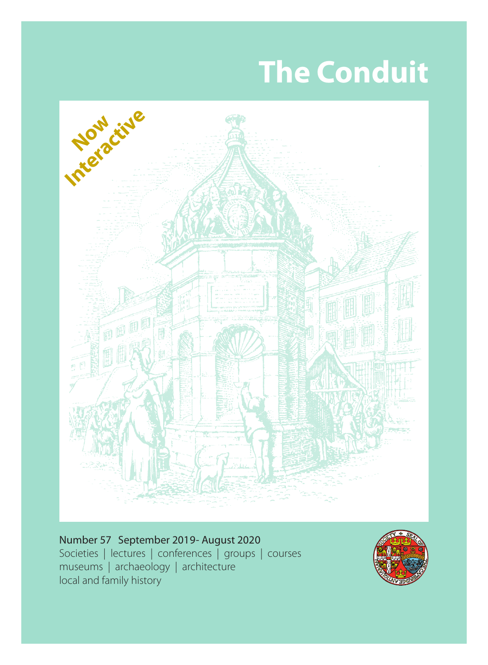# **The Conduit**



Societies | lectures | conferences | groups | courses museums | archaeology | architecture local and family history Number 57 September 2019- August 2020

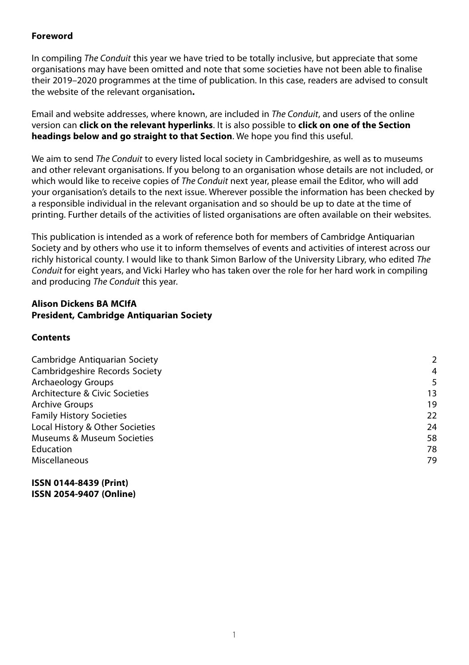#### **Foreword**

In compiling The Conduit this year we have tried to be totally inclusive, but appreciate that some organisations may have been omitted and note that some societies have not been able to finalise their 2019–2020 programmes at the time of publication. In this case, readers are advised to consult the website of the relevant organisation**.**

Email and website addresses, where known, are included in The Conduit, and users of the online version can **click on the relevant hyperlinks**. It is also possible to **click on one of the Section headings below and go straight to that Section**. We hope you find this useful.

We aim to send *The Conduit* to every listed local society in Cambridgeshire, as well as to museums and other relevant organisations. If you belong to an organisation whose details are not included, or which would like to receive copies of *The Conduit* next year, please email the Editor, who will add your organisation's details to the next issue. Wherever possible the information has been checked by a responsible individual in the relevant organisation and so should be up to date at the time of printing. Further details of the activities of listed organisations are often available on their websites.

This publication is intended as a work of reference both for members of Cambridge Antiquarian Society and by others who use it to inform themselves of events and activities of interest across our richly historical county. I would like to thank Simon Barlow of the University Library, who edited The Conduit for eight years, and Vicki Harley who has taken over the role for her hard work in compiling and producing The Conduit this year.

#### **Alison Dickens BA MCIfA President, Cambridge Antiquarian Society**

#### **Contents**

| Cambridge Antiguarian Society   | 2  |
|---------------------------------|----|
| Cambridgeshire Records Society  | 4  |
| Archaeology Groups              | 5  |
| Architecture & Civic Societies  | 13 |
| <b>Archive Groups</b>           | 19 |
| <b>Family History Societies</b> | 22 |
| Local History & Other Societies | 24 |
| Museums & Museum Societies      | 58 |
| Education                       | 78 |
| Miscellaneous                   | 79 |
|                                 |    |

#### **ISSN 0144-8439 (Print) ISSN 2054-9407 (Online)**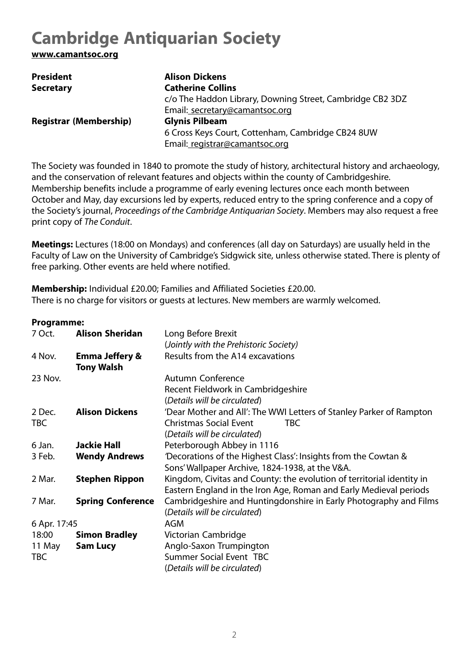# <span id="page-2-0"></span>**Cambridge Antiquarian Society**

**www.camantsoc.org**

| <b>President</b>              | <b>Alison Dickens</b>                                     |
|-------------------------------|-----------------------------------------------------------|
| <b>Secretary</b>              | <b>Catherine Collins</b>                                  |
|                               | c/o The Haddon Library, Downing Street, Cambridge CB2 3DZ |
|                               | Email: secretary@camantsoc.org                            |
| <b>Registrar (Membership)</b> | <b>Glynis Pilbeam</b>                                     |
|                               | 6 Cross Keys Court, Cottenham, Cambridge CB24 8UW         |
|                               | Email: registrar@camantsoc.org                            |

The Society was founded in 1840 to promote the study of history, architectural history and archaeology, and the conservation of relevant features and objects within the county of Cambridgeshire. Membership benefits include a programme of early evening lectures once each month between October and May, day excursions led by experts, reduced entry to the spring conference and a copy of the Society's journal, Proceedings of the Cambridge Antiquarian Society. Members may also request a free print copy of The Conduit.

**Meetings:** Lectures (18:00 on Mondays) and conferences (all day on Saturdays) are usually held in the Faculty of Law on the University of Cambridge's Sidgwick site, unless otherwise stated. There is plenty of free parking. Other events are held where notified.

**Membership:** Individual £20.00; Families and Affiliated Societies £20.00. There is no charge for visitors or guests at lectures. New members are warmly welcomed.

#### **Programme:**

| 7 Oct.       | <b>Alison Sheridan</b>    | Long Before Brexit                                                    |
|--------------|---------------------------|-----------------------------------------------------------------------|
|              |                           | (Jointly with the Prehistoric Society)                                |
| 4 Nov.       | <b>Emma Jeffery &amp;</b> | Results from the A14 excavations                                      |
|              | <b>Tony Walsh</b>         |                                                                       |
| 23 Nov.      |                           | Autumn Conference                                                     |
|              |                           | Recent Fieldwork in Cambridgeshire                                    |
|              |                           | (Details will be circulated)                                          |
| 2 Dec.       | <b>Alison Dickens</b>     | 'Dear Mother and All': The WWI Letters of Stanley Parker of Rampton   |
| <b>TBC</b>   |                           | <b>Christmas Social Event</b><br><b>TBC</b>                           |
|              |                           | (Details will be circulated)                                          |
| 6 Jan.       | Jackie Hall               | Peterborough Abbey in 1116                                            |
| 3 Feb.       | <b>Wendy Andrews</b>      | 'Decorations of the Highest Class': Insights from the Cowtan &        |
|              |                           | Sons' Wallpaper Archive, 1824-1938, at the V&A.                       |
| 2 Mar.       | <b>Stephen Rippon</b>     | Kingdom, Civitas and County: the evolution of territorial identity in |
|              |                           | Eastern England in the Iron Age, Roman and Early Medieval periods     |
| 7 Mar.       | <b>Spring Conference</b>  | Cambridgeshire and Huntingdonshire in Early Photography and Films     |
|              |                           | (Details will be circulated)                                          |
| 6 Apr. 17:45 |                           | AGM                                                                   |
| 18:00        | <b>Simon Bradley</b>      | Victorian Cambridge                                                   |
| 11 May       | <b>Sam Lucy</b>           | Anglo-Saxon Trumpington                                               |
| TBC          |                           | Summer Social Event TBC                                               |
|              |                           | (Details will be circulated)                                          |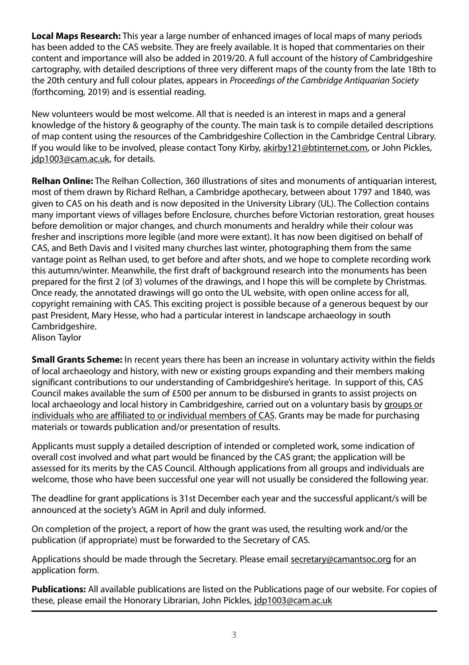**Local Maps Research:** This year a large number of enhanced images of local maps of many periods has been added to the CAS website. They are freely available. It is hoped that commentaries on their content and importance will also be added in 2019/20. A full account of the history of Cambridgeshire cartography, with detailed descriptions of three very different maps of the county from the late 18th to the 20th century and full colour plates, appears in Proceedings of the Cambridge Antiquarian Society (forthcoming, 2019) and is essential reading.

New volunteers would be most welcome. All that is needed is an interest in maps and a general knowledge of the history & geography of the county. The main task is to compile detailed descriptions of map content using the resources of the Cambridgeshire Collection in the Cambridge Central Library. If you would like to be involved, please contact Tony Kirby, akirby121@btinternet.com, or John Pickles, jdp1003@cam.ac.uk, for details.

**Relhan Online:** The Relhan Collection, 360 illustrations of sites and monuments of antiquarian interest, most of them drawn by Richard Relhan, a Cambridge apothecary, between about 1797 and 1840, was given to CAS on his death and is now deposited in the University Library (UL). The Collection contains many important views of villages before Enclosure, churches before Victorian restoration, great houses before demolition or major changes, and church monuments and heraldry while their colour was fresher and inscriptions more legible (and more were extant). It has now been digitised on behalf of CAS, and Beth Davis and I visited many churches last winter, photographing them from the same vantage point as Relhan used, to get before and after shots, and we hope to complete recording work this autumn/winter. Meanwhile, the first draft of background research into the monuments has been prepared for the first 2 (of 3) volumes of the drawings, and I hope this will be complete by Christmas. Once ready, the annotated drawings will go onto the UL website, with open online access for all, copyright remaining with CAS. This exciting project is possible because of a generous bequest by our past President, Mary Hesse, who had a particular interest in landscape archaeology in south Cambridgeshire. Alison Taylor

**Small Grants Scheme:** In recent years there has been an increase in voluntary activity within the fields of local archaeology and history, with new or existing groups expanding and their members making significant contributions to our understanding of Cambridgeshire's heritage. In support of this, CAS Council makes available the sum of £500 per annum to be disbursed in grants to assist projects on local archaeology and local history in Cambridgeshire, carried out on a voluntary basis by groups or individuals who are affiliated to or individual members of CAS. Grants may be made for purchasing materials or towards publication and/or presentation of results.

Applicants must supply a detailed description of intended or completed work, some indication of overall cost involved and what part would be financed by the CAS grant; the application will be assessed for its merits by the CAS Council. Although applications from all groups and individuals are welcome, those who have been successful one year will not usually be considered the following year.

The deadline for grant applications is 31st December each year and the successful applicant/s will be announced at the society's AGM in April and duly informed.

On completion of the project, a report of how the grant was used, the resulting work and/or the publication (if appropriate) must be forwarded to the Secretary of CAS.

Applications should be made through the Secretary. Please email secretary@camantsoc.org for an application form.

**Publications:** All available publications are listed on the Publications page of our website. For copies of these, please email the Honorary Librarian, John Pickles, jdp1003@cam.ac.uk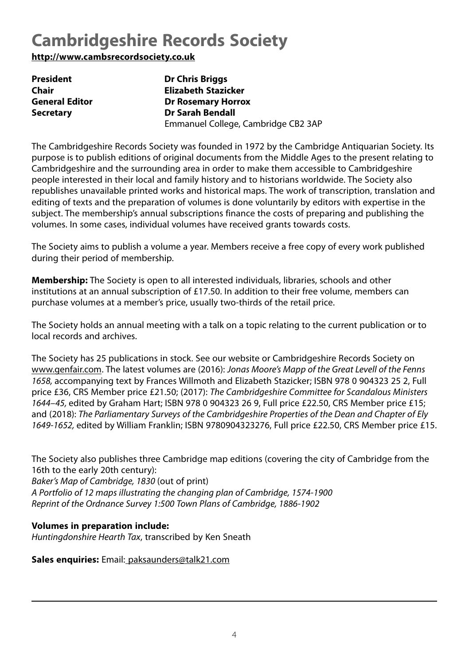# <span id="page-4-0"></span>**Cambridgeshire Records Society**

**http://www.cambsrecordsociety.co.uk**

| <b>President</b>      | <b>Dr Chris Briggs</b>              |
|-----------------------|-------------------------------------|
| Chair                 | Elizabeth Stazicker                 |
| <b>General Editor</b> | <b>Dr Rosemary Horrox</b>           |
| <b>Secretary</b>      | <b>Dr Sarah Bendall</b>             |
|                       | Emmanuel College, Cambridge CB2 3AP |

The Cambridgeshire Records Society was founded in 1972 by the Cambridge Antiquarian Society. Its purpose is to publish editions of original documents from the Middle Ages to the present relating to Cambridgeshire and the surrounding area in order to make them accessible to Cambridgeshire people interested in their local and family history and to historians worldwide. The Society also republishes unavailable printed works and historical maps. The work of transcription, translation and editing of texts and the preparation of volumes is done voluntarily by editors with expertise in the subject. The membership's annual subscriptions finance the costs of preparing and publishing the volumes. In some cases, individual volumes have received grants towards costs.

The Society aims to publish a volume a year. Members receive a free copy of every work published during their period of membership.

**Membership:** The Society is open to all interested individuals, libraries, schools and other institutions at an annual subscription of £17.50. In addition to their free volume, members can purchase volumes at a member's price, usually two-thirds of the retail price.

The Society holds an annual meeting with a talk on a topic relating to the current publication or to local records and archives.

The Society has 25 publications in stock. See our website or Cambridgeshire Records Society on www.genfair.com. The latest volumes are (2016): Jonas Moore's Mapp of the Great Levell of the Fenns 1658, accompanying text by Frances Willmoth and Elizabeth Stazicker; ISBN 978 0 904323 25 2, Full price £36, CRS Member price £21.50; (2017): The Cambridgeshire Committee for Scandalous Ministers 1644–45, edited by Graham Hart; ISBN 978 0 904323 26 9, Full price £22.50, CRS Member price £15; and (2018): The Parliamentary Surveys of the Cambridgeshire Properties of the Dean and Chapter of Ely 1649-1652, edited by William Franklin; ISBN 9780904323276, Full price £22.50, CRS Member price £15.

The Society also publishes three Cambridge map editions (covering the city of Cambridge from the 16th to the early 20th century):

Baker's Map of Cambridge, 1830 (out of print) A Portfolio of 12 maps illustrating the changing plan of Cambridge, 1574-1900 Reprint of the Ordnance Survey 1:500 Town Plans of Cambridge, 1886-1902

# **Volumes in preparation include:**

Huntingdonshire Hearth Tax, transcribed by Ken Sneath

**Sales enquiries:** Email: paksaunders@talk21.com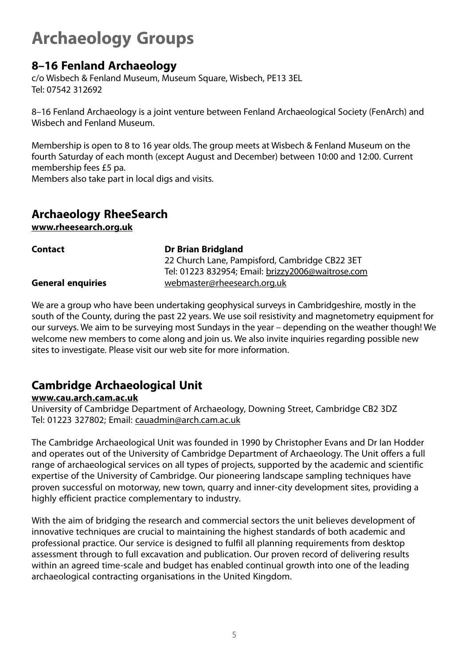# <span id="page-5-0"></span>**Archaeology Groups**

# **8–16 Fenland Archaeology**

c/o Wisbech & Fenland Museum, Museum Square, Wisbech, PE13 3EL Tel: 07542 312692

8–16 Fenland Archaeology is a joint venture between Fenland Archaeological Society (FenArch) and Wisbech and Fenland Museum.

Membership is open to 8 to 16 year olds. The group meets at Wisbech & Fenland Museum on the fourth Saturday of each month (except August and December) between 10:00 and 12:00. Current membership fees £5 pa.

Members also take part in local digs and visits.

# **Archaeology RheeSearch**

**www.rheesearch.org.uk**

| <b>Contact</b>           | <b>Dr Brian Bridgland</b>                         |
|--------------------------|---------------------------------------------------|
|                          | 22 Church Lane, Pampisford, Cambridge CB22 3ET    |
|                          | Tel: 01223 832954; Email: brizzy2006@waitrose.com |
| <b>General enquiries</b> | webmaster@rheesearch.org.uk                       |

We are a group who have been undertaking geophysical surveys in Cambridgeshire, mostly in the south of the County, during the past 22 years. We use soil resistivity and magnetometry equipment for our surveys. We aim to be surveying most Sundays in the year – depending on the weather though! We welcome new members to come along and join us. We also invite inquiries regarding possible new sites to investigate. Please visit our web site for more information.

# **Cambridge Archaeological Unit**

# **www.cau.arch.cam.ac.uk**

University of Cambridge Department of Archaeology, Downing Street, Cambridge CB2 3DZ Tel: 01223 327802; Email: cauadmin@arch.cam.ac.uk

The Cambridge Archaeological Unit was founded in 1990 by Christopher Evans and Dr Ian Hodder and operates out of the University of Cambridge Department of Archaeology. The Unit offers a full range of archaeological services on all types of projects, supported by the academic and scientific expertise of the University of Cambridge. Our pioneering landscape sampling techniques have proven successful on motorway, new town, quarry and inner-city development sites, providing a highly efficient practice complementary to industry.

With the aim of bridging the research and commercial sectors the unit believes development of innovative techniques are crucial to maintaining the highest standards of both academic and professional practice. Our service is designed to fulfil all planning requirements from desktop assessment through to full excavation and publication. Our proven record of delivering results within an agreed time-scale and budget has enabled continual growth into one of the leading archaeological contracting organisations in the United Kingdom.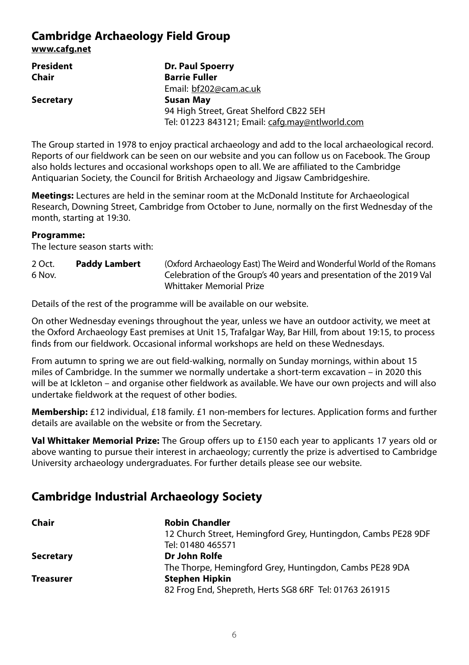# **Cambridge Archaeology Field Group**

**www.cafg.net**

| President        | Dr. Paul Spoerry                                |
|------------------|-------------------------------------------------|
| Chair            | <b>Barrie Fuller</b>                            |
|                  | Email: bf202@cam.ac.uk                          |
| <b>Secretary</b> | Susan May                                       |
|                  | 94 High Street, Great Shelford CB22 5EH         |
|                  | Tel: 01223 843121; Email: cafg.may@ntlworld.com |

The Group started in 1978 to enjoy practical archaeology and add to the local archaeological record. Reports of our fieldwork can be seen on our website and you can follow us on Facebook. The Group also holds lectures and occasional workshops open to all. We are affiliated to the Cambridge Antiquarian Society, the Council for British Archaeology and Jigsaw Cambridgeshire.

**Meetings:** Lectures are held in the seminar room at the McDonald Institute for Archaeological Research, Downing Street, Cambridge from October to June, normally on the first Wednesday of the month, starting at 19:30.

#### **Programme:**

The lecture season starts with:

| 2 Oct. | Paddy Lambert | (Oxford Archaeology East) The Weird and Wonderful World of the Romans |
|--------|---------------|-----------------------------------------------------------------------|
| 6 Nov. |               | Celebration of the Group's 40 years and presentation of the 2019 Val  |
|        |               | Whittaker Memorial Prize                                              |

Details of the rest of the programme will be available on our website.

On other Wednesday evenings throughout the year, unless we have an outdoor activity, we meet at the Oxford Archaeology East premises at Unit 15, Trafalgar Way, Bar Hill, from about 19:15, to process finds from our fieldwork. Occasional informal workshops are held on these Wednesdays.

From autumn to spring we are out field-walking, normally on Sunday mornings, within about 15 miles of Cambridge. In the summer we normally undertake a short-term excavation – in 2020 this will be at Ickleton – and organise other fieldwork as available. We have our own projects and will also undertake fieldwork at the request of other bodies.

**Membership:** £12 individual, £18 family. £1 non-members for lectures. Application forms and further details are available on the website or from the Secretary.

**Val Whittaker Memorial Prize:** The Group offers up to £150 each year to applicants 17 years old or above wanting to pursue their interest in archaeology; currently the prize is advertised to Cambridge University archaeology undergraduates. For further details please see our website.

# **Cambridge Industrial Archaeology Society**

| Chair            | <b>Robin Chandler</b>                                         |
|------------------|---------------------------------------------------------------|
|                  | 12 Church Street, Hemingford Grey, Huntingdon, Cambs PE28 9DF |
|                  | Tel: 01480 465571                                             |
| <b>Secretary</b> | Dr John Rolfe                                                 |
|                  | The Thorpe, Hemingford Grey, Huntingdon, Cambs PE28 9DA       |
| <b>Treasurer</b> | Stephen Hipkin                                                |
|                  | 82 Frog End, Shepreth, Herts SG8 6RF Tel: 01763 261915        |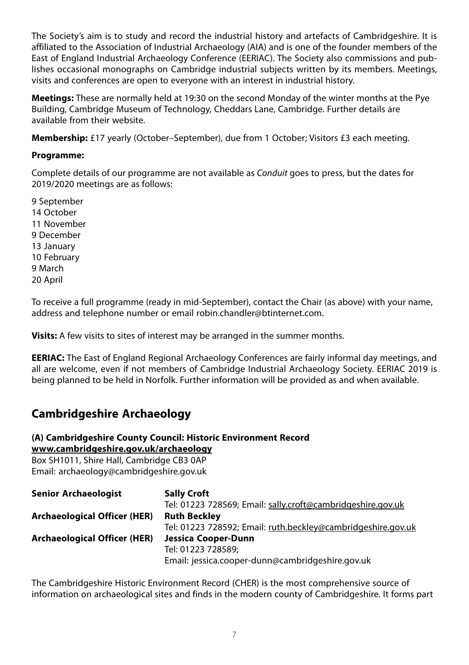The Society's aim is to study and record the industrial history and artefacts of Cambridgeshire. It is affiliated to the Association of Industrial Archaeology (AIA) and is one of the founder members of the East of England Industrial Archaeology Conference (EERIAC). The Society also commissions and publishes occasional monographs on Cambridge industrial subjects written by its members. Meetings, visits and conferences are open to everyone with an interest in industrial history.

**Meetings:** These are normally held at 19:30 on the second Monday of the winter months at the Pye Building, Cambridge Museum of Technology, Cheddars Lane, Cambridge. Further details are available from their website.

**Membership:** £17 yearly (October–September), due from 1 October; Visitors £3 each meeting.

# **Programme:**

Complete details of our programme are not available as Conduit goes to press, but the dates for 2019/2020 meetings are as follows:

9 September 14 October 11 November 9 December 13 January 10 February 9 March 20 April

To receive a full programme (ready in mid-September), contact the Chair (as above) with your name, address and telephone number or email robin.chandler@btinternet.com.

**Visits:** A few visits to sites of interest may be arranged in the summer months.

**EERIAC:** The East of England Regional Archaeology Conferences are fairly informal day meetings, and all are welcome, even if not members of Cambridge Industrial Archaeology Society. EERIAC 2019 is being planned to be held in Norfolk. Further information will be provided as and when available.

# **Cambridgeshire Archaeology**

#### **(A) Cambridgeshire County Council: Historic Environment Record www.cambridgeshire.gov.uk/archaeology**

Box SH1011, Shire Hall, Cambridge CB3 0AP Email: archaeology@cambridgeshire.gov.uk

| <b>Senior Archaeologist</b>         | <b>Sally Croft</b>                                           |
|-------------------------------------|--------------------------------------------------------------|
|                                     | Tel: 01223 728569; Email: sally.croft@cambridgeshire.gov.uk  |
| Archaeological Officer (HER)        | <b>Ruth Beckley</b>                                          |
|                                     | Tel: 01223 728592; Email: ruth.beckley@cambridgeshire.gov.uk |
| <b>Archaeological Officer (HER)</b> | Jessica Cooper-Dunn                                          |
|                                     | Tel: 01223 728589:                                           |
|                                     | Email: jessica.cooper-dunn@cambridgeshire.gov.uk             |

The Cambridgeshire Historic Environment Record (CHER) is the most comprehensive source of information on archaeological sites and finds in the modern county of Cambridgeshire. It forms part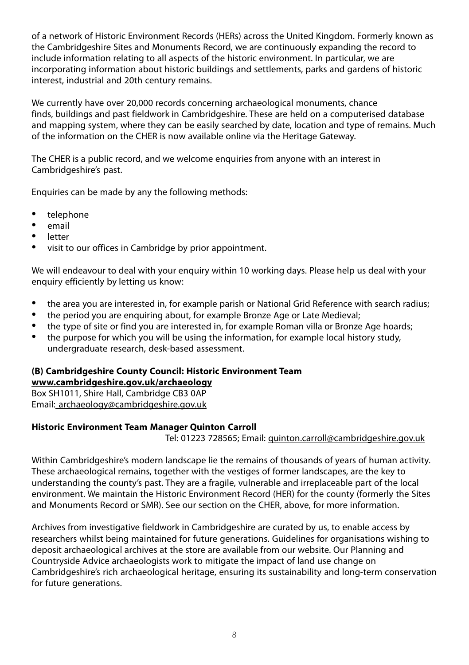of a network of Historic Environment Records (HERs) across the United Kingdom. Formerly known as the Cambridgeshire Sites and Monuments Record, we are continuously expanding the record to include information relating to all aspects of the historic environment. In particular, we are incorporating information about historic buildings and settlements, parks and gardens of historic interest, industrial and 20th century remains.

We currently have over 20,000 records concerning archaeological monuments, chance finds, buildings and past fieldwork in Cambridgeshire. These are held on a computerised database and mapping system, where they can be easily searched by date, location and type of remains. Much of the information on the CHER is now available online via the Heritage Gateway.

The CHER is a public record, and we welcome enquiries from anyone with an interest in Cambridgeshire's past.

Enquiries can be made by any the following methods:

- telephone
- email
- **letter**
- visit to our offices in Cambridge by prior appointment.

We will endeavour to deal with your enquiry within 10 working days. Please help us deal with your enquiry efficiently by letting us know:

- the area you are interested in, for example parish or National Grid Reference with search radius;<br>• the pariod you are enquiring about for example Bronze Age or Late Medieval:
- the period you are enquiring about, for example Bronze Age or Late Medieval;<br>• the type of site or find you are interested in for example Boman villa or Bronze
- the type of site or find you are interested in, for example Roman villa or Bronze Age hoards;
- the purpose for which you will be using the information, for example local history study, undergraduate research, desk-based assessment.

# **(B) Cambridgeshire County Council: Historic Environment Team www.cambridgeshire.gov.uk/archaeology**

Box SH1011, Shire Hall, Cambridge CB3 0AP Email: archaeology@cambridgeshire.gov.uk

# **Historic Environment Team Manager Quinton Carroll**

Tel: 01223 728565; Email: quinton.carroll@cambridgeshire.gov.uk

Within Cambridgeshire's modern landscape lie the remains of thousands of years of human activity. These archaeological remains, together with the vestiges of former landscapes, are the key to understanding the county's past. They are a fragile, vulnerable and irreplaceable part of the local environment. We maintain the Historic Environment Record (HER) for the county (formerly the Sites and Monuments Record or SMR). See our section on the CHER, above, for more information.

Archives from investigative fieldwork in Cambridgeshire are curated by us, to enable access by researchers whilst being maintained for future generations. Guidelines for organisations wishing to deposit archaeological archives at the store are available from our website. Our Planning and Countryside Advice archaeologists work to mitigate the impact of land use change on Cambridgeshire's rich archaeological heritage, ensuring its sustainability and long-term conservation for future generations.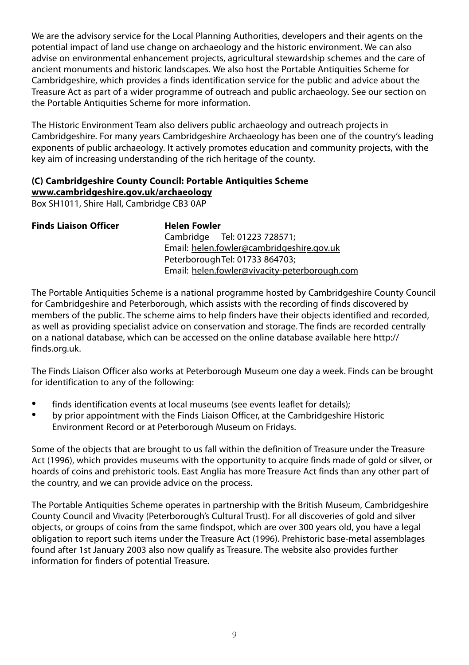We are the advisory service for the Local Planning Authorities, developers and their agents on the potential impact of land use change on archaeology and the historic environment. We can also advise on environmental enhancement projects, agricultural stewardship schemes and the care of ancient monuments and historic landscapes. We also host the Portable Antiquities Scheme for Cambridgeshire, which provides a finds identification service for the public and advice about the Treasure Act as part of a wider programme of outreach and public archaeology. See our section on the Portable Antiquities Scheme for more information.

The Historic Environment Team also delivers public archaeology and outreach projects in Cambridgeshire. For many years Cambridgeshire Archaeology has been one of the country's leading exponents of public archaeology. It actively promotes education and community projects, with the key aim of increasing understanding of the rich heritage of the county.

# **(C) Cambridgeshire County Council: Portable Antiquities Scheme**

**www.cambridgeshire.gov.uk/archaeology**

Box SH1011, Shire Hall, Cambridge CB3 0AP

| <b>Finds Liaison Officer</b> | <b>Helen Fowler</b>                           |
|------------------------------|-----------------------------------------------|
|                              | Cambridge Tel: 01223 728571;                  |
|                              | Email: helen.fowler@cambridgeshire.gov.uk     |
|                              | Peterborough Tel: 01733 864703;               |
|                              | Email: helen.fowler@vivacity-peterborough.com |

The Portable Antiquities Scheme is a national programme hosted by Cambridgeshire County Council for Cambridgeshire and Peterborough, which assists with the recording of finds discovered by members of the public. The scheme aims to help finders have their objects identified and recorded, as well as providing specialist advice on conservation and storage. The finds are recorded centrally on a national database, which can be accessed on the online database available here http:// finds.org.uk.

The Finds Liaison Officer also works at Peterborough Museum one day a week. Finds can be brought for identification to any of the following:

- finds identification events at local museums (see events leaflet for details);
- by prior appointment with the Finds Liaison Officer, at the Cambridgeshire Historic Environment Record or at Peterborough Museum on Fridays.

Some of the objects that are brought to us fall within the definition of Treasure under the Treasure Act (1996), which provides museums with the opportunity to acquire finds made of gold or silver, or hoards of coins and prehistoric tools. East Anglia has more Treasure Act finds than any other part of the country, and we can provide advice on the process.

The Portable Antiquities Scheme operates in partnership with the British Museum, Cambridgeshire County Council and Vivacity (Peterborough's Cultural Trust). For all discoveries of gold and silver objects, or groups of coins from the same findspot, which are over 300 years old, you have a legal obligation to report such items under the Treasure Act (1996). Prehistoric base-metal assemblages found after 1st January 2003 also now qualify as Treasure. The website also provides further information for finders of potential Treasure.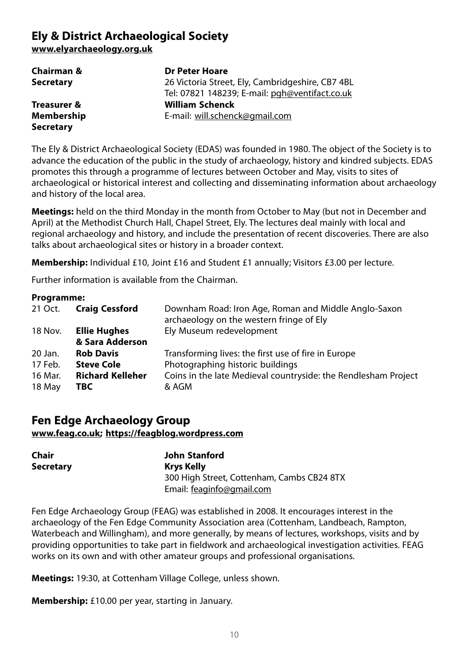# **Ely & District Archaeological Society**

**www.elyarchaeology.org.uk**

| Chairman &  | <b>Dr Peter Hoare</b>                            |
|-------------|--------------------------------------------------|
| Secretary   | 26 Victoria Street, Ely, Cambridgeshire, CB7 4BL |
|             | Tel: 07821 148239; E-mail: pgh@ventifact.co.uk   |
| Treasurer & | <b>William Schenck</b>                           |
| Membership  | E-mail: will.schenck@gmail.com                   |
| Secretary   |                                                  |

The Ely & District Archaeological Society (EDAS) was founded in 1980. The object of the Society is to advance the education of the public in the study of archaeology, history and kindred subjects. EDAS promotes this through a programme of lectures between October and May, visits to sites of archaeological or historical interest and collecting and disseminating information about archaeology and history of the local area.

**Meetings:** held on the third Monday in the month from October to May (but not in December and April) at the Methodist Church Hall, Chapel Street, Ely. The lectures deal mainly with local and regional archaeology and history, and include the presentation of recent discoveries. There are also talks about archaeological sites or history in a broader context.

**Membership:** Individual £10, Joint £16 and Student £1 annually; Visitors £3.00 per lecture.

Further information is available from the Chairman.

#### **Programme:**

| 21 Oct. | <b>Craig Cessford</b>   | Downham Road: Iron Age, Roman and Middle Anglo-Saxon<br>archaeology on the western fringe of Ely |
|---------|-------------------------|--------------------------------------------------------------------------------------------------|
| 18 Nov. | <b>Ellie Hughes</b>     | Ely Museum redevelopment                                                                         |
|         | & Sara Adderson         |                                                                                                  |
| 20 Jan. | <b>Rob Davis</b>        | Transforming lives: the first use of fire in Europe                                              |
| 17 Feb. | <b>Steve Cole</b>       | Photographing historic buildings                                                                 |
| 16 Mar. | <b>Richard Kelleher</b> | Coins in the late Medieval countryside: the Rendlesham Project                                   |
| 18 May  | TBC                     | & AGM                                                                                            |

# **Fen Edge Archaeology Group www.feag.co.uk; https://feagblog.wordpress.com**

| Chair            | John Stanford                              |  |
|------------------|--------------------------------------------|--|
| <b>Secretary</b> | Krys Kelly                                 |  |
|                  | 300 High Street, Cottenham, Cambs CB24 8TX |  |
|                  | Email: feaginfo@gmail.com                  |  |

Fen Edge Archaeology Group (FEAG) was established in 2008. It encourages interest in the archaeology of the Fen Edge Community Association area (Cottenham, Landbeach, Rampton, Waterbeach and Willingham), and more generally, by means of lectures, workshops, visits and by providing opportunities to take part in fieldwork and archaeological investigation activities. FEAG works on its own and with other amateur groups and professional organisations.

**Meetings:** 19:30, at Cottenham Village College, unless shown.

**Membership:** £10.00 per year, starting in January.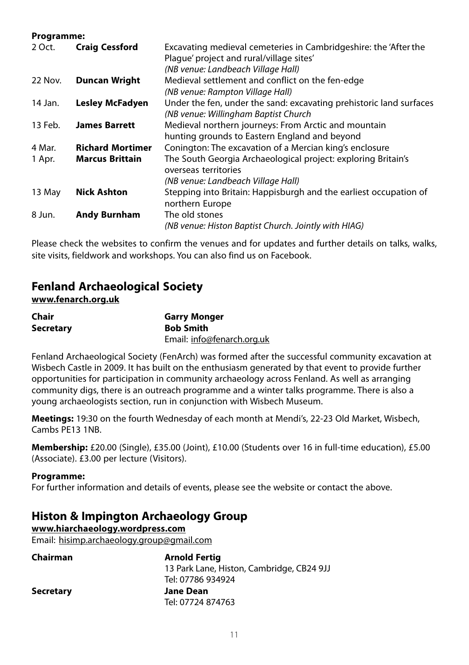#### **Programme:**

| <b>Craig Cessford</b>   | Excavating medieval cemeteries in Cambridgeshire: the 'After the<br>Plaque' project and rural/village sites'<br>(NB venue: Landbeach Village Hall) |
|-------------------------|----------------------------------------------------------------------------------------------------------------------------------------------------|
| <b>Duncan Wright</b>    | Medieval settlement and conflict on the fen-edge                                                                                                   |
|                         | (NB venue: Rampton Village Hall)                                                                                                                   |
| <b>Lesley McFadyen</b>  | Under the fen, under the sand: excavating prehistoric land surfaces<br>(NB venue: Willingham Baptist Church                                        |
| <b>James Barrett</b>    | Medieval northern journeys: From Arctic and mountain<br>hunting grounds to Eastern England and beyond                                              |
| <b>Richard Mortimer</b> | Conington: The excavation of a Mercian king's enclosure                                                                                            |
| <b>Marcus Brittain</b>  | The South Georgia Archaeological project: exploring Britain's<br>overseas territories                                                              |
|                         | (NB venue: Landbeach Village Hall)                                                                                                                 |
| <b>Nick Ashton</b>      | Stepping into Britain: Happisburgh and the earliest occupation of<br>northern Europe                                                               |
| <b>Andy Burnham</b>     | The old stones<br>(NB venue: Histon Baptist Church. Jointly with HIAG)                                                                             |
|                         |                                                                                                                                                    |

Please check the websites to confirm the venues and for updates and further details on talks, walks, site visits, fieldwork and workshops. You can also find us on Facebook.

# **Fenland Archaeological Society**

#### **www.fenarch.org.uk**

| Chair     | <b>Garry Monger</b>        |
|-----------|----------------------------|
| Secretary | <b>Bob Smith</b>           |
|           | Email: info@fenarch.org.uk |

Fenland Archaeological Society (FenArch) was formed after the successful community excavation at Wisbech Castle in 2009. It has built on the enthusiasm generated by that event to provide further opportunities for participation in community archaeology across Fenland. As well as arranging community digs, there is an outreach programme and a winter talks programme. There is also a young archaeologists section, run in conjunction with Wisbech Museum.

**Meetings:** 19:30 on the fourth Wednesday of each month at Mendi's, 22-23 Old Market, Wisbech, Cambs PE13 1NB.

**Membership:** £20.00 (Single), £35.00 (Joint), £10.00 (Students over 16 in full-time education), £5.00 (Associate). £3.00 per lecture (Visitors).

#### **Programme:**

For further information and details of events, please see the website or contact the above.

# **Histon & Impington Archaeology Group**

**www.hiarchaeology.wordpress.com**

Email: hisimp.archaeology.group@gmail.com

| Chairman         | <b>Arnold Fertig</b>                      |  |
|------------------|-------------------------------------------|--|
|                  | 13 Park Lane, Histon, Cambridge, CB24 9JJ |  |
|                  | Tel: 07786 934924                         |  |
| <b>Secretary</b> | <b>Jane Dean</b>                          |  |
|                  | Tel: 07724 874763                         |  |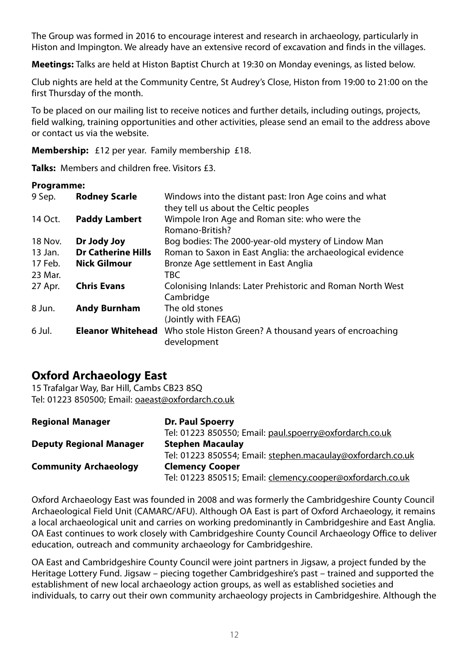The Group was formed in 2016 to encourage interest and research in archaeology, particularly in Histon and Impington. We already have an extensive record of excavation and finds in the villages.

**Meetings:** Talks are held at Histon Baptist Church at 19:30 on Monday evenings, as listed below.

Club nights are held at the Community Centre, St Audrey's Close, Histon from 19:00 to 21:00 on the first Thursday of the month.

To be placed on our mailing list to receive notices and further details, including outings, projects, field walking, training opportunities and other activities, please send an email to the address above or contact us via the website.

**Membership:** £12 per year. Family membership £18.

**Talks:** Members and children free. Visitors £3.

#### **Programme:**

| 9 Sep.  | <b>Rodney Scarle</b>      | Windows into the distant past: Iron Age coins and what     |
|---------|---------------------------|------------------------------------------------------------|
|         |                           | they tell us about the Celtic peoples                      |
| 14 Oct. | <b>Paddy Lambert</b>      | Wimpole Iron Age and Roman site: who were the              |
|         |                           | Romano-British?                                            |
| 18 Nov. | Dr Jody Joy               | Bog bodies: The 2000-year-old mystery of Lindow Man        |
| 13 Jan. | <b>Dr Catherine Hills</b> | Roman to Saxon in East Anglia: the archaeological evidence |
| 17 Feb. | Nick Gilmour              | Bronze Age settlement in East Anglia                       |
| 23 Mar. |                           | TBC                                                        |
| 27 Apr. | <b>Chris Evans</b>        | Colonising Inlands: Later Prehistoric and Roman North West |
|         |                           | Cambridge                                                  |
| 8 Jun.  | <b>Andy Burnham</b>       | The old stones                                             |
|         |                           | (Jointly with FEAG)                                        |
| 6 Jul.  | <b>Eleanor Whitehead</b>  | Who stole Histon Green? A thousand years of encroaching    |
|         |                           | development                                                |

# **Oxford Archaeology East**

15 Trafalgar Way, Bar Hill, Cambs CB23 8SQ Tel: 01223 850500; Email: oaeast@oxfordarch.co.uk

| <b>Regional Manager</b>        | Dr. Paul Spoerry                                            |  |
|--------------------------------|-------------------------------------------------------------|--|
|                                | Tel: 01223 850550; Email: paul.spoerry@oxfordarch.co.uk     |  |
| <b>Deputy Regional Manager</b> | <b>Stephen Macaulay</b>                                     |  |
|                                | Tel: 01223 850554; Email: stephen.macaulay@oxfordarch.co.uk |  |
| <b>Community Archaeology</b>   | <b>Clemency Cooper</b>                                      |  |
|                                | Tel: 01223 850515; Email: clemency.cooper@oxfordarch.co.uk  |  |

Oxford Archaeology East was founded in 2008 and was formerly the Cambridgeshire County Council Archaeological Field Unit (CAMARC/AFU). Although OA East is part of Oxford Archaeology, it remains a local archaeological unit and carries on working predominantly in Cambridgeshire and East Anglia. OA East continues to work closely with Cambridgeshire County Council Archaeology Office to deliver education, outreach and community archaeology for Cambridgeshire.

OA East and Cambridgeshire County Council were joint partners in Jigsaw, a project funded by the Heritage Lottery Fund. Jigsaw – piecing together Cambridgeshire's past – trained and supported the establishment of new local archaeology action groups, as well as established societies and individuals, to carry out their own community archaeology projects in Cambridgeshire. Although the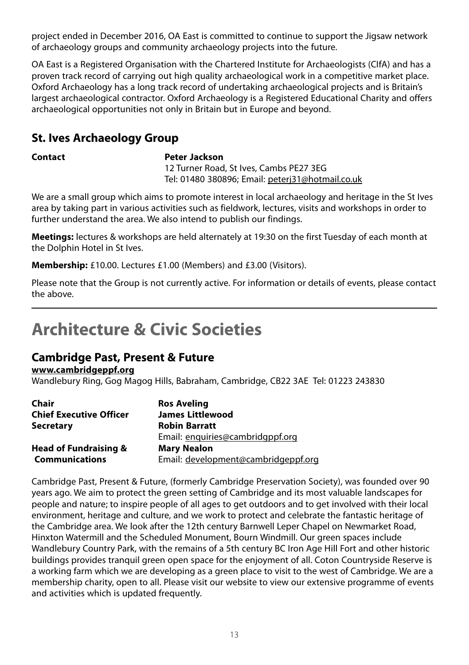<span id="page-13-0"></span>project ended in December 2016, OA East is committed to continue to support the Jigsaw network of archaeology groups and community archaeology projects into the future.

OA East is a Registered Organisation with the Chartered Institute for Archaeologists (CIfA) and has a proven track record of carrying out high quality archaeological work in a competitive market place. Oxford Archaeology has a long track record of undertaking archaeological projects and is Britain's largest archaeological contractor. Oxford Archaeology is a Registered Educational Charity and offers archaeological opportunities not only in Britain but in Europe and beyond.

# **St. Ives Archaeology Group**

#### **Contact Peter Jackson**

12 Turner Road, St Ives, Cambs PE27 3EG Tel: 01480 380896; Email: peterj31@hotmail.co.uk

We are a small group which aims to promote interest in local archaeology and heritage in the St Ives area by taking part in various activities such as fieldwork, lectures, visits and workshops in order to further understand the area. We also intend to publish our findings.

**Meetings:** lectures & workshops are held alternately at 19:30 on the first Tuesday of each month at the Dolphin Hotel in St Ives.

**Membership:** £10.00. Lectures £1.00 (Members) and £3.00 (Visitors).

Please note that the Group is not currently active. For information or details of events, please contact the above.

# **Architecture & Civic Societies**

# **Cambridge Past, Present & Future**

**www.cambridgeppf.org**

Wandlebury Ring, Gog Magog Hills, Babraham, Cambridge, CB22 3AE Tel: 01223 243830

| Chair                            | <b>Ros Aveling</b>                  |
|----------------------------------|-------------------------------------|
| <b>Chief Executive Officer</b>   | <b>James Littlewood</b>             |
| <b>Secretary</b>                 | <b>Robin Barratt</b>                |
|                                  | Email: enguiries@cambridgppf.org    |
| <b>Head of Fundraising &amp;</b> | <b>Mary Nealon</b>                  |
| <b>Communications</b>            | Email: development@cambridgeppf.org |

Cambridge Past, Present & Future, (formerly Cambridge Preservation Society), was founded over 90 years ago. We aim to protect the green setting of Cambridge and its most valuable landscapes for people and nature; to inspire people of all ages to get outdoors and to get involved with their local environment, heritage and culture, and we work to protect and celebrate the fantastic heritage of the Cambridge area. We look after the 12th century Barnwell Leper Chapel on Newmarket Road, Hinxton Watermill and the Scheduled Monument, Bourn Windmill. Our green spaces include Wandlebury Country Park, with the remains of a 5th century BC Iron Age Hill Fort and other historic buildings provides tranquil green open space for the enjoyment of all. Coton Countryside Reserve is a working farm which we are developing as a green place to visit to the west of Cambridge. We are a membership charity, open to all. Please visit our website to view our extensive programme of events and activities which is updated frequently.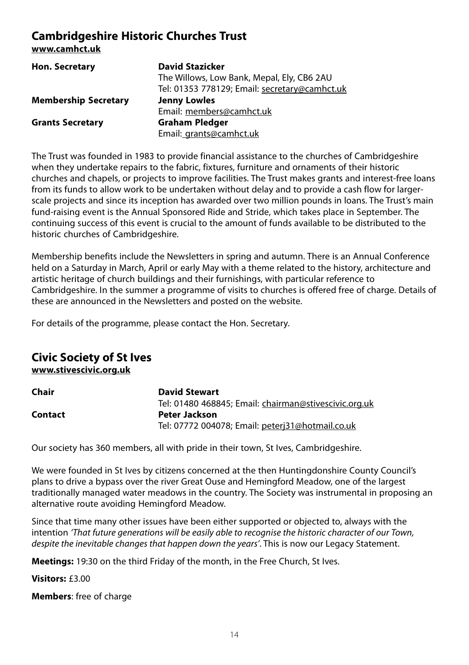# **Cambridgeshire Historic Churches Trust**

**www.camhct.uk**

| <b>Hon. Secretary</b>       | <b>David Stazicker</b>                        |
|-----------------------------|-----------------------------------------------|
|                             | The Willows, Low Bank, Mepal, Ely, CB6 2AU    |
|                             | Tel: 01353 778129; Email: secretary@camhct.uk |
| <b>Membership Secretary</b> | <b>Jenny Lowles</b>                           |
|                             | Email: members@camhct.uk                      |
| <b>Grants Secretary</b>     | <b>Graham Pledger</b>                         |
|                             | Email: grants@camhct.uk                       |

The Trust was founded in 1983 to provide financial assistance to the churches of Cambridgeshire when they undertake repairs to the fabric, fixtures, furniture and ornaments of their historic churches and chapels, or projects to improve facilities. The Trust makes grants and interest-free loans from its funds to allow work to be undertaken without delay and to provide a cash flow for largerscale projects and since its inception has awarded over two million pounds in loans. The Trust's main fund-raising event is the Annual Sponsored Ride and Stride, which takes place in September. The continuing success of this event is crucial to the amount of funds available to be distributed to the historic churches of Cambridgeshire.

Membership benefits include the Newsletters in spring and autumn. There is an Annual Conference held on a Saturday in March, April or early May with a theme related to the history, architecture and artistic heritage of church buildings and their furnishings, with particular reference to Cambridgeshire. In the summer a programme of visits to churches is offered free of charge. Details of these are announced in the Newsletters and posted on the website.

For details of the programme, please contact the Hon. Secretary.

# **Civic Society of St Ives**

**www.stivescivic.org.uk**

| Chair   | <b>David Stewart</b>                                  |
|---------|-------------------------------------------------------|
|         | Tel: 01480 468845; Email: chairman@stivescivic.org.uk |
| Contact | Peter Jackson                                         |
|         | Tel: 07772 004078; Email: peterj31@hotmail.co.uk      |

Our society has 360 members, all with pride in their town, St Ives, Cambridgeshire.

We were founded in St Ives by citizens concerned at the then Huntingdonshire County Council's plans to drive a bypass over the river Great Ouse and Hemingford Meadow, one of the largest traditionally managed water meadows in the country. The Society was instrumental in proposing an alternative route avoiding Hemingford Meadow.

Since that time many other issues have been either supported or objected to, always with the intention 'That future generations will be easily able to recognise the historic character of our Town, despite the inevitable changes that happen down the years'. This is now our Legacy Statement.

**Meetings:** 19:30 on the third Friday of the month, in the Free Church, St Ives.

**Visitors:** £3.00

**Members**: free of charge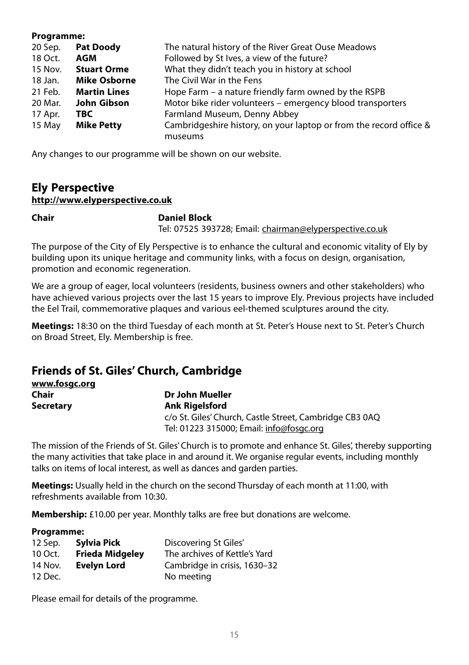#### **Programme:**

| 20 Sep. | <b>Pat Doody</b>    | The natural history of the River Great Ouse Meadows                |  |
|---------|---------------------|--------------------------------------------------------------------|--|
| 18 Oct. | AGM                 | Followed by St Ives, a view of the future?                         |  |
| 15 Nov. | <b>Stuart Orme</b>  | What they didn't teach you in history at school                    |  |
| 18 Jan. | <b>Mike Osborne</b> | The Civil War in the Fens                                          |  |
| 21 Feb. | <b>Martin Lines</b> | Hope Farm – a nature friendly farm owned by the RSPB               |  |
| 20 Mar. | John Gibson         | Motor bike rider volunteers – emergency blood transporters         |  |
| 17 Apr. | TBC.                | Farmland Museum, Denny Abbey                                       |  |
| 15 May  | <b>Mike Petty</b>   | Cambridgeshire history, on your laptop or from the record office & |  |
|         |                     | museums                                                            |  |

Any changes to our programme will be shown on our website.

# **Ely Perspective http://www.elyperspective.co.uk**

#### **Chair Daniel Block**

Tel: 07525 393728; Email: chairman@elyperspective.co.uk

The purpose of the City of Ely Perspective is to enhance the cultural and economic vitality of Ely by building upon its unique heritage and community links, with a focus on design, organisation, promotion and economic regeneration.

We are a group of eager, local volunteers (residents, business owners and other stakeholders) who have achieved various projects over the last 15 years to improve Ely. Previous projects have included the Eel Trail, commemorative plaques and various eel-themed sculptures around the city.

**Meetings:** 18:30 on the third Tuesday of each month at St. Peter's House next to St. Peter's Church on Broad Street, Ely. Membership is free.

# **Friends of St. Giles' Church, Cambridge**

| www.fosgc.org    |                                                         |
|------------------|---------------------------------------------------------|
| Chair            | Dr John Mueller                                         |
| <b>Secretary</b> | <b>Ank Rigelsford</b>                                   |
|                  | c/o St. Giles' Church, Castle Street, Cambridge CB3 0AQ |
|                  | Tel: 01223 315000; Email: info@fosgc.org                |

The mission of the Friends of St. Giles' Church is to promote and enhance St. Giles', thereby supporting the many activities that take place in and around it. We organise regular events, including monthly talks on items of local interest, as well as dances and garden parties.

**Meetings:** Usually held in the church on the second Thursday of each month at 11:00, with refreshments available from 10:30.

**Membership:** £10.00 per year. Monthly talks are free but donations are welcome.

#### **Programme:**

| 12 Sep. | Sylvia Pick            | Discovering St Giles'         |
|---------|------------------------|-------------------------------|
| 10 Oct. | <b>Frieda Midgeley</b> | The archives of Kettle's Yard |
| 14 Nov. | <b>Evelyn Lord</b>     | Cambridge in crisis, 1630-32  |
| 12 Dec. |                        | No meeting                    |

Please email for details of the programme.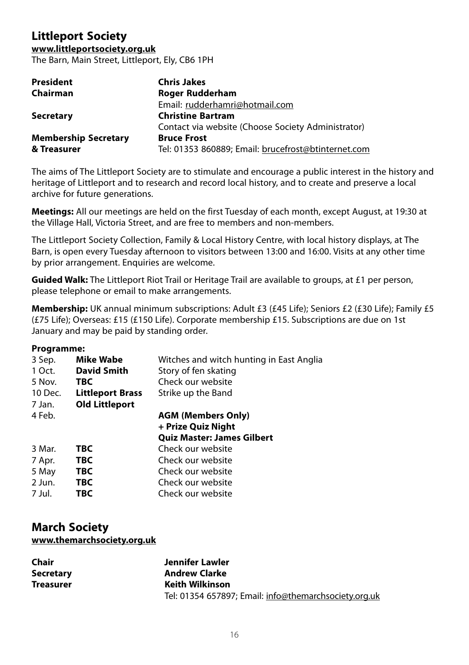# **Littleport Society**

#### **www.littleportsociety.org.uk**

The Barn, Main Street, Littleport, Ely, CB6 1PH

| <b>President</b>            | <b>Chris Jakes</b>                                  |
|-----------------------------|-----------------------------------------------------|
| Chairman                    | Roger Rudderham                                     |
|                             | Email: rudderhamri@hotmail.com                      |
| <b>Secretary</b>            | <b>Christine Bartram</b>                            |
|                             | Contact via website (Choose Society Administrator)  |
| <b>Membership Secretary</b> | <b>Bruce Frost</b>                                  |
| & Treasurer                 | Tel: 01353 860889; Email: brucefrost@btinternet.com |

The aims of The Littleport Society are to stimulate and encourage a public interest in the history and heritage of Littleport and to research and record local history, and to create and preserve a local archive for future generations.

**Meetings:** All our meetings are held on the first Tuesday of each month, except August, at 19:30 at the Village Hall, Victoria Street, and are free to members and non-members.

The Littleport Society Collection, Family & Local History Centre, with local history displays, at The Barn, is open every Tuesday afternoon to visitors between 13:00 and 16:00. Visits at any other time by prior arrangement. Enquiries are welcome.

**Guided Walk:** The Littleport Riot Trail or Heritage Trail are available to groups, at £1 per person, please telephone or email to make arrangements.

**Membership:** UK annual minimum subscriptions: Adult £3 (£45 Life); Seniors £2 (£30 Life); Family £5 (£75 Life); Overseas: £15 (£150 Life). Corporate membership £15. Subscriptions are due on 1st January and may be paid by standing order.

#### **Programme:**

| 3 Sep.  | Mike Wabe               | Witches and witch hunting in East Anglia |
|---------|-------------------------|------------------------------------------|
| 1 Oct.  | <b>David Smith</b>      | Story of fen skating                     |
| 5 Nov.  | TBC                     | Check our website                        |
| 10 Dec. | <b>Littleport Brass</b> | Strike up the Band                       |
| 7 Jan.  | <b>Old Littleport</b>   |                                          |
| 4 Feb.  |                         | <b>AGM (Members Only)</b>                |
|         |                         | + Prize Quiz Night                       |
|         |                         | <b>Quiz Master: James Gilbert</b>        |
| 3 Mar.  | <b>TBC</b>              | Check our website                        |
| 7 Apr.  | TBC                     | Check our website                        |
| 5 May   | TBC.                    | Check our website                        |
| 2 Jun.  | <b>TBC</b>              | Check our website                        |
| 7 Jul.  | TBC                     | Check our website                        |
|         |                         |                                          |

# **March Society www.themarchsociety.org.uk**

| Chair            | Jennifer Lawler                                       |
|------------------|-------------------------------------------------------|
| <b>Secretary</b> | <b>Andrew Clarke</b>                                  |
| <b>Treasurer</b> | <b>Keith Wilkinson</b>                                |
|                  | Tel: 01354 657897; Email: info@themarchsociety.org.uk |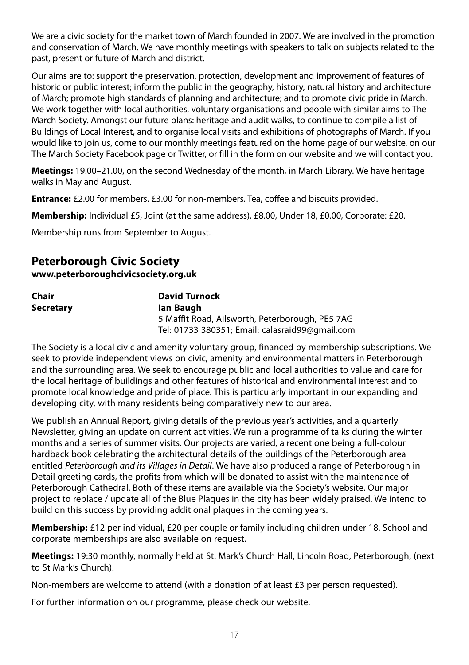We are a civic society for the market town of March founded in 2007. We are involved in the promotion and conservation of March. We have monthly meetings with speakers to talk on subjects related to the past, present or future of March and district.

Our aims are to: support the preservation, protection, development and improvement of features of historic or public interest; inform the public in the geography, history, natural history and architecture of March; promote high standards of planning and architecture; and to promote civic pride in March. We work together with local authorities, voluntary organisations and people with similar aims to The March Society. Amongst our future plans: heritage and audit walks, to continue to compile a list of Buildings of Local Interest, and to organise local visits and exhibitions of photographs of March. If you would like to join us, come to our monthly meetings featured on the home page of our website, on our The March Society Facebook page or Twitter, or fill in the form on our website and we will contact you.

**Meetings:** 19.00–21.00, on the second Wednesday of the month, in March Library. We have heritage walks in May and August.

**Entrance:** £2.00 for members. £3.00 for non-members. Tea, coffee and biscuits provided.

**Membership:** Individual £5, Joint (at the same address), £8.00, Under 18, £0.00, Corporate: £20.

Membership runs from September to August.

# **Peterborough Civic Society www.peterboroughcivicsociety.org.uk**

| Chair     | <b>David Turnock</b>                            |
|-----------|-------------------------------------------------|
| Secretary | lan Baugh                                       |
|           | 5 Maffit Road, Ailsworth, Peterborough, PE5 7AG |
|           | Tel: 01733 380351; Email: calasraid99@gmail.com |

The Society is a local civic and amenity voluntary group, financed by membership subscriptions. We seek to provide independent views on civic, amenity and environmental matters in Peterborough and the surrounding area. We seek to encourage public and local authorities to value and care for the local heritage of buildings and other features of historical and environmental interest and to promote local knowledge and pride of place. This is particularly important in our expanding and developing city, with many residents being comparatively new to our area.

We publish an Annual Report, giving details of the previous year's activities, and a quarterly Newsletter, giving an update on current activities. We run a programme of talks during the winter months and a series of summer visits. Our projects are varied, a recent one being a full-colour hardback book celebrating the architectural details of the buildings of the Peterborough area entitled Peterborough and its Villages in Detail. We have also produced a range of Peterborough in Detail greeting cards, the profits from which will be donated to assist with the maintenance of Peterborough Cathedral. Both of these items are available via the Society's website. Our major project to replace / update all of the Blue Plaques in the city has been widely praised. We intend to build on this success by providing additional plaques in the coming years.

**Membership:** £12 per individual, £20 per couple or family including children under 18. School and corporate memberships are also available on request.

**Meetings:** 19:30 monthly, normally held at St. Mark's Church Hall, Lincoln Road, Peterborough, (next to St Mark's Church).

Non-members are welcome to attend (with a donation of at least £3 per person requested).

For further information on our programme, please check our website.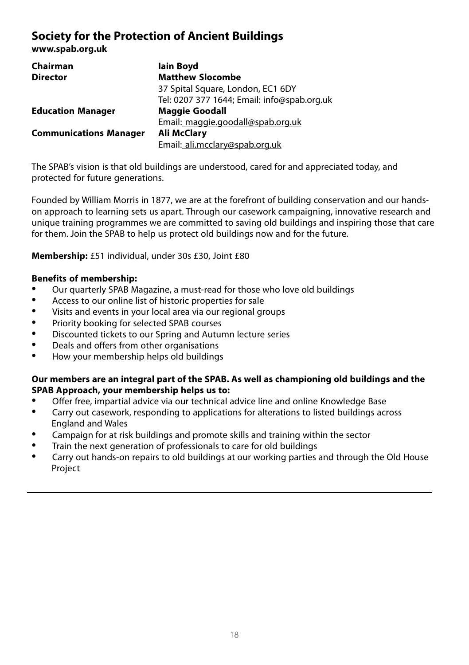# **Society for the Protection of Ancient Buildings**

**www.spab.org.uk**

| Chairman                      | lain Boyd                                   |
|-------------------------------|---------------------------------------------|
| <b>Director</b>               | <b>Matthew Slocombe</b>                     |
|                               | 37 Spital Square, London, EC1 6DY           |
|                               | Tel: 0207 377 1644; Email: info@spab.org.uk |
| <b>Education Manager</b>      | <b>Maggie Goodall</b>                       |
|                               | Email: maggie.goodall@spab.org.uk           |
| <b>Communications Manager</b> | <b>Ali McClary</b>                          |
|                               | Email: ali.mcclary@spab.org.uk              |

The SPAB's vision is that old buildings are understood, cared for and appreciated today, and protected for future generations.

Founded by William Morris in 1877, we are at the forefront of building conservation and our handson approach to learning sets us apart. Through our casework campaigning, innovative research and unique training programmes we are committed to saving old buildings and inspiring those that care for them. Join the SPAB to help us protect old buildings now and for the future.

**Membership:** £51 individual, under 30s £30, Joint £80

# **Benefits of membership:**

- Our quarterly SPAB Magazine, a must-read for those who love old buildings<br>• Access to our online list of historic properties for sale
- Access to our online list of historic properties for sale
- Visits and events in your local area via our regional groups<br>• Priority booking for selected SPAB courses
- Priority booking for selected SPAB courses<br>• Discounted tickets to our Spring and Autum
- Discounted tickets to our Spring and Autumn lecture series<br>• Deals and offers from other organisations
- Deals and offers from other organisations<br>• How your membership belos old buildings
- How your membership helps old buildings

#### **Our members are an integral part of the SPAB. As well as championing old buildings and the SPAB Approach, your membership helps us to:**

- Offer free, impartial advice via our technical advice line and online Knowledge Base<br>• Carrier technical accounts are a subjection for alternation to listed buildings are
- Carry out casework, responding to applications for alterations to listed buildings across England and Wales
- Campaign for at risk buildings and promote skills and training within the sector<br>• Train the port generation of professionals to sare for eld buildings
- Train the next generation of professionals to care for old buildings
- Carry out hands-on repairs to old buildings at our working parties and through the Old House Project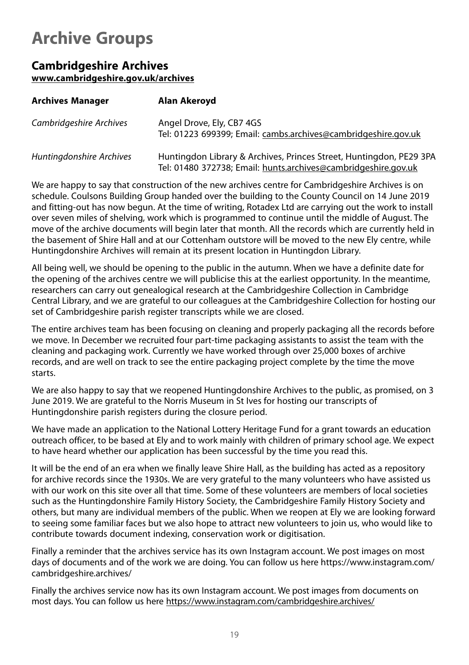# <span id="page-19-0"></span>**Archive Groups**

# **Cambridgeshire Archives www.cambridgeshire.gov.uk/archives**

| <b>Archives Manager</b>  | Alan Akeroyd                                                                                                                          |
|--------------------------|---------------------------------------------------------------------------------------------------------------------------------------|
| Cambridgeshire Archives  | Angel Drove, Ely, CB7 4GS<br>Tel: 01223 699399; Email: cambs.archives@cambridgeshire.gov.uk                                           |
| Huntingdonshire Archives | Huntingdon Library & Archives, Princes Street, Huntingdon, PE29 3PA<br>Tel: 01480 372738; Email: hunts.archives@cambridgeshire.gov.uk |

We are happy to say that construction of the new archives centre for Cambridgeshire Archives is on schedule. Coulsons Building Group handed over the building to the County Council on 14 June 2019 and fitting-out has now begun. At the time of writing, Rotadex Ltd are carrying out the work to install over seven miles of shelving, work which is programmed to continue until the middle of August. The move of the archive documents will begin later that month. All the records which are currently held in the basement of Shire Hall and at our Cottenham outstore will be moved to the new Ely centre, while Huntingdonshire Archives will remain at its present location in Huntingdon Library.

All being well, we should be opening to the public in the autumn. When we have a definite date for the opening of the archives centre we will publicise this at the earliest opportunity. In the meantime, researchers can carry out genealogical research at the Cambridgeshire Collection in Cambridge Central Library, and we are grateful to our colleagues at the Cambridgeshire Collection for hosting our set of Cambridgeshire parish register transcripts while we are closed.

The entire archives team has been focusing on cleaning and properly packaging all the records before we move. In December we recruited four part-time packaging assistants to assist the team with the cleaning and packaging work. Currently we have worked through over 25,000 boxes of archive records, and are well on track to see the entire packaging project complete by the time the move starts.

We are also happy to say that we reopened Huntingdonshire Archives to the public, as promised, on 3 June 2019. We are grateful to the Norris Museum in St Ives for hosting our transcripts of Huntingdonshire parish registers during the closure period.

We have made an application to the National Lottery Heritage Fund for a grant towards an education outreach officer, to be based at Ely and to work mainly with children of primary school age. We expect to have heard whether our application has been successful by the time you read this.

It will be the end of an era when we finally leave Shire Hall, as the building has acted as a repository for archive records since the 1930s. We are very grateful to the many volunteers who have assisted us with our work on this site over all that time. Some of these volunteers are members of local societies such as the Huntingdonshire Family History Society, the Cambridgeshire Family History Society and others, but many are individual members of the public. When we reopen at Ely we are looking forward to seeing some familiar faces but we also hope to attract new volunteers to join us, who would like to contribute towards document indexing, conservation work or digitisation.

Finally a reminder that the archives service has its own Instagram account. We post images on most days of documents and of the work we are doing. You can follow us here https://www.instagram.com/ cambridgeshire.archives/

Finally the archives service now has its own Instagram account. We post images from documents on most days. You can follow us here https://www.instagram.com/cambridgeshire.archives/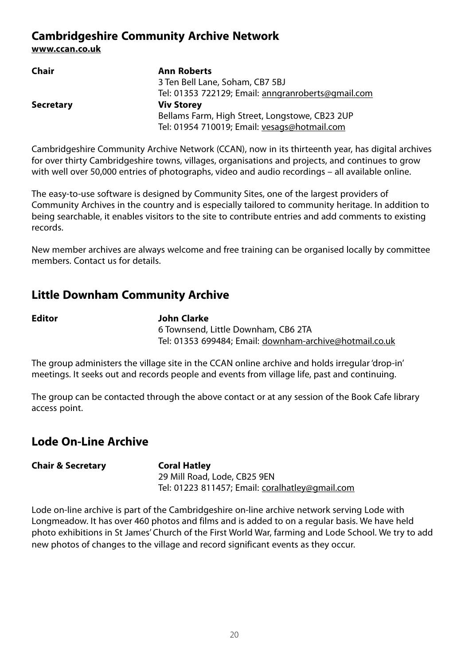# **Cambridgeshire Community Archive Network**

**www.ccan.co.uk**

| Chair            | <b>Ann Roberts</b>                                 |
|------------------|----------------------------------------------------|
|                  | 3 Ten Bell Lane, Soham, CB7 5BJ                    |
|                  | Tel: 01353 722129; Email: anngranroberts@gmail.com |
| <b>Secretary</b> | <b>Viv Storey</b>                                  |
|                  | Bellams Farm, High Street, Longstowe, CB23 2UP     |
|                  | Tel: 01954 710019; Email: vesags@hotmail.com       |
|                  |                                                    |

Cambridgeshire Community Archive Network (CCAN), now in its thirteenth year, has digital archives for over thirty Cambridgeshire towns, villages, organisations and projects, and continues to grow with well over 50,000 entries of photographs, video and audio recordings – all available online.

The easy-to-use software is designed by Community Sites, one of the largest providers of Community Archives in the country and is especially tailored to community heritage. In addition to being searchable, it enables visitors to the site to contribute entries and add comments to existing records.

New member archives are always welcome and free training can be organised locally by committee members. Contact us for details.

# **Little Downham Community Archive**

**Editor John Clarke** 6 Townsend, Little Downham, CB6 2TA Tel: 01353 699484; Email: downham-archive@hotmail.co.uk

The group administers the village site in the CCAN online archive and holds irregular 'drop-in' meetings. It seeks out and records people and events from village life, past and continuing.

The group can be contacted through the above contact or at any session of the Book Cafe library access point.

# **Lode On-Line Archive**

# **Chair & Secretary Coral Hatley**

29 Mill Road, Lode, CB25 9EN Tel: 01223 811457; Email: coralhatley@gmail.com

Lode on-line archive is part of the Cambridgeshire on-line archive network serving Lode with Longmeadow. It has over 460 photos and films and is added to on a regular basis. We have held photo exhibitions in St James' Church of the First World War, farming and Lode School. We try to add new photos of changes to the village and record significant events as they occur.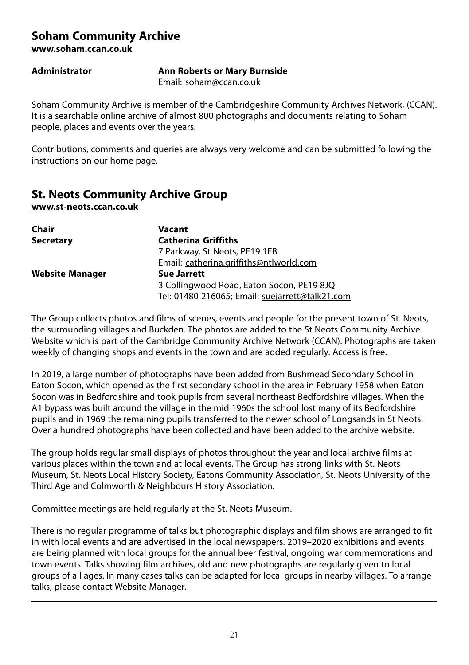# **Soham Community Archive www.soham.ccan.co.uk**

**Administrator Ann Roberts or Mary Burnside**

Email: soham@ccan.co.uk

Soham Community Archive is member of the Cambridgeshire Community Archives Network, (CCAN). It is a searchable online archive of almost 800 photographs and documents relating to Soham people, places and events over the years.

Contributions, comments and queries are always very welcome and can be submitted following the instructions on our home page.

# **St. Neots Community Archive Group**

**www.st-neots.ccan.co.uk**

| Chair                  | Vacant                                          |
|------------------------|-------------------------------------------------|
| <b>Secretary</b>       | <b>Catherina Griffiths</b>                      |
|                        | 7 Parkway, St Neots, PE19 1EB                   |
|                        | Email: catherina.griffiths@ntlworld.com         |
| <b>Website Manager</b> | <b>Sue Jarrett</b>                              |
|                        | 3 Collingwood Road, Eaton Socon, PE19 8JQ       |
|                        | Tel: 01480 216065; Email: suejarrett@talk21.com |

The Group collects photos and films of scenes, events and people for the present town of St. Neots, the surrounding villages and Buckden. The photos are added to the St Neots Community Archive Website which is part of the Cambridge Community Archive Network (CCAN). Photographs are taken weekly of changing shops and events in the town and are added regularly. Access is free.

In 2019, a large number of photographs have been added from Bushmead Secondary School in Eaton Socon, which opened as the first secondary school in the area in February 1958 when Eaton Socon was in Bedfordshire and took pupils from several northeast Bedfordshire villages. When the A1 bypass was built around the village in the mid 1960s the school lost many of its Bedfordshire pupils and in 1969 the remaining pupils transferred to the newer school of Longsands in St Neots. Over a hundred photographs have been collected and have been added to the archive website.

The group holds regular small displays of photos throughout the year and local archive films at various places within the town and at local events. The Group has strong links with St. Neots Museum, St. Neots Local History Society, Eatons Community Association, St. Neots University of the Third Age and Colmworth & Neighbours History Association.

Committee meetings are held regularly at the St. Neots Museum.

There is no regular programme of talks but photographic displays and film shows are arranged to fit in with local events and are advertised in the local newspapers. 2019–2020 exhibitions and events are being planned with local groups for the annual beer festival, ongoing war commemorations and town events. Talks showing film archives, old and new photographs are regularly given to local groups of all ages. In many cases talks can be adapted for local groups in nearby villages. To arrange talks, please contact Website Manager.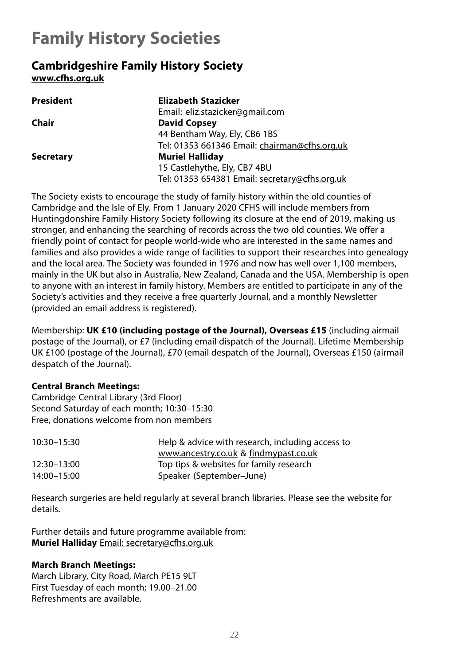# <span id="page-22-0"></span>**Family History Societies**

# **Cambridgeshire Family History Society www.cfhs.org.uk**

| <b>President</b> | Elizabeth Stazicker                            |
|------------------|------------------------------------------------|
|                  | Email: eliz.stazicker@gmail.com                |
| Chair            | <b>David Copsey</b>                            |
|                  | 44 Bentham Way, Ely, CB6 1BS                   |
|                  | Tel: 01353 661346 Email: chairman@cfhs.org.uk  |
| <b>Secretary</b> | <b>Muriel Halliday</b>                         |
|                  | 15 Castlehythe, Ely, CB7 4BU                   |
|                  | Tel: 01353 654381 Email: secretary@cfhs.org.uk |

The Society exists to encourage the study of family history within the old counties of Cambridge and the Isle of Ely. From 1 January 2020 CFHS will include members from Huntingdonshire Family History Society following its closure at the end of 2019, making us stronger, and enhancing the searching of records across the two old counties. We offer a friendly point of contact for people world-wide who are interested in the same names and families and also provides a wide range of facilities to support their researches into genealogy and the local area. The Society was founded in 1976 and now has well over 1,100 members, mainly in the UK but also in Australia, New Zealand, Canada and the USA. Membership is open to anyone with an interest in family history. Members are entitled to participate in any of the Society's activities and they receive a free quarterly Journal, and a monthly Newsletter (provided an email address is registered).

Membership: **UK £10 (including postage of the Journal), Overseas £15** (including airmail postage of the Journal), or £7 (including email dispatch of the Journal). Lifetime Membership UK £100 (postage of the Journal), £70 (email despatch of the Journal), Overseas £150 (airmail despatch of the Journal).

# **Central Branch Meetings:**

Cambridge Central Library (3rd Floor) Second Saturday of each month; 10:30–15:30 Free, donations welcome from non members

| 10:30-15:30 | Help & advice with research, including access to |
|-------------|--------------------------------------------------|
|             | www.ancestry.co.uk & findmypast.co.uk            |
| 12:30-13:00 | Top tips & websites for family research          |
| 14:00-15:00 | Speaker (September-June)                         |

Research surgeries are held regularly at several branch libraries. Please see the website for details.

Further details and future programme available from: **Muriel Halliday** Email: secretary@cfhs.org.uk

#### **March Branch Meetings:**

March Library, City Road, March PE15 9LT First Tuesday of each month; 19.00–21.00 Refreshments are available.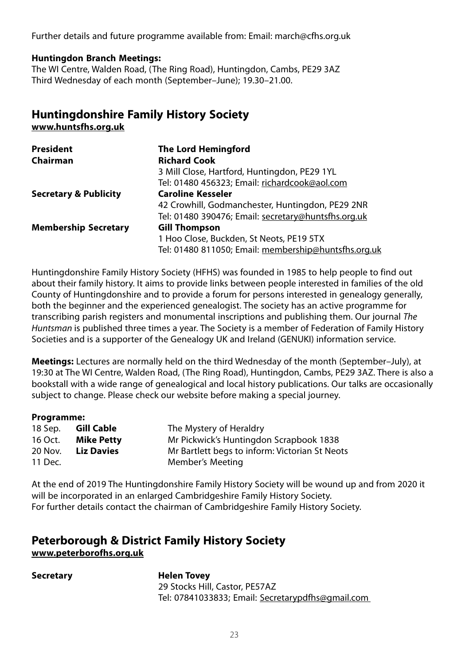Further details and future programme available from: Email: march@cfhs.org.uk

#### **Huntingdon Branch Meetings:**

The WI Centre, Walden Road, (The Ring Road), Huntingdon, Cambs, PE29 3AZ Third Wednesday of each month (September–June); 19.30–21.00.

# **Huntingdonshire Family History Society www.huntsfhs.org.uk**

| <b>President</b>                 | <b>The Lord Hemingford</b>                           |
|----------------------------------|------------------------------------------------------|
| Chairman                         | <b>Richard Cook</b>                                  |
|                                  | 3 Mill Close, Hartford, Huntingdon, PE29 1YL         |
|                                  | Tel: 01480 456323; Email: richardcook@aol.com        |
| <b>Secretary &amp; Publicity</b> | <b>Caroline Kesseler</b>                             |
|                                  | 42 Crowhill, Godmanchester, Huntingdon, PE29 2NR     |
|                                  | Tel: 01480 390476; Email: secretary@huntsfhs.org.uk  |
| <b>Membership Secretary</b>      | <b>Gill Thompson</b>                                 |
|                                  | 1 Hoo Close, Buckden, St Neots, PE19 5TX             |
|                                  | Tel: 01480 811050; Email: membership@huntsfhs.org.uk |

Huntingdonshire Family History Society (HFHS) was founded in 1985 to help people to find out about their family history. It aims to provide links between people interested in families of the old County of Huntingdonshire and to provide a forum for persons interested in genealogy generally, both the beginner and the experienced genealogist. The society has an active programme for transcribing parish registers and monumental inscriptions and publishing them. Our journal The Huntsman is published three times a year. The Society is a member of Federation of Family History Societies and is a supporter of the Genealogy UK and Ireland (GENUKI) information service.

**Meetings:** Lectures are normally held on the third Wednesday of the month (September–July), at 19:30 at The WI Centre, Walden Road, (The Ring Road), Huntingdon, Cambs, PE29 3AZ. There is also a bookstall with a wide range of genealogical and local history publications. Our talks are occasionally subject to change. Please check our website before making a special journey.

#### **Programme:**

| 18 Sep. | Gill Cable        | The Mystery of Heraldry                        |
|---------|-------------------|------------------------------------------------|
| 16 Oct. | Mike Petty        | Mr Pickwick's Huntingdon Scrapbook 1838        |
| 20 Nov. | <b>Liz Davies</b> | Mr Bartlett begs to inform: Victorian St Neots |
| 11 Dec. |                   | Member's Meeting                               |

At the end of 2019 The Huntingdonshire Family History Society will be wound up and from 2020 it will be incorporated in an enlarged Cambridgeshire Family History Society. For further details contact the chairman of Cambridgeshire Family History Society.

# **Peterborough & District Family History Society www.peterborofhs.org.uk**

**Secretary Helen Tovey** 29 Stocks Hill, Castor, PE57AZ Tel: 07841033833; Email: Secretarypdfhs@gmail.com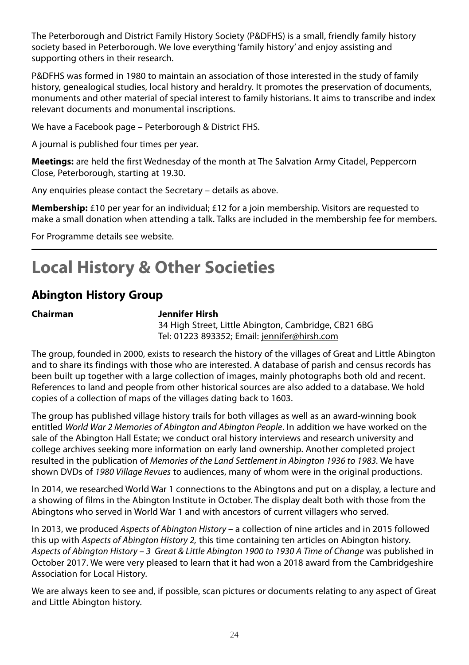<span id="page-24-0"></span>The Peterborough and District Family History Society (P&DFHS) is a small, friendly family history society based in Peterborough. We love everything 'family history' and enjoy assisting and supporting others in their research.

P&DFHS was formed in 1980 to maintain an association of those interested in the study of family history, genealogical studies, local history and heraldry. It promotes the preservation of documents, monuments and other material of special interest to family historians. It aims to transcribe and index relevant documents and monumental inscriptions.

We have a Facebook page – Peterborough & District FHS.

A journal is published four times per year.

**Meetings:** are held the first Wednesday of the month at The Salvation Army Citadel, Peppercorn Close, Peterborough, starting at 19.30.

Any enquiries please contact the Secretary – details as above.

**Membership:** £10 per year for an individual; £12 for a join membership. Visitors are requested to make a small donation when attending a talk. Talks are included in the membership fee for members.

For Programme details see website.

# **Local History & Other Societies**

# **Abington History Group**

#### **Chairman Jennifer Hirsh**

34 High Street, Little Abington, Cambridge, CB21 6BG Tel: 01223 893352; Email: jennifer@hirsh.com

The group, founded in 2000, exists to research the history of the villages of Great and Little Abington and to share its findings with those who are interested. A database of parish and census records has been built up together with a large collection of images, mainly photographs both old and recent. References to land and people from other historical sources are also added to a database. We hold copies of a collection of maps of the villages dating back to 1603.

The group has published village history trails for both villages as well as an award-winning book entitled World War 2 Memories of Abington and Abington People. In addition we have worked on the sale of the Abington Hall Estate; we conduct oral history interviews and research university and college archives seeking more information on early land ownership. Another completed project resulted in the publication of Memories of the Land Settlement in Abington 1936 to 1983. We have shown DVDs of 1980 Village Revues to audiences, many of whom were in the original productions.

In 2014, we researched World War 1 connections to the Abingtons and put on a display, a lecture and a showing of films in the Abington Institute in October. The display dealt both with those from the Abingtons who served in World War 1 and with ancestors of current villagers who served.

In 2013, we produced Aspects of Abinaton History – a collection of nine articles and in 2015 followed this up with Aspects of Abinaton History 2, this time containing ten articles on Abington history. Aspects of Abington History – 3 Great & Little Abington 1900 to 1930 A Time of Change was published in October 2017. We were very pleased to learn that it had won a 2018 award from the Cambridgeshire Association for Local History.

We are always keen to see and, if possible, scan pictures or documents relating to any aspect of Great and Little Abington history.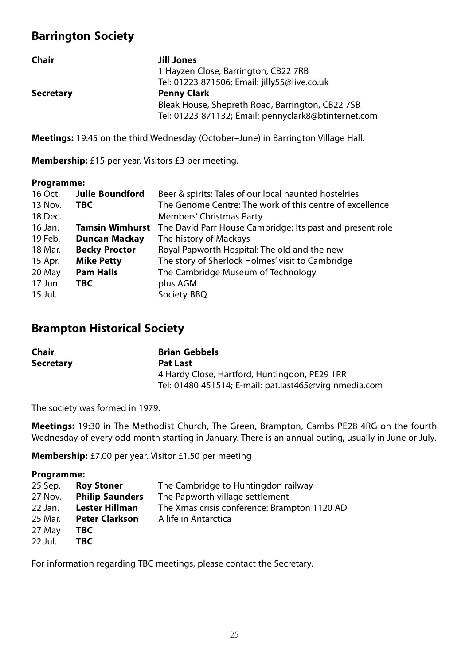# **Barrington Society**

| Chair     | Jill Jones                                           |
|-----------|------------------------------------------------------|
|           | 1 Hayzen Close, Barrington, CB22 7RB                 |
|           | Tel: 01223 871506; Email: jilly55@live.co.uk         |
| Secretary | <b>Penny Clark</b>                                   |
|           | Bleak House, Shepreth Road, Barrington, CB22 7SB     |
|           | Tel: 01223 871132; Email: pennyclark8@btinternet.com |
|           |                                                      |

**Meetings:** 19:45 on the third Wednesday (October–June) in Barrington Village Hall.

**Membership:** £15 per year. Visitors £3 per meeting.

#### **Programme:**

| 16 Oct. | <b>Julie Boundford</b> | Beer & spirits: Tales of our local haunted hostelries     |
|---------|------------------------|-----------------------------------------------------------|
| 13 Nov. | TBC.                   | The Genome Centre: The work of this centre of excellence  |
| 18 Dec. |                        | Members' Christmas Party                                  |
| 16 Jan. | <b>Tamsin Wimhurst</b> | The David Parr House Cambridge: Its past and present role |
| 19 Feb. | <b>Duncan Mackay</b>   | The history of Mackays                                    |
| 18 Mar. | <b>Becky Proctor</b>   | Royal Papworth Hospital: The old and the new              |
| 15 Apr. | <b>Mike Petty</b>      | The story of Sherlock Holmes' visit to Cambridge          |
| 20 May  | <b>Pam Halls</b>       | The Cambridge Museum of Technology                        |
| 17 Jun. | TBC.                   | plus AGM                                                  |
| 15 Jul. |                        | Society BBQ                                               |

# **Brampton Historical Society**

| Chair            | <b>Brian Gebbels</b>                                   |
|------------------|--------------------------------------------------------|
| <b>Secretary</b> | <b>Pat Last</b>                                        |
|                  | 4 Hardy Close, Hartford, Huntingdon, PE29 1RR          |
|                  | Tel: 01480 451514; E-mail: pat.last465@virginmedia.com |

The society was formed in 1979.

**Meetings:** 19:30 in The Methodist Church, The Green, Brampton, Cambs PE28 4RG on the fourth Wednesday of every odd month starting in January. There is an annual outing, usually in June or July.

**Membership:** £7.00 per year. Visitor £1.50 per meeting

#### **Programme:**

| 25 Sep. | <b>Roy Stoner</b>      | The Cambridge to Huntingdon railway          |
|---------|------------------------|----------------------------------------------|
| 27 Nov. | <b>Philip Saunders</b> | The Papworth village settlement              |
| 22 Jan. | <b>Lester Hillman</b>  | The Xmas crisis conference: Brampton 1120 AD |
| 25 Mar. | <b>Peter Clarkson</b>  | A life in Antarctica                         |
| 27 May  | TBC.                   |                                              |
| 22 Jul. | TBC                    |                                              |

For information regarding TBC meetings, please contact the Secretary.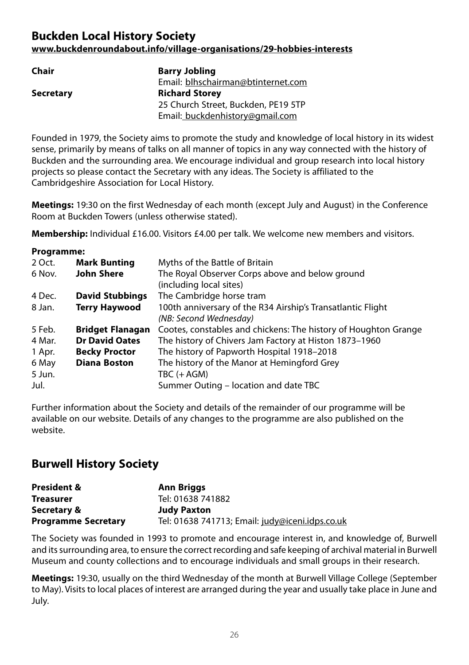# **Buckden Local History Society www.buckdenroundabout.info/village-organisations/29-hobbies-interests**

| Chair     | <b>Barry Jobling</b>                |
|-----------|-------------------------------------|
|           | Email: blhschairman@btinternet.com  |
| Secretary | <b>Richard Storey</b>               |
|           | 25 Church Street, Buckden, PE19 5TP |
|           | Email: buckdenhistory@gmail.com     |

Founded in 1979, the Society aims to promote the study and knowledge of local history in its widest sense, primarily by means of talks on all manner of topics in any way connected with the history of Buckden and the surrounding area. We encourage individual and group research into local history projects so please contact the Secretary with any ideas. The Society is affiliated to the Cambridgeshire Association for Local History.

**Meetings:** 19:30 on the first Wednesday of each month (except July and August) in the Conference Room at Buckden Towers (unless otherwise stated).

**Membership:** Individual £16.00. Visitors £4.00 per talk. We welcome new members and visitors.

| Programme:              |                                                                 |
|-------------------------|-----------------------------------------------------------------|
| <b>Mark Bunting</b>     | Myths of the Battle of Britain                                  |
| <b>John Shere</b>       | The Royal Observer Corps above and below ground                 |
|                         | (including local sites)                                         |
| <b>David Stubbings</b>  | The Cambridge horse tram                                        |
| Terry Haywood           | 100th anniversary of the R34 Airship's Transatlantic Flight     |
|                         | (NB: Second Wednesday)                                          |
| <b>Bridget Flanagan</b> | Cootes, constables and chickens: The history of Houghton Grange |
| <b>Dr David Oates</b>   | The history of Chivers Jam Factory at Histon 1873-1960          |
| <b>Becky Proctor</b>    | The history of Papworth Hospital 1918–2018                      |
| <b>Diana Boston</b>     | The history of the Manor at Hemingford Grey                     |
|                         | TBC (+ AGM)                                                     |
|                         | Summer Outing – location and date TBC                           |
|                         |                                                                 |

Further information about the Society and details of the remainder of our programme will be available on our website. Details of any changes to the programme are also published on the website.

# **Burwell History Society**

| <b>President &amp;</b>     | Ann Briggs                                      |
|----------------------------|-------------------------------------------------|
| <b>Treasurer</b>           | Tel: 01638 741882                               |
| Secretary &                | <b>Judy Paxton</b>                              |
| <b>Programme Secretary</b> | Tel: 01638 741713; Email: judy@iceni.idps.co.uk |

The Society was founded in 1993 to promote and encourage interest in, and knowledge of, Burwell and its surrounding area, to ensure the correct recording and safe keeping of archival material in Burwell Museum and county collections and to encourage individuals and small groups in their research.

**Meetings:** 19:30, usually on the third Wednesday of the month at Burwell Village College (September to May). Visits to local places of interest are arranged during the year and usually take place in June and July.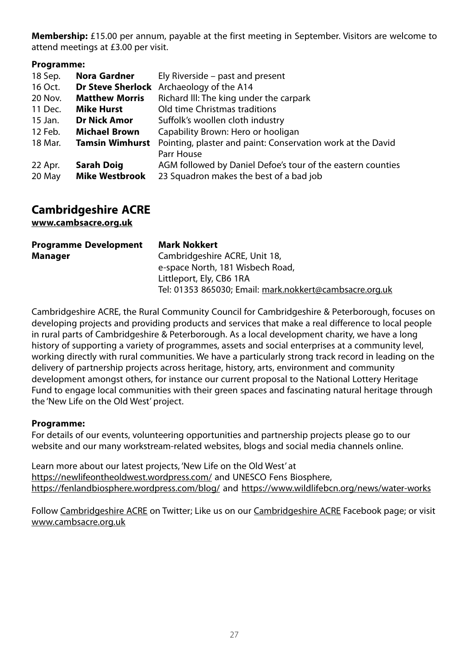**Membership:** £15.00 per annum, payable at the first meeting in September. Visitors are welcome to attend meetings at £3.00 per visit.

#### **Programme:**

| 18 Sep. | Nora Gardner           | Ely Riverside – past and present                            |
|---------|------------------------|-------------------------------------------------------------|
| 16 Oct. |                        | <b>Dr Steve Sherlock</b> Archaeology of the A14             |
| 20 Nov. | <b>Matthew Morris</b>  | Richard III: The king under the carpark                     |
| 11 Dec. | <b>Mike Hurst</b>      | Old time Christmas traditions                               |
| 15 Jan. | <b>Dr Nick Amor</b>    | Suffolk's woollen cloth industry                            |
| 12 Feb. | <b>Michael Brown</b>   | Capability Brown: Hero or hooligan                          |
| 18 Mar. | <b>Tamsin Wimhurst</b> | Pointing, plaster and paint: Conservation work at the David |
|         |                        | Parr House                                                  |
| 22 Apr. | <b>Sarah Doig</b>      | AGM followed by Daniel Defoe's tour of the eastern counties |
| 20 May  | <b>Mike Westbrook</b>  | 23 Squadron makes the best of a bad job                     |

# **Cambridgeshire ACRE**

**www.cambsacre.org.uk**

| <b>Programme Development</b> | Mark Nokkert                                            |
|------------------------------|---------------------------------------------------------|
| Manager                      | Cambridgeshire ACRE, Unit 18,                           |
|                              | e-space North, 181 Wisbech Road,                        |
|                              | Littleport, Ely, CB6 1RA                                |
|                              | Tel: 01353 865030; Email: mark.nokkert@cambsacre.org.uk |

Cambridgeshire ACRE, the Rural Community Council for Cambridgeshire & Peterborough, focuses on developing projects and providing products and services that make a real difference to local people in rural parts of Cambridgeshire & Peterborough. As a local development charity, we have a long history of supporting a variety of programmes, assets and social enterprises at a community level, working directly with rural communities. We have a particularly strong track record in leading on the delivery of partnership projects across heritage, history, arts, environment and community development amongst others, for instance our current proposal to the National Lottery Heritage Fund to engage local communities with their green spaces and fascinating natural heritage through the 'New Life on the Old West' project.

#### **Programme:**

For details of our events, volunteering opportunities and partnership projects please go to our website and our many workstream-related websites, blogs and social media channels online.

Learn more about our latest projects, 'New Life on the Old West' at https://newlifeontheoldwest.wordpress.com/ and UNESCO Fens Biosphere, https://fenlandbiosphere.wordpress.com/blog/ and https://www.wildlifebcn.org/news/water-works

Follow Cambridgeshire ACRE on Twitter; Like us on our Cambridgeshire ACRE Facebook page; or visit www.cambsacre.org.uk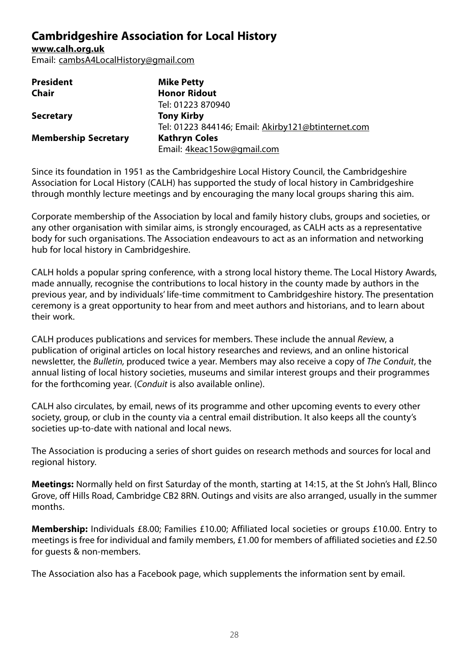# **Cambridgeshire Association for Local History**

**www.calh.org.uk** Email: cambsA4LocalHistory@gmail.com

| <b>President</b>            | <b>Mike Petty</b>                                  |
|-----------------------------|----------------------------------------------------|
| Chair                       | <b>Honor Ridout</b>                                |
|                             | Tel: 01223 870940                                  |
| <b>Secretary</b>            | <b>Tony Kirby</b>                                  |
|                             | Tel: 01223 844146; Email: Akirby121@btinternet.com |
| <b>Membership Secretary</b> | <b>Kathryn Coles</b>                               |
|                             | Email: 4keac15ow@gmail.com                         |

Since its foundation in 1951 as the Cambridgeshire Local History Council, the Cambridgeshire Association for Local History (CALH) has supported the study of local history in Cambridgeshire through monthly lecture meetings and by encouraging the many local groups sharing this aim.

Corporate membership of the Association by local and family history clubs, groups and societies, or any other organisation with similar aims, is strongly encouraged, as CALH acts as a representative body for such organisations. The Association endeavours to act as an information and networking hub for local history in Cambridgeshire.

CALH holds a popular spring conference, with a strong local history theme. The Local History Awards, made annually, recognise the contributions to local history in the county made by authors in the previous year, and by individuals' life-time commitment to Cambridgeshire history. The presentation ceremony is a great opportunity to hear from and meet authors and historians, and to learn about their work.

CALH produces publications and services for members. These include the annual Review, a publication of original articles on local history researches and reviews, and an online historical newsletter, the Bulletin, produced twice a year. Members may also receive a copy of The Conduit, the annual listing of local history societies, museums and similar interest groups and their programmes for the forthcoming year. (Conduit is also available online).

CALH also circulates, by email, news of its programme and other upcoming events to every other society, group, or club in the county via a central email distribution. It also keeps all the county's societies up-to-date with national and local news.

The Association is producing a series of short guides on research methods and sources for local and regional history.

**Meetings:** Normally held on first Saturday of the month, starting at 14:15, at the St John's Hall, Blinco Grove, off Hills Road, Cambridge CB2 8RN. Outings and visits are also arranged, usually in the summer months.

**Membership:** Individuals £8.00; Families £10.00; Affiliated local societies or groups £10.00. Entry to meetings is free for individual and family members, £1.00 for members of affiliated societies and £2.50 for guests & non-members.

The Association also has a Facebook page, which supplements the information sent by email.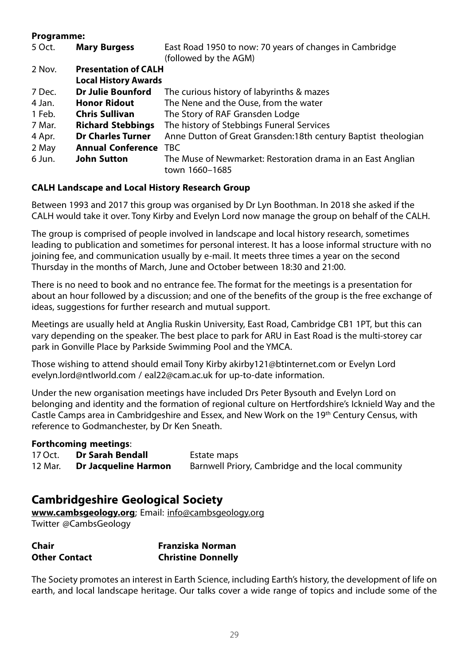#### **Programme:**

| <b>Mary Burgess</b>      | East Road 1950 to now: 70 years of changes in Cambridge                       |
|--------------------------|-------------------------------------------------------------------------------|
|                          | (followed by the AGM)                                                         |
|                          |                                                                               |
|                          |                                                                               |
| Dr Julie Bounford        | The curious history of labyrinths & mazes                                     |
| <b>Honor Ridout</b>      | The Nene and the Ouse, from the water                                         |
| <b>Chris Sullivan</b>    | The Story of RAF Gransden Lodge                                               |
| <b>Richard Stebbings</b> | The history of Stebbings Funeral Services                                     |
| <b>Dr Charles Turner</b> | Anne Dutton of Great Gransden:18th century Baptist theologian                 |
| <b>Annual Conference</b> | <b>TBC</b>                                                                    |
| <b>John Sutton</b>       | The Muse of Newmarket: Restoration drama in an East Anglian<br>town 1660-1685 |
|                          | <b>Presentation of CALH</b><br><b>Local History Awards</b>                    |

#### **CALH Landscape and Local History Research Group**

Between 1993 and 2017 this group was organised by Dr Lyn Boothman. In 2018 she asked if the CALH would take it over. Tony Kirby and Evelyn Lord now manage the group on behalf of the CALH.

The group is comprised of people involved in landscape and local history research, sometimes leading to publication and sometimes for personal interest. It has a loose informal structure with no joining fee, and communication usually by e-mail. It meets three times a year on the second Thursday in the months of March, June and October between 18:30 and 21:00.

There is no need to book and no entrance fee. The format for the meetings is a presentation for about an hour followed by a discussion; and one of the benefits of the group is the free exchange of ideas, suggestions for further research and mutual support.

Meetings are usually held at Anglia Ruskin University, East Road, Cambridge CB1 1PT, but this can vary depending on the speaker. The best place to park for ARU in East Road is the multi-storey car park in Gonville Place by Parkside Swimming Pool and the YMCA.

Those wishing to attend should email Tony Kirby akirby121@btinternet.com or Evelyn Lord evelyn.lord@ntlworld.com / eal22@cam.ac.uk for up-to-date information.

Under the new organisation meetings have included Drs Peter Bysouth and Evelyn Lord on belonging and identity and the formation of regional culture on Hertfordshire's Icknield Way and the Castle Camps area in Cambridgeshire and Essex, and New Work on the 19th Century Census, with reference to Godmanchester, by Dr Ken Sneath.

#### **Forthcoming meetings**:

| 17 Oct. | Dr Sarah Bendall     | Estate maps                                        |
|---------|----------------------|----------------------------------------------------|
| 12 Mar. | Dr Jacqueline Harmon | Barnwell Priory, Cambridge and the local community |

# **Cambridgeshire Geological Society**

**www.cambsgeology.org**; Email: info@cambsgeology.org Twitter @CambsGeology

| Chair                | Franziska Norman          |
|----------------------|---------------------------|
| <b>Other Contact</b> | <b>Christine Donnelly</b> |

The Society promotes an interest in Earth Science, including Earth's history, the development of life on earth, and local landscape heritage. Our talks cover a wide range of topics and include some of the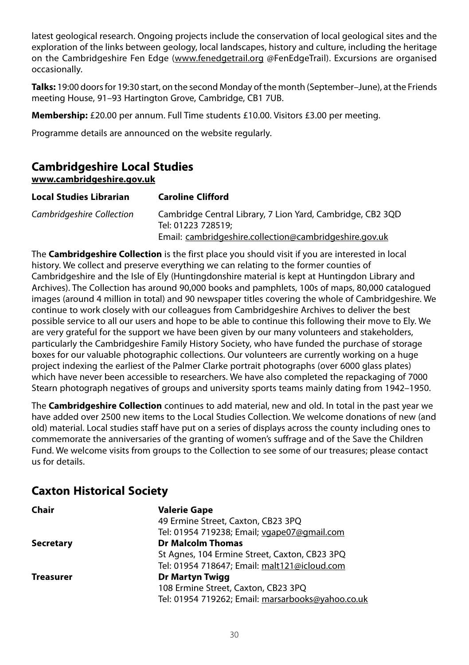latest geological research. Ongoing projects include the conservation of local geological sites and the exploration of the links between geology, local landscapes, history and culture, including the heritage on the Cambridgeshire Fen Edge (www.fenedgetrail.org @FenEdgeTrail). Excursions are organised occasionally.

**Talks:** 19:00 doors for 19:30 start, on the second Monday of the month (September–June), at the Friends meeting House, 91–93 Hartington Grove, Cambridge, CB1 7UB.

**Membership:** £20.00 per annum. Full Time students £10.00. Visitors £3.00 per meeting.

Programme details are announced on the website regularly.

# **Cambridgeshire Local Studies**

**www.cambridgeshire.gov.uk**

| <b>Local Studies Librarian</b> | <b>Caroline Clifford</b>                                                         |
|--------------------------------|----------------------------------------------------------------------------------|
| Cambridgeshire Collection      | Cambridge Central Library, 7 Lion Yard, Cambridge, CB2 3QD<br>Tel: 01223 728519: |
|                                | Email: cambridgeshire.collection@cambridgeshire.gov.uk                           |

The **Cambridgeshire Collection** is the first place you should visit if you are interested in local history. We collect and preserve everything we can relating to the former counties of Cambridgeshire and the Isle of Ely (Huntingdonshire material is kept at Huntingdon Library and Archives). The Collection has around 90,000 books and pamphlets, 100s of maps, 80,000 catalogued images (around 4 million in total) and 90 newspaper titles covering the whole of Cambridgeshire. We continue to work closely with our colleagues from Cambridgeshire Archives to deliver the best possible service to all our users and hope to be able to continue this following their move to Ely. We are very grateful for the support we have been given by our many volunteers and stakeholders, particularly the Cambridgeshire Family History Society, who have funded the purchase of storage boxes for our valuable photographic collections. Our volunteers are currently working on a huge project indexing the earliest of the Palmer Clarke portrait photographs (over 6000 glass plates) which have never been accessible to researchers. We have also completed the repackaging of 7000 Stearn photograph negatives of groups and university sports teams mainly dating from 1942–1950.

The **Cambridgeshire Collection** continues to add material, new and old. In total in the past year we have added over 2500 new items to the Local Studies Collection. We welcome donations of new (and old) material. Local studies staff have put on a series of displays across the county including ones to commemorate the anniversaries of the granting of women's suffrage and of the Save the Children Fund. We welcome visits from groups to the Collection to see some of our treasures; please contact us for details.

# **Caxton Historical Society**

| Chair            | <b>Valerie Gape</b>                               |
|------------------|---------------------------------------------------|
|                  | 49 Ermine Street, Caxton, CB23 3PQ                |
|                  | Tel: 01954 719238; Email; vgape07@gmail.com       |
| <b>Secretary</b> | <b>Dr Malcolm Thomas</b>                          |
|                  | St Agnes, 104 Ermine Street, Caxton, CB23 3PQ     |
|                  | Tel: 01954 718647; Email: malt121@icloud.com      |
| Treasurer        | <b>Dr Martyn Twigg</b>                            |
|                  | 108 Ermine Street, Caxton, CB23 3PQ               |
|                  | Tel: 01954 719262; Email: marsarbooks@yahoo.co.uk |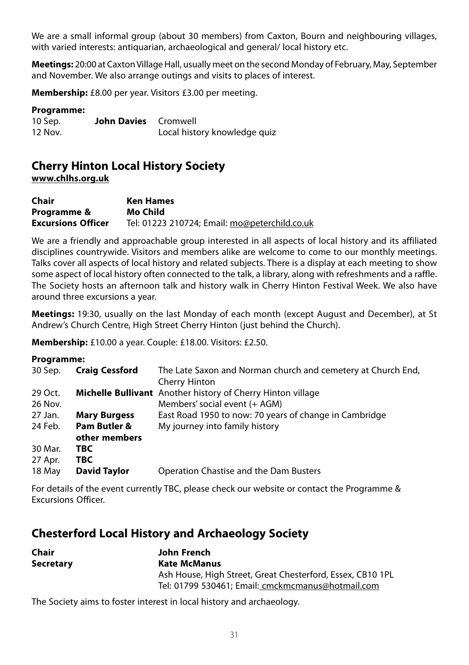We are a small informal group (about 30 members) from Caxton, Bourn and neighbouring villages, with varied interests: antiquarian, archaeological and general/ local history etc.

**Meetings:** 20:00 at Caxton Village Hall, usually meet on the second Monday of February, May, September and November. We also arrange outings and visits to places of interest.

**Membership:** £8.00 per year. Visitors £3.00 per meeting.

#### **Programme:**

| 10 Sep. | <b>John Davies</b> Cromwell |                              |
|---------|-----------------------------|------------------------------|
| 12 Nov. |                             | Local history knowledge quiz |

#### **Cherry Hinton Local History Society www.chlhs.org.uk**

| Chair                     | <b>Ken Hames</b>                              |
|---------------------------|-----------------------------------------------|
| Programme &               | Mo Child                                      |
| <b>Excursions Officer</b> | Tel: 01223 210724; Email: mo@peterchild.co.uk |

We are a friendly and approachable group interested in all aspects of local history and its affiliated disciplines countrywide. Visitors and members alike are welcome to come to our monthly meetings. Talks cover all aspects of local history and related subjects. There is a display at each meeting to show some aspect of local history often connected to the talk, a library, along with refreshments and a raffle. The Society hosts an afternoon talk and history walk in Cherry Hinton Festival Week. We also have around three excursions a year.

**Meetings:** 19:30, usually on the last Monday of each month (except August and December), at St Andrew's Church Centre, High Street Cherry Hinton (just behind the Church).

**Membership:** £10.00 a year. Couple: £18.00. Visitors: £2.50.

#### **Programme:**

| 117414111115. |                               |                                                                               |
|---------------|-------------------------------|-------------------------------------------------------------------------------|
| 30 Sep.       | <b>Craig Cessford</b>         | The Late Saxon and Norman church and cemetery at Church End,<br>Cherry Hinton |
| 29 Oct.       |                               | <b>Michelle Bullivant</b> Another history of Cherry Hinton village            |
| 26 Nov.       |                               | Members' social event (+ AGM)                                                 |
| 27 Jan.       | <b>Mary Burgess</b>           | East Road 1950 to now: 70 years of change in Cambridge                        |
| 24 Feb.       | Pam Butler &<br>other members | My journey into family history                                                |
| 30 Mar.       | TBC.                          |                                                                               |
| 27 Apr.       | TBC                           |                                                                               |
| 18 May        | <b>David Taylor</b>           | Operation Chastise and the Dam Busters                                        |
|               |                               |                                                                               |

For details of the event currently TBC, please check our website or contact the Programme & Excursions Officer.

# **Chesterford Local History and Archaeology Society**

| Chair            | John French                                                |
|------------------|------------------------------------------------------------|
| <b>Secretary</b> | Kate McManus                                               |
|                  | Ash House, High Street, Great Chesterford, Essex, CB10 1PL |
|                  | Tel: 01799 530461: Email: cmckmcmanus@hotmail.com          |

The Society aims to foster interest in local history and archaeology.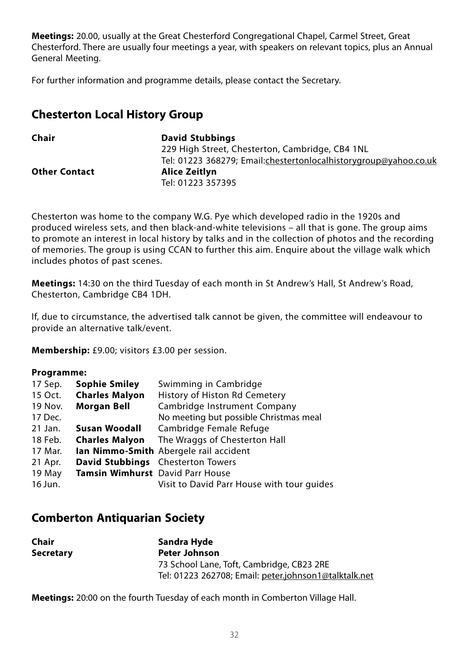**Meetings:** 20.00, usually at the Great Chesterford Congregational Chapel, Carmel Street, Great Chesterford. There are usually four meetings a year, with speakers on relevant topics, plus an Annual General Meeting.

For further information and programme details, please contact the Secretary.

# **Chesterton Local History Group**

| Chair                | <b>David Stubbings</b>                                           |
|----------------------|------------------------------------------------------------------|
|                      | 229 High Street, Chesterton, Cambridge, CB4 1NL                  |
|                      | Tel: 01223 368279; Email:chestertonlocalhistorygroup@yahoo.co.uk |
| <b>Other Contact</b> | Alice Zeitlyn                                                    |
|                      | Tel: 01223 357395                                                |

Chesterton was home to the company W.G. Pye which developed radio in the 1920s and produced wireless sets, and then black-and-white televisions – all that is gone. The group aims to promote an interest in local history by talks and in the collection of photos and the recording of memories. The group is using CCAN to further this aim. Enquire about the village walk which includes photos of past scenes.

**Meetings:** 14:30 on the third Tuesday of each month in St Andrew's Hall, St Andrew's Road, Chesterton, Cambridge CB4 1DH.

If, due to circumstance, the advertised talk cannot be given, the committee will endeavour to provide an alternative talk/event.

**Membership:** £9.00; visitors £3.00 per session.

#### **Programme:**

| 17 Sep. | <b>Sophie Smiley</b>                    | Swimming in Cambridge                         |
|---------|-----------------------------------------|-----------------------------------------------|
| 15 Oct. | <b>Charles Malyon</b>                   | History of Histon Rd Cemetery                 |
| 19 Nov. | <b>Morgan Bell</b>                      | Cambridge Instrument Company                  |
| 17 Dec. |                                         | No meeting but possible Christmas meal        |
| 21 Jan. | Susan Woodall                           | Cambridge Female Refuge                       |
| 18 Feb. | <b>Charles Malvon</b>                   | The Wraggs of Chesterton Hall                 |
| 17 Mar. |                                         | <b>Ian Nimmo-Smith</b> Abergele rail accident |
| 21 Apr. |                                         | David Stubbings Chesterton Towers             |
| 19 May  | <b>Tamsin Wimhurst</b> David Parr House |                                               |
| 16 Jun. |                                         | Visit to David Parr House with tour quides    |

# **Comberton Antiquarian Society**

| Chair            | Sandra Hyde                                           |
|------------------|-------------------------------------------------------|
| <b>Secretary</b> | <b>Peter Johnson</b>                                  |
|                  | 73 School Lane, Toft, Cambridge, CB23 2RE             |
|                  | Tel: 01223 262708; Email: peter.johnson1@talktalk.net |

**Meetings:** 20:00 on the fourth Tuesday of each month in Comberton Village Hall.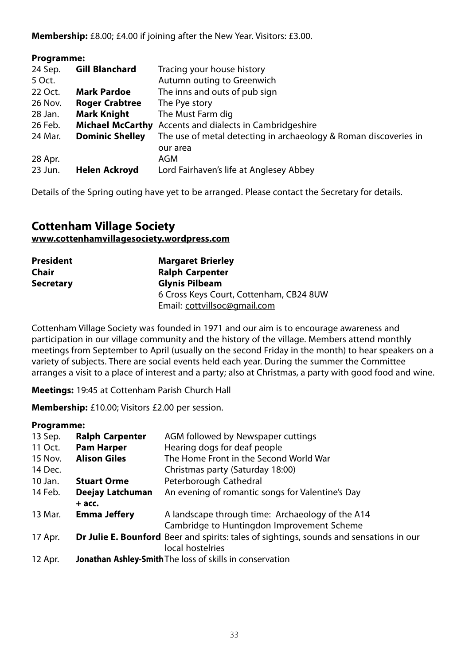**Membership:** £8.00; £4.00 if joining after the New Year. Visitors: £3.00.

| Programme: |                        |                                                                  |
|------------|------------------------|------------------------------------------------------------------|
| 24 Sep.    | <b>Gill Blanchard</b>  | Tracing your house history                                       |
| 5 Oct.     |                        | Autumn outing to Greenwich                                       |
| 22 Oct.    | <b>Mark Pardoe</b>     | The inns and outs of pub sign                                    |
| 26 Nov.    | <b>Roger Crabtree</b>  | The Pye story                                                    |
| 28 Jan.    | <b>Mark Knight</b>     | The Must Farm dig                                                |
| 26 Feb.    |                        | <b>Michael McCarthy</b> Accents and dialects in Cambridgeshire   |
| 24 Mar.    | <b>Dominic Shelley</b> | The use of metal detecting in archaeology & Roman discoveries in |
|            |                        | our area                                                         |
| 28 Apr.    |                        | AGM                                                              |
| 23 Jun.    | Helen Ackroyd          | Lord Fairhaven's life at Anglesey Abbey                          |
|            |                        |                                                                  |

Details of the Spring outing have yet to be arranged. Please contact the Secretary for details.

# **Cottenham Village Society www.cottenhamvillagesociety.wordpress.com**

| <b>President</b> | <b>Margaret Brierley</b>                |
|------------------|-----------------------------------------|
| Chair            | <b>Ralph Carpenter</b>                  |
| <b>Secretary</b> | <b>Glynis Pilbeam</b>                   |
|                  | 6 Cross Keys Court, Cottenham, CB24 8UW |
|                  | Email: cottvillsoc@gmail.com            |

Cottenham Village Society was founded in 1971 and our aim is to encourage awareness and participation in our village community and the history of the village. Members attend monthly meetings from September to April (usually on the second Friday in the month) to hear speakers on a variety of subjects. There are social events held each year. During the summer the Committee arranges a visit to a place of interest and a party; also at Christmas, a party with good food and wine.

**Meetings:** 19:45 at Cottenham Parish Church Hall

**Membership:** £10.00; Visitors £2.00 per session.

#### **Programme:**

| 13 Sep. | <b>Ralph Carpenter</b> | AGM followed by Newspaper cuttings                                                      |
|---------|------------------------|-----------------------------------------------------------------------------------------|
| 11 Oct. | <b>Pam Harper</b>      | Hearing dogs for deaf people                                                            |
| 15 Nov. | <b>Alison Giles</b>    | The Home Front in the Second World War                                                  |
| 14 Dec. |                        | Christmas party (Saturday 18:00)                                                        |
| 10 Jan. | <b>Stuart Orme</b>     | Peterborough Cathedral                                                                  |
| 14 Feb. | Deejay Latchuman       | An evening of romantic songs for Valentine's Day                                        |
|         | $+$ acc.               |                                                                                         |
| 13 Mar. | Emma Jeffery           | A landscape through time: Archaeology of the A14                                        |
|         |                        | Cambridge to Huntingdon Improvement Scheme                                              |
| 17 Apr. |                        | Dr Julie E. Bounford Beer and spirits: tales of sightings, sounds and sensations in our |
|         |                        | local hostelries                                                                        |
| 12 Apr. |                        | Jonathan Ashley-Smith The loss of skills in conservation                                |
|         |                        |                                                                                         |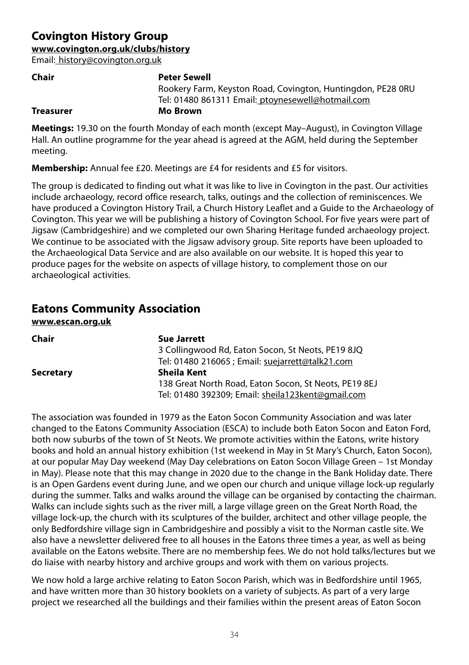# **Covington History Group**

**www.covington.org.uk/clubs/history**

Email: history@covington.org.uk

| Chair            | <b>Peter Sewell</b>                                         |
|------------------|-------------------------------------------------------------|
|                  | Rookery Farm, Keyston Road, Covington, Huntingdon, PE28 ORU |
|                  | Tel: 01480 861311 Email: ptoynesewell@hotmail.com           |
| <b>Treasurer</b> | Mo Brown                                                    |
|                  |                                                             |

**Meetings:** 19.30 on the fourth Monday of each month (except May–August), in Covington Village Hall. An outline programme for the year ahead is agreed at the AGM, held during the September meeting.

**Membership:** Annual fee £20. Meetings are £4 for residents and £5 for visitors.

The group is dedicated to finding out what it was like to live in Covington in the past. Our activities include archaeology, record office research, talks, outings and the collection of reminiscences. We have produced a Covington History Trail, a Church History Leaflet and a Guide to the Archaeology of Covington. This year we will be publishing a history of Covington School. For five years were part of Jigsaw (Cambridgeshire) and we completed our own Sharing Heritage funded archaeology project. We continue to be associated with the Jigsaw advisory group. Site reports have been uploaded to the Archaeological Data Service and are also available on our website. It is hoped this year to produce pages for the website on aspects of village history, to complement those on our archaeological activities.

# **Eatons Community Association**

**www.escan.org.uk**

| Chair            | Sue Jarrett                                           |
|------------------|-------------------------------------------------------|
|                  | 3 Collingwood Rd, Eaton Socon, St Neots, PE19 8JQ     |
|                  | Tel: 01480 216065 ; Email: suejarrett@talk21.com      |
| <b>Secretary</b> | Sheila Kent                                           |
|                  | 138 Great North Road, Eaton Socon, St Neots, PE19 8EJ |
|                  | Tel: 01480 392309; Email: sheila123kent@gmail.com     |

The association was founded in 1979 as the Eaton Socon Community Association and was later changed to the Eatons Community Association (ESCA) to include both Eaton Socon and Eaton Ford, both now suburbs of the town of St Neots. We promote activities within the Eatons, write history books and hold an annual history exhibition (1st weekend in May in St Mary's Church, Eaton Socon), at our popular May Day weekend (May Day celebrations on Eaton Socon Village Green – 1st Monday in May). Please note that this may change in 2020 due to the change in the Bank Holiday date. There is an Open Gardens event during June, and we open our church and unique village lock-up regularly during the summer. Talks and walks around the village can be organised by contacting the chairman. Walks can include sights such as the river mill, a large village green on the Great North Road, the village lock-up, the church with its sculptures of the builder, architect and other village people, the only Bedfordshire village sign in Cambridgeshire and possibly a visit to the Norman castle site. We also have a newsletter delivered free to all houses in the Eatons three times a year, as well as being available on the Eatons website. There are no membership fees. We do not hold talks/lectures but we do liaise with nearby history and archive groups and work with them on various projects.

We now hold a large archive relating to Eaton Socon Parish, which was in Bedfordshire until 1965, and have written more than 30 history booklets on a variety of subjects. As part of a very large project we researched all the buildings and their families within the present areas of Eaton Socon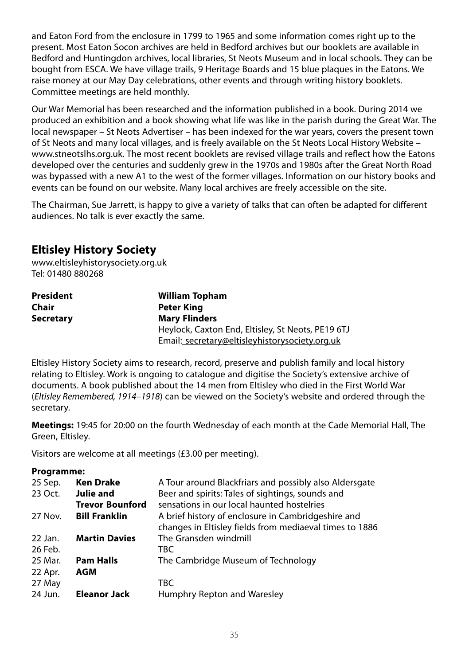and Eaton Ford from the enclosure in 1799 to 1965 and some information comes right up to the present. Most Eaton Socon archives are held in Bedford archives but our booklets are available in Bedford and Huntingdon archives, local libraries, St Neots Museum and in local schools. They can be bought from ESCA. We have village trails, 9 Heritage Boards and 15 blue plaques in the Eatons. We raise money at our May Day celebrations, other events and through writing history booklets. Committee meetings are held monthly.

Our War Memorial has been researched and the information published in a book. During 2014 we produced an exhibition and a book showing what life was like in the parish during the Great War. The local newspaper – St Neots Advertiser – has been indexed for the war years, covers the present town of St Neots and many local villages, and is freely available on the St Neots Local History Website – www.stneotslhs.org.uk. The most recent booklets are revised village trails and reflect how the Eatons developed over the centuries and suddenly grew in the 1970s and 1980s after the Great North Road was bypassed with a new A1 to the west of the former villages. Information on our history books and events can be found on our website. Many local archives are freely accessible on the site.

The Chairman, Sue Jarrett, is happy to give a variety of talks that can often be adapted for different audiences. No talk is ever exactly the same.

# **Eltisley History Society**

www.eltisleyhistorysociety.org.uk Tel: 01480 880268

| President | <b>William Topham</b>                             |
|-----------|---------------------------------------------------|
| Chair     | Peter King                                        |
| Secretary | <b>Mary Flinders</b>                              |
|           | Heylock, Caxton End, Eltisley, St Neots, PE19 6TJ |
|           | Email: secretary@eltisleyhistorysociety.org.uk    |

Eltisley History Society aims to research, record, preserve and publish family and local history relating to Eltisley. Work is ongoing to catalogue and digitise the Society's extensive archive of documents. A book published about the 14 men from Eltisley who died in the First World War (Eltisley Remembered, 1914–1918) can be viewed on the Society's website and ordered through the secretary.

**Meetings:** 19:45 for 20:00 on the fourth Wednesday of each month at the Cade Memorial Hall, The Green, Eltisley.

Visitors are welcome at all meetings (£3.00 per meeting).

#### **Programme:**

| 25 Sep. | <b>Ken Drake</b>       | A Tour around Blackfriars and possibly also Aldersgate  |
|---------|------------------------|---------------------------------------------------------|
| 23 Oct. | <b>Julie and</b>       | Beer and spirits: Tales of sightings, sounds and        |
|         | <b>Trevor Bounford</b> | sensations in our local haunted hostelries              |
| 27 Nov. | <b>Bill Franklin</b>   | A brief history of enclosure in Cambridgeshire and      |
|         |                        | changes in Eltisley fields from mediaeval times to 1886 |
| 22 Jan. | <b>Martin Davies</b>   | The Gransden windmill                                   |
| 26 Feb. |                        | TBC.                                                    |
| 25 Mar. | <b>Pam Halls</b>       | The Cambridge Museum of Technology                      |
| 22 Apr. | AGM                    |                                                         |
| 27 May  |                        | TBC.                                                    |
| 24 Jun. | <b>Eleanor Jack</b>    | Humphry Repton and Waresley                             |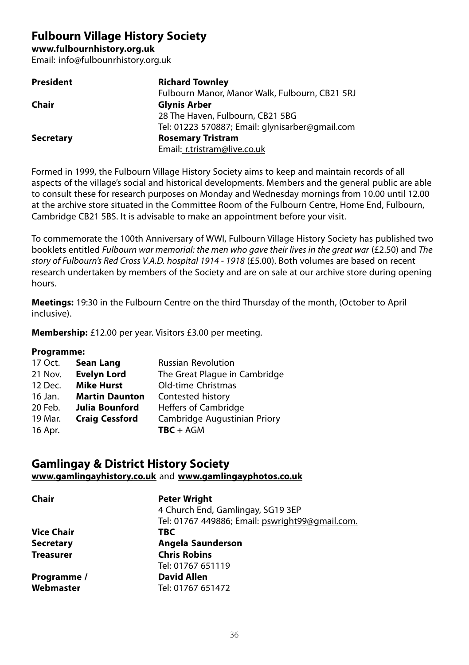**Fulbourn Village History Society**

**www.fulbournhistory.org.uk**

Email: info@fulbounrhistory.org.uk

| <b>President</b> | <b>Richard Townley</b>                          |
|------------------|-------------------------------------------------|
|                  | Fulbourn Manor, Manor Walk, Fulbourn, CB21 5RJ  |
| Chair            | <b>Glynis Arber</b>                             |
|                  | 28 The Haven, Fulbourn, CB21 5BG                |
|                  | Tel: 01223 570887; Email: glynisarber@gmail.com |
| <b>Secretary</b> | <b>Rosemary Tristram</b>                        |
|                  | Email: r.tristram@live.co.uk                    |

Formed in 1999, the Fulbourn Village History Society aims to keep and maintain records of all aspects of the village's social and historical developments. Members and the general public are able to consult these for research purposes on Monday and Wednesday mornings from 10.00 until 12.00 at the archive store situated in the Committee Room of the Fulbourn Centre, Home End, Fulbourn, Cambridge CB21 5BS. It is advisable to make an appointment before your visit.

To commemorate the 100th Anniversary of WWI, Fulbourn Village History Society has published two booklets entitled Fulbourn war memorial: the men who gave their lives in the great war (£2.50) and The story of Fulbourn's Red Cross V.A.D. hospital 1914 - 1918 (£5.00). Both volumes are based on recent research undertaken by members of the Society and are on sale at our archive store during opening hours.

**Meetings:** 19:30 in the Fulbourn Centre on the third Thursday of the month, (October to April inclusive).

**Membership:** £12.00 per year. Visitors £3.00 per meeting.

## **Programme:**

| 17 Oct. | Sean Lang             | <b>Russian Revolution</b>     |
|---------|-----------------------|-------------------------------|
| 21 Nov. | <b>Evelyn Lord</b>    | The Great Plaque in Cambridge |
| 12 Dec. | <b>Mike Hurst</b>     | Old-time Christmas            |
| 16 Jan. | <b>Martin Daunton</b> | Contested history             |
| 20 Feb. | Julia Bounford        | <b>Heffers of Cambridge</b>   |
| 19 Mar. | <b>Craig Cessford</b> | Cambridge Augustinian Priory  |
| 16 Apr. |                       | $TBC + AGM$                   |

# **Gamlingay & District History Society**

**www.gamlingayhistory.co.uk** and **www.gamlingayphotos.co.uk**

| Chair             | <b>Peter Wright</b><br>4 Church End, Gamlingay, SG19 3EP |
|-------------------|----------------------------------------------------------|
|                   | Tel: 01767 449886; Email: pswright99@gmail.com.          |
| <b>Vice Chair</b> | TBC                                                      |
| <b>Secretary</b>  | Angela Saunderson                                        |
| <b>Treasurer</b>  | <b>Chris Robins</b>                                      |
|                   | Tel: 01767 651119                                        |
| Programme /       | <b>David Allen</b>                                       |
| Webmaster         | Tel: 01767 651472                                        |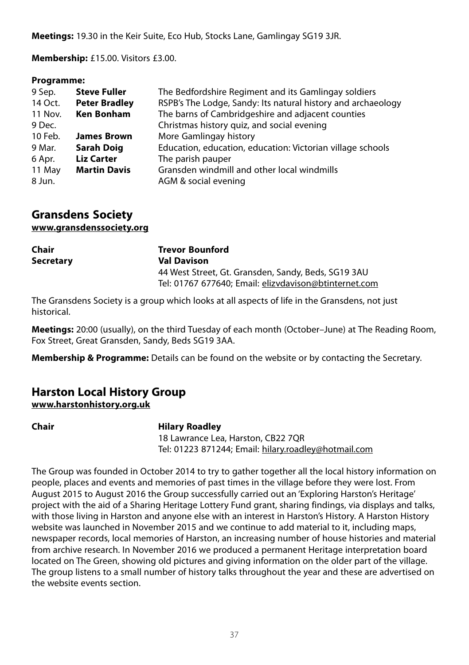**Meetings:** 19.30 in the Keir Suite, Eco Hub, Stocks Lane, Gamlingay SG19 3JR.

**Membership:** £15.00. Visitors £3.00.

## **Programme:**

| 9 Sep.  | <b>Steve Fuller</b>  | The Bedfordshire Regiment and its Gamlingay soldiers         |
|---------|----------------------|--------------------------------------------------------------|
| 14 Oct. | <b>Peter Bradley</b> | RSPB's The Lodge, Sandy: Its natural history and archaeology |
| 11 Nov. | <b>Ken Bonham</b>    | The barns of Cambridgeshire and adjacent counties            |
| 9 Dec.  |                      | Christmas history quiz, and social evening                   |
| 10 Feb. | <b>James Brown</b>   | More Gamlingay history                                       |
| 9 Mar.  | <b>Sarah Doig</b>    | Education, education, education: Victorian village schools   |
| 6 Apr.  | <b>Liz Carter</b>    | The parish pauper                                            |
| 11 May  | <b>Martin Davis</b>  | Gransden windmill and other local windmills                  |
| 8 Jun.  |                      | AGM & social evening                                         |

**Gransdens Society www.gransdenssociety.org**

| Chair     | <b>Trevor Bounford</b>                                |
|-----------|-------------------------------------------------------|
| Secretary | <b>Val Davison</b>                                    |
|           | 44 West Street, Gt. Gransden, Sandy, Beds, SG19 3AU   |
|           | Tel: 01767 677640; Email: elizvdavison@btinternet.com |

The Gransdens Society is a group which looks at all aspects of life in the Gransdens, not just historical.

**Meetings:** 20:00 (usually), on the third Tuesday of each month (October–June) at The Reading Room, Fox Street, Great Gransden, Sandy, Beds SG19 3AA.

**Membership & Programme:** Details can be found on the website or by contacting the Secretary.

# **Harston Local History Group**

**www.harstonhistory.org.uk**

## **Chair Hilary Roadley**

18 Lawrance Lea, Harston, CB22 7QR Tel: 01223 871244; Email: hilary.roadley@hotmail.com

The Group was founded in October 2014 to try to gather together all the local history information on people, places and events and memories of past times in the village before they were lost. From August 2015 to August 2016 the Group successfully carried out an 'Exploring Harston's Heritage' project with the aid of a Sharing Heritage Lottery Fund grant, sharing findings, via displays and talks, with those living in Harston and anyone else with an interest in Harston's History. A Harston History website was launched in November 2015 and we continue to add material to it, including maps, newspaper records, local memories of Harston, an increasing number of house histories and material from archive research. In November 2016 we produced a permanent Heritage interpretation board located on The Green, showing old pictures and giving information on the older part of the village. The group listens to a small number of history talks throughout the year and these are advertised on the website events section.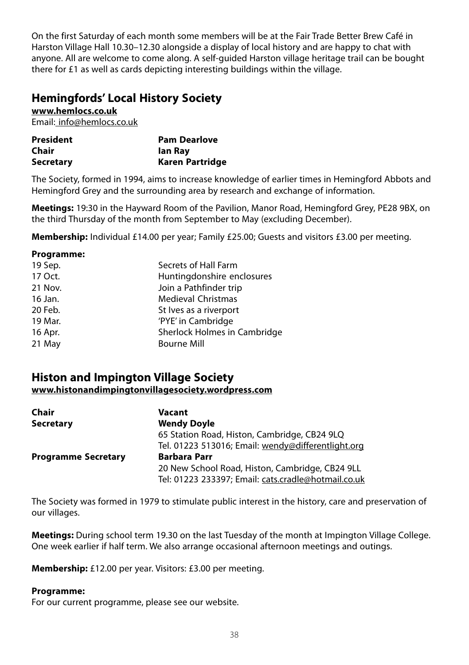On the first Saturday of each month some members will be at the Fair Trade Better Brew Café in Harston Village Hall 10.30–12.30 alongside a display of local history and are happy to chat with anyone. All are welcome to come along. A self-guided Harston village heritage trail can be bought there for £1 as well as cards depicting interesting buildings within the village.

# **Hemingfords' Local History Society**

**www.hemlocs.co.uk** Email: info@hemlocs.co.uk

| <b>President</b> | <b>Pam Dearlove</b> |
|------------------|---------------------|
| Chair            | lan Ray             |
| <b>Secretary</b> | Karen Partridge     |

The Society, formed in 1994, aims to increase knowledge of earlier times in Hemingford Abbots and Hemingford Grey and the surrounding area by research and exchange of information.

**Meetings:** 19:30 in the Hayward Room of the Pavilion, Manor Road, Hemingford Grey, PE28 9BX, on the third Thursday of the month from September to May (excluding December).

**Membership:** Individual £14.00 per year: Family £25.00; Guests and visitors £3.00 per meeting.

#### **Programme:**

| 19 Sep. | Secrets of Hall Farm         |
|---------|------------------------------|
| 17 Oct. | Huntingdonshire enclosures   |
| 21 Nov. | Join a Pathfinder trip       |
| 16 Jan. | <b>Medieval Christmas</b>    |
| 20 Feb. | St Ives as a riverport       |
| 19 Mar. | 'PYE' in Cambridge           |
| 16 Apr. | Sherlock Holmes in Cambridge |
| 21 May  | <b>Bourne Mill</b>           |
|         |                              |

# **Histon and Impington Village Society**

## **www.histonandimpingtonvillagesociety.wordpress.com**

| Chair                      | Vacant                                              |
|----------------------------|-----------------------------------------------------|
| <b>Secretary</b>           | <b>Wendy Doyle</b>                                  |
|                            | 65 Station Road, Histon, Cambridge, CB24 9LQ        |
|                            | Tel. 01223 513016; Email: wendy@differentlight.org  |
| <b>Programme Secretary</b> | <b>Barbara Parr</b>                                 |
|                            | 20 New School Road, Histon, Cambridge, CB24 9LL     |
|                            | Tel: 01223 233397; Email: cats.cradle@hotmail.co.uk |

The Society was formed in 1979 to stimulate public interest in the history, care and preservation of our villages.

**Meetings:** During school term 19.30 on the last Tuesday of the month at Impington Village College. One week earlier if half term. We also arrange occasional afternoon meetings and outings.

**Membership:** £12.00 per year. Visitors: £3.00 per meeting.

## **Programme:**

For our current programme, please see our website.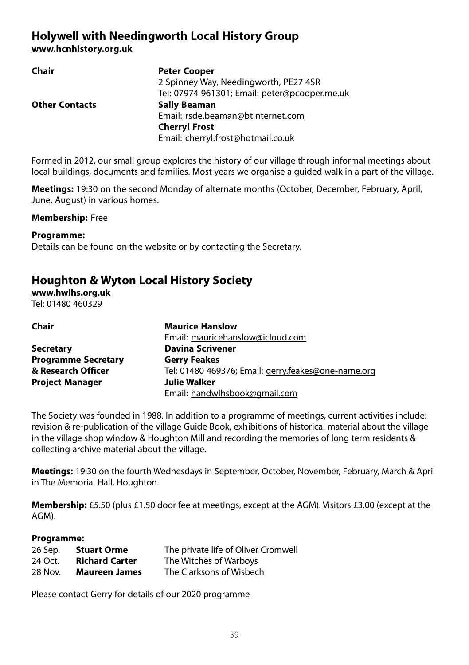# **Holywell with Needingworth Local History Group www.hcnhistory.org.uk**

| <b>Peter Cooper</b>                           |
|-----------------------------------------------|
| 2 Spinney Way, Needingworth, PE27 4SR         |
| Tel: 07974 961301; Email: peter@pcooper.me.uk |
| <b>Sally Beaman</b>                           |
| Email: rsde.beaman@btinternet.com             |
| <b>Cherryl Frost</b>                          |
| Email: cherryl.frost@hotmail.co.uk            |
|                                               |

Formed in 2012, our small group explores the history of our village through informal meetings about local buildings, documents and families. Most years we organise a guided walk in a part of the village.

**Meetings:** 19:30 on the second Monday of alternate months (October, December, February, April, June, August) in various homes.

#### **Membership:** Free

#### **Programme:**

Details can be found on the website or by contacting the Secretary.

# **Houghton & Wyton Local History Society**

**www.hwlhs.org.uk**

Tel: 01480 460329

| Chair                      | <b>Maurice Hanslow</b>                              |
|----------------------------|-----------------------------------------------------|
|                            | Email: mauricehanslow@icloud.com                    |
| <b>Secretary</b>           | <b>Davina Scrivener</b>                             |
| <b>Programme Secretary</b> | <b>Gerry Feakes</b>                                 |
| & Research Officer         | Tel: 01480 469376; Email: gerry.feakes@one-name.org |
| <b>Project Manager</b>     | Julie Walker                                        |
|                            | Email: handwlhsbook@gmail.com                       |

The Society was founded in 1988. In addition to a programme of meetings, current activities include: revision & re-publication of the village Guide Book, exhibitions of historical material about the village in the village shop window & Houghton Mill and recording the memories of long term residents & collecting archive material about the village.

**Meetings:** 19:30 on the fourth Wednesdays in September, October, November, February, March & April in The Memorial Hall, Houghton.

**Membership:** £5.50 (plus £1.50 door fee at meetings, except at the AGM). Visitors £3.00 (except at the AGM).

#### **Programme:**

| 26 Sep. | <b>Stuart Orme</b>    | The private life of Oliver Cromwell |
|---------|-----------------------|-------------------------------------|
| 24 Oct. | <b>Richard Carter</b> | The Witches of Warboys              |
| 28 Nov. | <b>Maureen James</b>  | The Clarksons of Wisbech            |

Please contact Gerry for details of our 2020 programme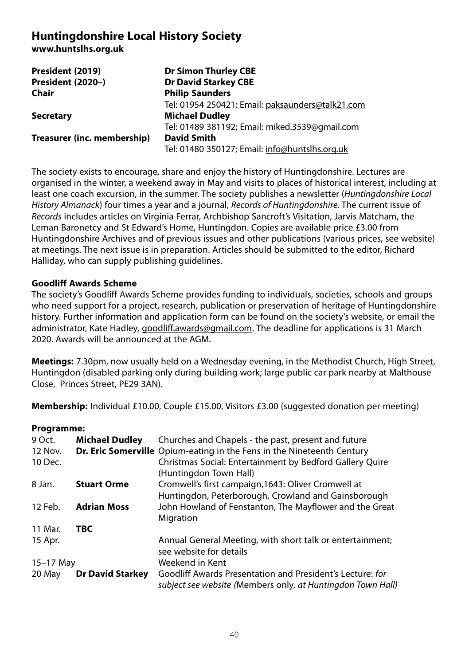# **Huntingdonshire Local History Society**

**www.huntslhs.org.uk**

| President (2019)            | <b>Dr Simon Thurley CBE</b>                      |
|-----------------------------|--------------------------------------------------|
| President (2020-)           | <b>Dr David Starkey CBE</b>                      |
| Chair                       | <b>Philip Saunders</b>                           |
|                             | Tel: 01954 250421; Email: paksaunders@talk21.com |
| <b>Secretary</b>            | <b>Michael Dudley</b>                            |
|                             | Tel: 01489 381192; Email: miked.3539@gmail.com   |
| Treasurer (inc. membership) | <b>David Smith</b>                               |
|                             | Tel: 01480 350127; Email: info@huntslhs.org.uk   |

The society exists to encourage, share and enjoy the history of Huntingdonshire. Lectures are organised in the winter, a weekend away in May and visits to places of historical interest, including at least one coach excursion, in the summer. The society publishes a newsletter (Huntingdonshire Local History Almanack) four times a year and a journal, Records of Huntingdonshire. The current issue of Records includes articles on Virginia Ferrar, Archbishop Sancroft's Visitation, Jarvis Matcham, the Leman Baronetcy and St Edward's Home, Huntingdon. Copies are available price £3.00 from Huntingdonshire Archives and of previous issues and other publications (various prices, see website) at meetings. The next issue is in preparation. Articles should be submitted to the editor, Richard Halliday, who can supply publishing guidelines.

## **Goodliff Awards Scheme**

The society's Goodliff Awards Scheme provides funding to individuals, societies, schools and groups who need support for a project, research, publication or preservation of heritage of Huntingdonshire history. Further information and application form can be found on the society's website, or email the administrator, Kate Hadley, goodliff.awards@gmail.com. The deadline for applications is 31 March 2020. Awards will be announced at the AGM.

**Meetings:** 7.30pm, now usually held on a Wednesday evening, in the Methodist Church, High Street, Huntingdon (disabled parking only during building work; large public car park nearby at Malthouse Close, Princes Street, PE29 3AN).

**Membership:** Individual £10.00, Couple £15.00, Visitors £3.00 (suggested donation per meeting)

#### **Programme:**

| 9 Oct.    | <b>Michael Dudley</b>   | Churches and Chapels - the past, present and future                           |
|-----------|-------------------------|-------------------------------------------------------------------------------|
| 12 Nov.   |                         | <b>Dr. Eric Somerville</b> Opium-eating in the Fens in the Nineteenth Century |
| 10 Dec.   |                         | Christmas Social: Entertainment by Bedford Gallery Quire                      |
|           |                         | (Huntingdon Town Hall)                                                        |
| 8 Jan.    | <b>Stuart Orme</b>      | Cromwell's first campaign, 1643: Oliver Cromwell at                           |
|           |                         | Huntingdon, Peterborough, Crowland and Gainsborough                           |
| 12 Feb.   | <b>Adrian Moss</b>      | John Howland of Fenstanton, The Mayflower and the Great                       |
|           |                         | Migration                                                                     |
| 11 Mar.   | <b>TBC</b>              |                                                                               |
| 15 Apr.   |                         | Annual General Meeting, with short talk or entertainment;                     |
|           |                         | see website for details                                                       |
| 15-17 May |                         | Weekend in Kent                                                               |
| 20 May    | <b>Dr David Starkey</b> | Goodliff Awards Presentation and President's Lecture: for                     |
|           |                         | subject see website (Members only, at Huntingdon Town Hall)                   |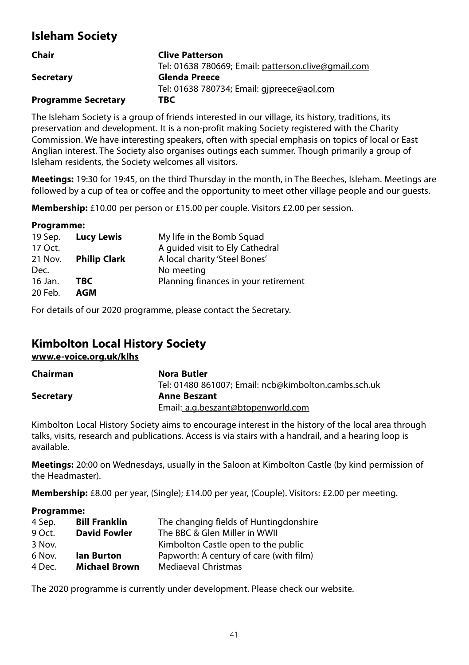# **Isleham Society**

| Chair                      | <b>Clive Patterson</b>                              |
|----------------------------|-----------------------------------------------------|
|                            | Tel: 01638 780669; Email: patterson.clive@gmail.com |
| <b>Secretary</b>           | <b>Glenda Preece</b>                                |
|                            | Tel: 01638 780734; Email: gjpreece@aol.com          |
| <b>Programme Secretary</b> | TBC                                                 |

The Isleham Society is a group of friends interested in our village, its history, traditions, its preservation and development. It is a non-profit making Society registered with the Charity Commission. We have interesting speakers, often with special emphasis on topics of local or East Anglian interest. The Society also organises outings each summer. Though primarily a group of Isleham residents, the Society welcomes all visitors.

**Meetings:** 19:30 for 19:45, on the third Thursday in the month, in The Beeches, Isleham. Meetings are followed by a cup of tea or coffee and the opportunity to meet other village people and our guests.

**Membership:** £10.00 per person or £15.00 per couple. Visitors £2.00 per session.

#### **Programme:**

| 19 Sep. | <b>Lucy Lewis</b>   | My life in the Bomb Squad            |
|---------|---------------------|--------------------------------------|
| 17 Oct. |                     | A quided visit to Ely Cathedral      |
| 21 Nov. | <b>Philip Clark</b> | A local charity 'Steel Bones'        |
| Dec.    |                     | No meeting                           |
| 16 Jan. | TBC                 | Planning finances in your retirement |
| 20 Feb. | AGM                 |                                      |
|         |                     |                                      |

For details of our 2020 programme, please contact the Secretary.

# **Kimbolton Local History Society**

**www.e-voice.org.uk/klhs**

| Chairman         | Nora Butler                                          |
|------------------|------------------------------------------------------|
|                  | Tel: 01480 861007: Email: ncb@kimbolton.cambs.sch.uk |
| <b>Secretary</b> | <b>Anne Beszant</b>                                  |
|                  | Email: a.g.beszant@btopenworld.com                   |

Kimbolton Local History Society aims to encourage interest in the history of the local area through talks, visits, research and publications. Access is via stairs with a handrail, and a hearing loop is available.

**Meetings:** 20:00 on Wednesdays, usually in the Saloon at Kimbolton Castle (by kind permission of the Headmaster).

**Membership:** £8.00 per year, (Single); £14.00 per year, (Couple). Visitors: £2.00 per meeting.

#### **Programme:**

| 4 Sep. | <b>Bill Franklin</b> | The changing fields of Huntingdonshire  |
|--------|----------------------|-----------------------------------------|
| 9 Oct. | <b>David Fowler</b>  | The BBC & Glen Miller in WWII           |
| 3 Nov. |                      | Kimbolton Castle open to the public     |
| 6 Nov. | lan Burton           | Papworth: A century of care (with film) |
| 4 Dec. | <b>Michael Brown</b> | <b>Mediaeval Christmas</b>              |

The 2020 programme is currently under development. Please check our website.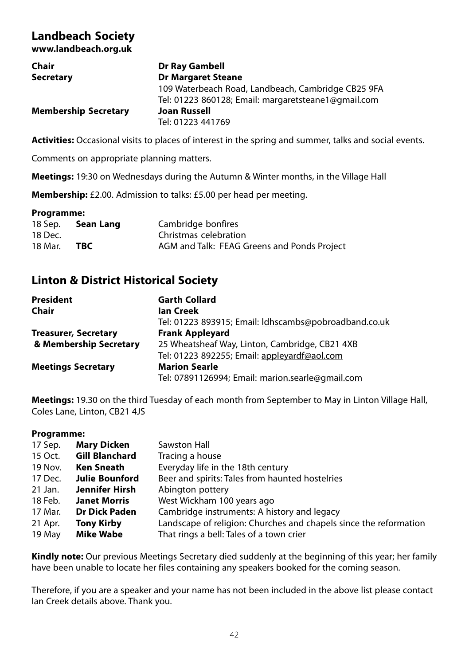## **Landbeach Society www.landbeach.org.uk**

| Chair                       | <b>Dr Ray Gambell</b>                               |
|-----------------------------|-----------------------------------------------------|
| <b>Secretary</b>            | <b>Dr Margaret Steane</b>                           |
|                             | 109 Waterbeach Road, Landbeach, Cambridge CB25 9FA  |
|                             | Tel: 01223 860128; Email: margaretsteane1@gmail.com |
| <b>Membership Secretary</b> | <b>Joan Russell</b>                                 |
|                             | Tel: 01223 441769                                   |

**Activities:** Occasional visits to places of interest in the spring and summer, talks and social events.

Comments on appropriate planning matters.

**Meetings:** 19:30 on Wednesdays during the Autumn & Winter months, in the Village Hall

**Membership:** £2.00. Admission to talks: £5.00 per head per meeting.

#### **Programme:**

| 18 Sep. | Sean Lang | Cambridge bonfires                          |
|---------|-----------|---------------------------------------------|
| 18 Dec. |           | Christmas celebration                       |
| 18 Mar. | TBC       | AGM and Talk: FEAG Greens and Ponds Project |

# **Linton & District Historical Society**

| <b>President</b>            | <b>Garth Collard</b>                                  |
|-----------------------------|-------------------------------------------------------|
| Chair                       | lan Creek                                             |
|                             | Tel: 01223 893915; Email: Idhscambs@pobroadband.co.uk |
| <b>Treasurer, Secretary</b> | <b>Frank Appleyard</b>                                |
| & Membership Secretary      | 25 Wheatsheaf Way, Linton, Cambridge, CB21 4XB        |
|                             | Tel: 01223 892255; Email: appleyardf@aol.com          |
| <b>Meetings Secretary</b>   | <b>Marion Searle</b>                                  |
|                             | Tel: 07891126994; Email: marion.searle@gmail.com      |

**Meetings:** 19.30 on the third Tuesday of each month from September to May in Linton Village Hall, Coles Lane, Linton, CB21 4JS

## **Programme:**

| 17 Sep. | <b>Mary Dicken</b>    | Sawston Hall                                                      |
|---------|-----------------------|-------------------------------------------------------------------|
| 15 Oct. | <b>Gill Blanchard</b> | Tracing a house                                                   |
| 19 Nov. | <b>Ken Sneath</b>     | Everyday life in the 18th century                                 |
| 17 Dec. | <b>Julie Bounford</b> | Beer and spirits: Tales from haunted hostelries                   |
| 21 Jan. | Jennifer Hirsh        | Abington pottery                                                  |
| 18 Feb. | <b>Janet Morris</b>   | West Wickham 100 years ago                                        |
| 17 Mar. | <b>Dr Dick Paden</b>  | Cambridge instruments: A history and legacy                       |
| 21 Apr. | <b>Tony Kirby</b>     | Landscape of religion: Churches and chapels since the reformation |
| 19 May  | <b>Mike Wabe</b>      | That rings a bell: Tales of a town crier                          |
|         |                       |                                                                   |

**Kindly note:** Our previous Meetings Secretary died suddenly at the beginning of this year; her family have been unable to locate her files containing any speakers booked for the coming season.

Therefore, if you are a speaker and your name has not been included in the above list please contact Ian Creek details above. Thank you.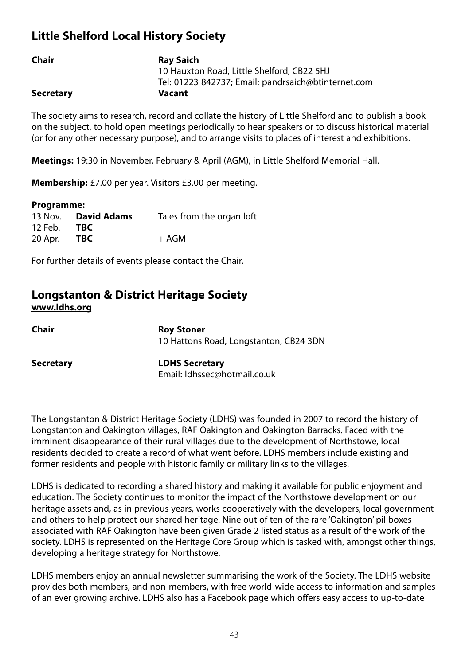# **Little Shelford Local History Society**

| Chair            | <b>Rav Saich</b>                                    |
|------------------|-----------------------------------------------------|
|                  | 10 Hauxton Road, Little Shelford, CB22 5HJ          |
|                  | Tel: 01223 842737; Email: pandrsaich@btinternet.com |
| <b>Secretary</b> | Vacant                                              |

The society aims to research, record and collate the history of Little Shelford and to publish a book on the subject, to hold open meetings periodically to hear speakers or to discuss historical material (or for any other necessary purpose), and to arrange visits to places of interest and exhibitions.

**Meetings:** 19:30 in November, February & April (AGM), in Little Shelford Memorial Hall.

**Membership:** £7.00 per year. Visitors £3.00 per meeting.

| Programme: |                    |                           |  |
|------------|--------------------|---------------------------|--|
| 13 Nov.    | <b>David Adams</b> | Tales from the organ loft |  |
| 12 Feb.    | TBC.               |                           |  |
| 20 Apr.    | TBC.               | + AGM                     |  |

For further details of events please contact the Chair.

# **Longstanton & District Heritage Society www.ldhs.org**

| Chair     | <b>Roy Stoner</b><br>10 Hattons Road, Longstanton, CB24 3DN |
|-----------|-------------------------------------------------------------|
| Secretary | <b>LDHS Secretary</b><br>Email: Idhssec@hotmail.co.uk       |

The Longstanton & District Heritage Society (LDHS) was founded in 2007 to record the history of Longstanton and Oakington villages, RAF Oakington and Oakington Barracks. Faced with the imminent disappearance of their rural villages due to the development of Northstowe, local residents decided to create a record of what went before. LDHS members include existing and former residents and people with historic family or military links to the villages.

LDHS is dedicated to recording a shared history and making it available for public enjoyment and education. The Society continues to monitor the impact of the Northstowe development on our heritage assets and, as in previous years, works cooperatively with the developers, local government and others to help protect our shared heritage. Nine out of ten of the rare 'Oakington' pillboxes associated with RAF Oakington have been given Grade 2 listed status as a result of the work of the society. LDHS is represented on the Heritage Core Group which is tasked with, amongst other things, developing a heritage strategy for Northstowe.

LDHS members enjoy an annual newsletter summarising the work of the Society. The LDHS website provides both members, and non-members, with free world-wide access to information and samples of an ever growing archive. LDHS also has a Facebook page which offers easy access to up-to-date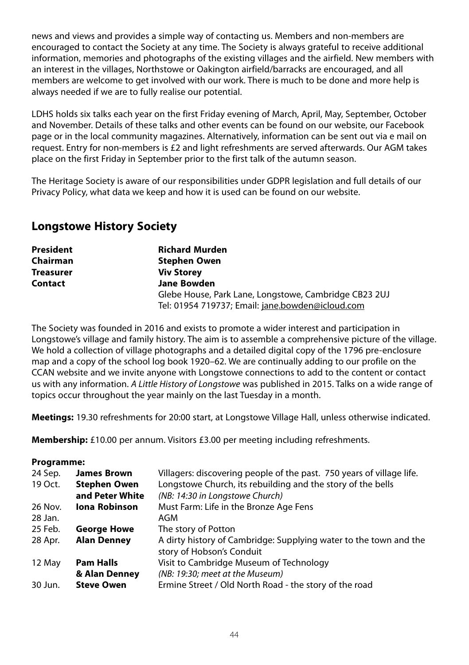news and views and provides a simple way of contacting us. Members and non-members are encouraged to contact the Society at any time. The Society is always grateful to receive additional information, memories and photographs of the existing villages and the airfield. New members with an interest in the villages, Northstowe or Oakington airfield/barracks are encouraged, and all members are welcome to get involved with our work. There is much to be done and more help is always needed if we are to fully realise our potential.

LDHS holds six talks each year on the first Friday evening of March, April, May, September, October and November. Details of these talks and other events can be found on our website, our Facebook page or in the local community magazines. Alternatively, information can be sent out via e mail on request. Entry for non-members is £2 and light refreshments are served afterwards. Our AGM takes place on the first Friday in September prior to the first talk of the autumn season.

The Heritage Society is aware of our responsibilities under GDPR legislation and full details of our Privacy Policy, what data we keep and how it is used can be found on our website.

# **Longstowe History Society**

| <b>President</b> | <b>Richard Murden</b>                                                                                     |  |
|------------------|-----------------------------------------------------------------------------------------------------------|--|
| Chairman         | <b>Stephen Owen</b>                                                                                       |  |
| <b>Treasurer</b> | <b>Viv Storey</b>                                                                                         |  |
| Contact          | <b>Jane Bowden</b>                                                                                        |  |
|                  | Glebe House, Park Lane, Longstowe, Cambridge CB23 2UJ<br>Tel: 01954 719737; Email: jane.bowden@icloud.com |  |

The Society was founded in 2016 and exists to promote a wider interest and participation in Longstowe's village and family history. The aim is to assemble a comprehensive picture of the village. We hold a collection of village photographs and a detailed digital copy of the 1796 pre-enclosure map and a copy of the school log book 1920–62. We are continually adding to our profile on the CCAN website and we invite anyone with Longstowe connections to add to the content or contact us with any information. A Little History of Longstowe was published in 2015. Talks on a wide range of topics occur throughout the year mainly on the last Tuesday in a month.

**Meetings:** 19.30 refreshments for 20:00 start, at Longstowe Village Hall, unless otherwise indicated.

**Membership:** £10.00 per annum. Visitors £3.00 per meeting including refreshments.

## **Programme:**

| 24 Sep. | <b>James Brown</b>   | Villagers: discovering people of the past. 750 years of village life.                          |  |
|---------|----------------------|------------------------------------------------------------------------------------------------|--|
| 19 Oct. | <b>Stephen Owen</b>  | Longstowe Church, its rebuilding and the story of the bells                                    |  |
|         | and Peter White      | (NB: 14:30 in Longstowe Church)                                                                |  |
| 26 Nov. | <b>Iona Robinson</b> | Must Farm: Life in the Bronze Age Fens                                                         |  |
| 28 Jan. |                      | AGM                                                                                            |  |
| 25 Feb. | <b>George Howe</b>   | The story of Potton                                                                            |  |
| 28 Apr. | <b>Alan Denney</b>   | A dirty history of Cambridge: Supplying water to the town and the<br>story of Hobson's Conduit |  |
| 12 May  | <b>Pam Halls</b>     | Visit to Cambridge Museum of Technology                                                        |  |
|         | & Alan Denney        | (NB: 19:30; meet at the Museum)                                                                |  |
| 30 Jun. | <b>Steve Owen</b>    | Ermine Street / Old North Road - the story of the road                                         |  |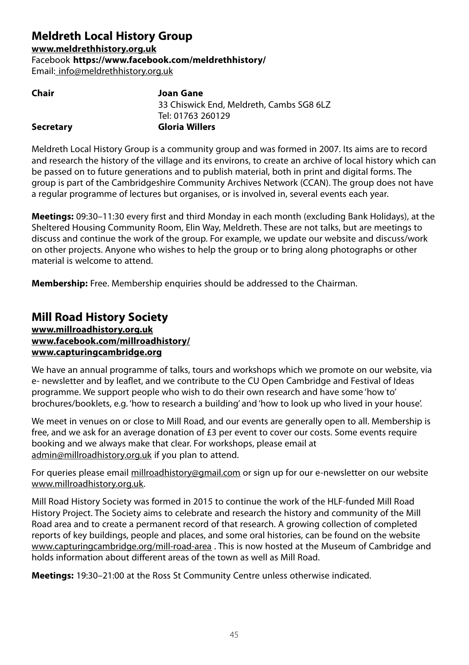# **Meldreth Local History Group**

**www.meldrethhistory.org.uk**

Facebook **https://www.facebook.com/meldrethhistory/**

Email: info@meldrethhistory.org.uk

| Chair            | Joan Gane                                |
|------------------|------------------------------------------|
|                  | 33 Chiswick End, Meldreth, Cambs SG8 6LZ |
|                  | Tel: 01763 260129                        |
| <b>Secretary</b> | Gloria Willers                           |
|                  |                                          |

Meldreth Local History Group is a community group and was formed in 2007. Its aims are to record and research the history of the village and its environs, to create an archive of local history which can be passed on to future generations and to publish material, both in print and digital forms. The group is part of the Cambridgeshire Community Archives Network (CCAN). The group does not have a regular programme of lectures but organises, or is involved in, several events each year.

**Meetings:** 09:30–11:30 every first and third Monday in each month (excluding Bank Holidays), at the Sheltered Housing Community Room, Elin Way, Meldreth. These are not talks, but are meetings to discuss and continue the work of the group. For example, we update our website and discuss/work on other projects. Anyone who wishes to help the group or to bring along photographs or other material is welcome to attend.

**Membership:** Free. Membership enquiries should be addressed to the Chairman.

# **Mill Road History Society www.millroadhistory.org.uk www.facebook.com/millroadhistory/ www.capturingcambridge.org**

We have an annual programme of talks, tours and workshops which we promote on our website, via e- newsletter and by leaflet, and we contribute to the CU Open Cambridge and Festival of Ideas programme. We support people who wish to do their own research and have some 'how to' brochures/booklets, e.g. 'how to research a building' and 'how to look up who lived in your house'.

We meet in venues on or close to Mill Road, and our events are generally open to all. Membership is free, and we ask for an average donation of £3 per event to cover our costs. Some events require booking and we always make that clear. For workshops, please email at admin@millroadhistory.org.uk if you plan to attend.

For queries please email millroadhistory@gmail.com or sign up for our e-newsletter on our website www.millroadhistory.org.uk.

Mill Road History Society was formed in 2015 to continue the work of the HLF-funded Mill Road History Project. The Society aims to celebrate and research the history and community of the Mill Road area and to create a permanent record of that research. A growing collection of completed reports of key buildings, people and places, and some oral histories, can be found on the website www.capturingcambridge.org/mill-road-area . This is now hosted at the Museum of Cambridge and holds information about different areas of the town as well as Mill Road.

**Meetings:** 19:30–21:00 at the Ross St Community Centre unless otherwise indicated.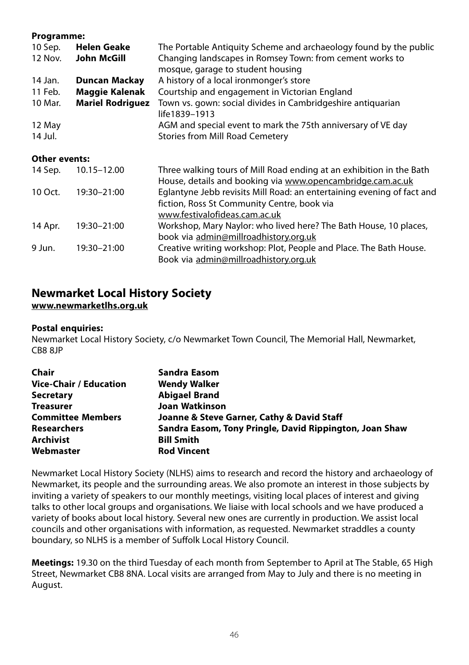#### **Programme:**

| 10 Sep.              | <b>Helen Geake</b>      | The Portable Antiquity Scheme and archaeology found by the public                                                                  |
|----------------------|-------------------------|------------------------------------------------------------------------------------------------------------------------------------|
| 12 Nov.              | John McGill             | Changing landscapes in Romsey Town: from cement works to                                                                           |
|                      |                         | mosque, garage to student housing                                                                                                  |
| 14 Jan.              | <b>Duncan Mackay</b>    | A history of a local ironmonger's store                                                                                            |
| 11 Feb.              | <b>Maggie Kalenak</b>   | Courtship and engagement in Victorian England                                                                                      |
| 10 Mar.              | <b>Mariel Rodriguez</b> | Town vs. gown: social divides in Cambridgeshire antiquarian<br>life1839-1913                                                       |
| 12 May               |                         | AGM and special event to mark the 75th anniversary of VE day                                                                       |
| 14 Jul.              |                         | Stories from Mill Road Cemetery                                                                                                    |
| <b>Other events:</b> |                         |                                                                                                                                    |
| 14 Sep.              | 10.15-12.00             | Three walking tours of Mill Road ending at an exhibition in the Bath<br>House, details and booking via www.opencambridge.cam.ac.uk |
| 10 Oct.              | 19:30-21:00             | Eglantyne Jebb revisits Mill Road: an entertaining evening of fact and                                                             |
|                      |                         | fiction, Ross St Community Centre, book via                                                                                        |
|                      |                         | www.festivalofideas.cam.ac.uk                                                                                                      |
| 14 Apr.              | 19:30-21:00             | Workshop, Mary Naylor: who lived here? The Bath House, 10 places,                                                                  |
|                      |                         | book via admin@millroadhistory.org.uk                                                                                              |
| 9 Jun.               | 19:30-21:00             | Creative writing workshop: Plot, People and Place. The Bath House.                                                                 |
|                      |                         | Book via admin@millroadhistory.org.uk                                                                                              |

# **Newmarket Local History Society**

**www.newmarketlhs.org.uk**

#### **Postal enquiries:**

Newmarket Local History Society, c/o Newmarket Town Council, The Memorial Hall, Newmarket, CB8 8JP

| Chair                    | <b>Sandra Easom</b>                                     |
|--------------------------|---------------------------------------------------------|
| Vice-Chair / Education   | <b>Wendy Walker</b>                                     |
| <b>Secretary</b>         | <b>Abigael Brand</b>                                    |
| <b>Treasurer</b>         | Joan Watkinson                                          |
| <b>Committee Members</b> | Joanne & Steve Garner, Cathy & David Staff              |
| <b>Researchers</b>       | Sandra Easom, Tony Pringle, David Rippington, Joan Shaw |
| Archivist                | <b>Bill Smith</b>                                       |
| Webmaster                | <b>Rod Vincent</b>                                      |

Newmarket Local History Society (NLHS) aims to research and record the history and archaeology of Newmarket, its people and the surrounding areas. We also promote an interest in those subjects by inviting a variety of speakers to our monthly meetings, visiting local places of interest and giving talks to other local groups and organisations. We liaise with local schools and we have produced a variety of books about local history. Several new ones are currently in production. We assist local councils and other organisations with information, as requested. Newmarket straddles a county boundary, so NLHS is a member of Suffolk Local History Council.

**Meetings:** 19.30 on the third Tuesday of each month from September to April at The Stable, 65 High Street, Newmarket CB8 8NA. Local visits are arranged from May to July and there is no meeting in August.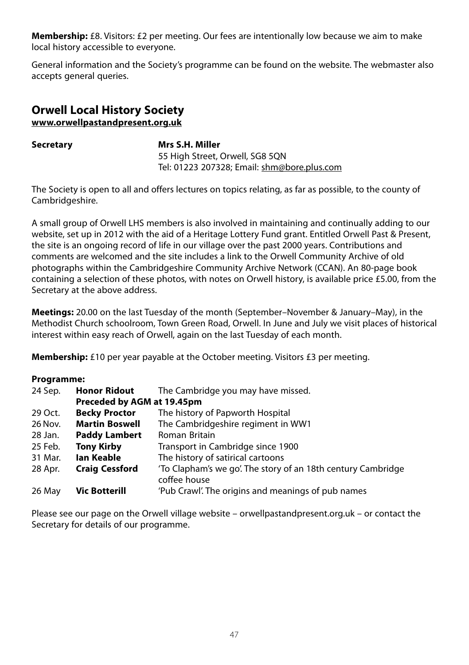**Membership:** £8. Visitors: £2 per meeting. Our fees are intentionally low because we aim to make local history accessible to everyone.

General information and the Society's programme can be found on the website. The webmaster also accepts general queries.

## **Orwell Local History Society www.orwellpastandpresent.org.uk**

**Secretary Mrs S.H. Miller** 55 High Street, Orwell, SG8 5QN Tel: 01223 207328; Email: shm@bore.plus.com

The Society is open to all and offers lectures on topics relating, as far as possible, to the county of Cambridgeshire.

A small group of Orwell LHS members is also involved in maintaining and continually adding to our website, set up in 2012 with the aid of a Heritage Lottery Fund grant. Entitled Orwell Past & Present, the site is an ongoing record of life in our village over the past 2000 years. Contributions and comments are welcomed and the site includes a link to the Orwell Community Archive of old photographs within the Cambridgeshire Community Archive Network (CCAN). An 80-page book containing a selection of these photos, with notes on Orwell history, is available price £5.00, from the Secretary at the above address.

**Meetings:** 20.00 on the last Tuesday of the month (September–November & January–May), in the Methodist Church schoolroom, Town Green Road, Orwell. In June and July we visit places of historical interest within easy reach of Orwell, again on the last Tuesday of each month.

**Membership:** £10 per year payable at the October meeting. Visitors £3 per meeting.

## **Programme:**

| 24 Sep. | The Cambridge you may have missed.<br><b>Honor Ridout</b><br>Preceded by AGM at 19.45pm |                                                                              |
|---------|-----------------------------------------------------------------------------------------|------------------------------------------------------------------------------|
|         |                                                                                         |                                                                              |
| 29 Oct. | <b>Becky Proctor</b>                                                                    | The history of Papworth Hospital                                             |
| 26 Nov. | <b>Martin Boswell</b>                                                                   | The Cambridgeshire regiment in WW1                                           |
| 28 Jan. | <b>Paddy Lambert</b>                                                                    | Roman Britain                                                                |
| 25 Feb. | <b>Tony Kirby</b>                                                                       | Transport in Cambridge since 1900                                            |
| 31 Mar. | lan Keable                                                                              | The history of satirical cartoons                                            |
| 28 Apr. | <b>Craig Cessford</b>                                                                   | 'To Clapham's we go'. The story of an 18th century Cambridge<br>coffee house |
| 26 May  | <b>Vic Botterill</b>                                                                    | 'Pub Crawl'. The origins and meanings of pub names                           |

Please see our page on the Orwell village website – orwellpastandpresent.org.uk – or contact the Secretary for details of our programme.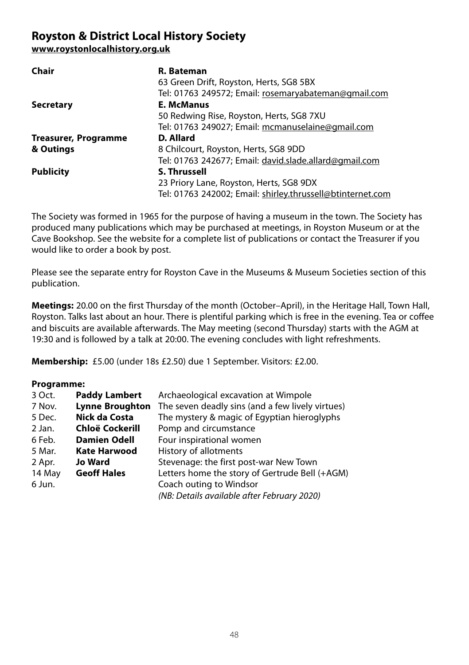# **Royston & District Local History Society**

**www.roystonlocalhistory.org.uk**

| R. Bateman                                                 |
|------------------------------------------------------------|
| 63 Green Drift, Royston, Herts, SG8 5BX                    |
| Tel: 01763 249572; Email: rosemaryabateman@gmail.com       |
| <b>E. McManus</b>                                          |
| 50 Redwing Rise, Royston, Herts, SG8 7XU                   |
| Tel: 01763 249027; Email: mcmanuselaine@gmail.com          |
| D. Allard                                                  |
| 8 Chilcourt, Royston, Herts, SG8 9DD                       |
| Tel: 01763 242677; Email: david.slade.allard@gmail.com     |
| <b>S. Thrussell</b>                                        |
| 23 Priory Lane, Royston, Herts, SG8 9DX                    |
| Tel: 01763 242002; Email: shirley.thrussell@btinternet.com |
|                                                            |

The Society was formed in 1965 for the purpose of having a museum in the town. The Society has produced many publications which may be purchased at meetings, in Royston Museum or at the Cave Bookshop. See the website for a complete list of publications or contact the Treasurer if you would like to order a book by post.

Please see the separate entry for Royston Cave in the Museums & Museum Societies section of this publication.

**Meetings:** 20.00 on the first Thursday of the month (October–April), in the Heritage Hall, Town Hall, Royston. Talks last about an hour. There is plentiful parking which is free in the evening. Tea or coffee and biscuits are available afterwards. The May meeting (second Thursday) starts with the AGM at 19:30 and is followed by a talk at 20:00. The evening concludes with light refreshments.

**Membership:** £5.00 (under 18s £2.50) due 1 September. Visitors: £2.00.

## **Programme:**

| 3 Oct. | <b>Paddy Lambert</b>   | Archaeological excavation at Wimpole             |
|--------|------------------------|--------------------------------------------------|
| 7 Nov. | <b>Lynne Broughton</b> | The seven deadly sins (and a few lively virtues) |
| 5 Dec. | Nick da Costa          | The mystery & magic of Egyptian hieroglyphs      |
| 2 Jan. | Chloë Cockerill        | Pomp and circumstance                            |
| 6 Feb. | <b>Damien Odell</b>    | Four inspirational women                         |
| 5 Mar. | <b>Kate Harwood</b>    | History of allotments                            |
| 2 Apr. | <b>Jo Ward</b>         | Stevenage: the first post-war New Town           |
| 14 May | <b>Geoff Hales</b>     | Letters home the story of Gertrude Bell (+AGM)   |
| 6 Jun. |                        | Coach outing to Windsor                          |
|        |                        | (NB: Details available after February 2020)      |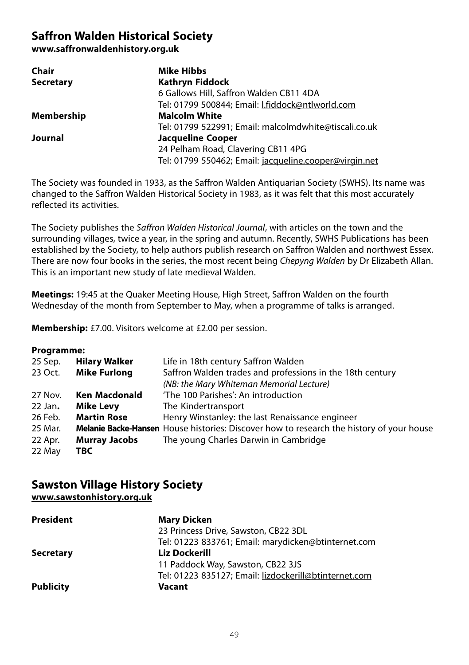# **Saffron Walden Historical Society**

**www.saffronwaldenhistory.org.uk**

| Chair            | <b>Mike Hibbs</b>                                      |
|------------------|--------------------------------------------------------|
| <b>Secretary</b> | <b>Kathryn Fiddock</b>                                 |
|                  | 6 Gallows Hill, Saffron Walden CB11 4DA                |
|                  | Tel: 01799 500844; Email: I.fiddock@ntlworld.com       |
| Membership       | <b>Malcolm White</b>                                   |
|                  | Tel: 01799 522991; Email: malcolmdwhite@tiscali.co.uk  |
| Journal          | <b>Jacqueline Cooper</b>                               |
|                  | 24 Pelham Road, Clavering CB11 4PG                     |
|                  | Tel: 01799 550462; Email: jacqueline.cooper@virgin.net |

The Society was founded in 1933, as the Saffron Walden Antiquarian Society (SWHS). Its name was changed to the Saffron Walden Historical Society in 1983, as it was felt that this most accurately reflected its activities.

The Society publishes the Saffron Walden Historical Journal, with articles on the town and the surrounding villages, twice a year, in the spring and autumn. Recently, SWHS Publications has been established by the Society, to help authors publish research on Saffron Walden and northwest Essex. There are now four books in the series, the most recent being Chepyng Walden by Dr Elizabeth Allan. This is an important new study of late medieval Walden.

**Meetings:** 19:45 at the Quaker Meeting House, High Street, Saffron Walden on the fourth Wednesday of the month from September to May, when a programme of talks is arranged.

**Membership:** £7.00. Visitors welcome at £2.00 per session.

#### **Programme:**

| 25 Sep. | <b>Hilary Walker</b> | Life in 18th century Saffron Walden                                                             |
|---------|----------------------|-------------------------------------------------------------------------------------------------|
| 23 Oct. | <b>Mike Furlong</b>  | Saffron Walden trades and professions in the 18th century                                       |
|         |                      | (NB: the Mary Whiteman Memorial Lecture)                                                        |
| 27 Nov. | <b>Ken Macdonald</b> | 'The 100 Parishes': An introduction                                                             |
| 22 Jan. | <b>Mike Levy</b>     | The Kindertransport                                                                             |
| 26 Feb. | <b>Martin Rose</b>   | Henry Winstanley: the last Renaissance engineer                                                 |
| 25 Mar. |                      | <b>Melanie Backe-Hansen</b> House histories: Discover how to research the history of your house |
| 22 Apr. | <b>Murray Jacobs</b> | The young Charles Darwin in Cambridge                                                           |
| 22 May  | TBC.                 |                                                                                                 |
|         |                      |                                                                                                 |

#### **Sawston Village History Society www.sawstonhistory.org.uk**

| www.composition.com |                                                       |
|---------------------|-------------------------------------------------------|
| <b>President</b>    | <b>Mary Dicken</b>                                    |
|                     | 23 Princess Drive, Sawston, CB22 3DL                  |
|                     | Tel: 01223 833761; Email: marydicken@btinternet.com   |
| <b>Secretary</b>    | Liz Dockerill                                         |
|                     | 11 Paddock Way, Sawston, CB22 3JS                     |
|                     | Tel: 01223 835127; Email: lizdockerill@btinternet.com |
| <b>Publicity</b>    | Vacant                                                |
|                     |                                                       |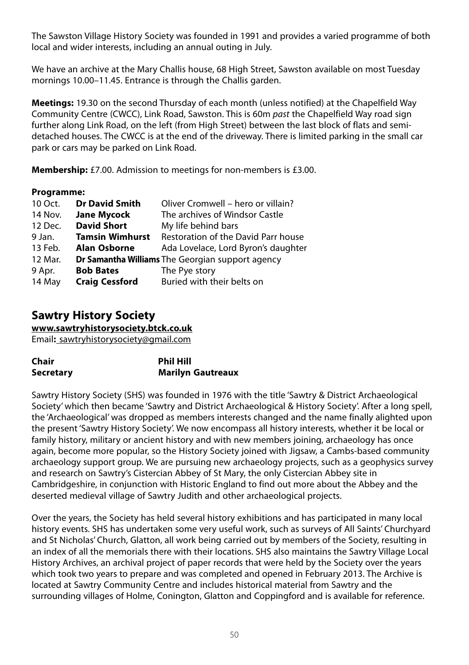The Sawston Village History Society was founded in 1991 and provides a varied programme of both local and wider interests, including an annual outing in July.

We have an archive at the Mary Challis house, 68 High Street, Sawston available on most Tuesday mornings 10.00–11.45. Entrance is through the Challis garden.

**Meetings:** 19.30 on the second Thursday of each month (unless notified) at the Chapelfield Way Community Centre (CWCC), Link Road, Sawston. This is 60m past the Chapelfield Way road sign further along Link Road, on the left (from High Street) between the last block of flats and semidetached houses. The CWCC is at the end of the driveway. There is limited parking in the small car park or cars may be parked on Link Road.

**Membership:** £7.00. Admission to meetings for non-members is £3.00.

## **Programme:**

| 10 Oct. | <b>Dr David Smith</b>  | Oliver Cromwell – hero or villain?                      |
|---------|------------------------|---------------------------------------------------------|
| 14 Nov. | <b>Jane Mycock</b>     | The archives of Windsor Castle                          |
| 12 Dec. | <b>David Short</b>     | My life behind bars                                     |
| 9 Jan.  | <b>Tamsin Wimhurst</b> | Restoration of the David Parr house                     |
| 13 Feb. | Alan Osborne           | Ada Lovelace, Lord Byron's daughter                     |
| 12 Mar. |                        | <b>Dr Samantha Williams</b> The Georgian support agency |
| 9 Apr.  | <b>Bob Bates</b>       | The Pye story                                           |
| 14 May  | <b>Craig Cessford</b>  | Buried with their belts on                              |

# **Sawtry History Society**

**www.sawtryhistorysociety.btck.co.uk**

Email**:** sawtryhistorysociety@gmail.com

| Chair            | <b>Phil Hill</b>         |
|------------------|--------------------------|
| <b>Secretary</b> | <b>Marilyn Gautreaux</b> |

Sawtry History Society (SHS) was founded in 1976 with the title 'Sawtry & District Archaeological Society' which then became 'Sawtry and District Archaeological & History Society'. After a long spell, the 'Archaeological' was dropped as members interests changed and the name finally alighted upon the present 'Sawtry History Society'. We now encompass all history interests, whether it be local or family history, military or ancient history and with new members joining, archaeology has once again, become more popular, so the History Society joined with Jigsaw, a Cambs-based community archaeology support group. We are pursuing new archaeology projects, such as a geophysics survey and research on Sawtry's Cistercian Abbey of St Mary, the only Cistercian Abbey site in Cambridgeshire, in conjunction with Historic England to find out more about the Abbey and the deserted medieval village of Sawtry Judith and other archaeological projects.

Over the years, the Society has held several history exhibitions and has participated in many local history events. SHS has undertaken some very useful work, such as surveys of All Saints' Churchyard and St Nicholas' Church, Glatton, all work being carried out by members of the Society, resulting in an index of all the memorials there with their locations. SHS also maintains the Sawtry Village Local History Archives, an archival project of paper records that were held by the Society over the years which took two years to prepare and was completed and opened in February 2013. The Archive is located at Sawtry Community Centre and includes historical material from Sawtry and the surrounding villages of Holme, Conington, Glatton and Coppingford and is available for reference.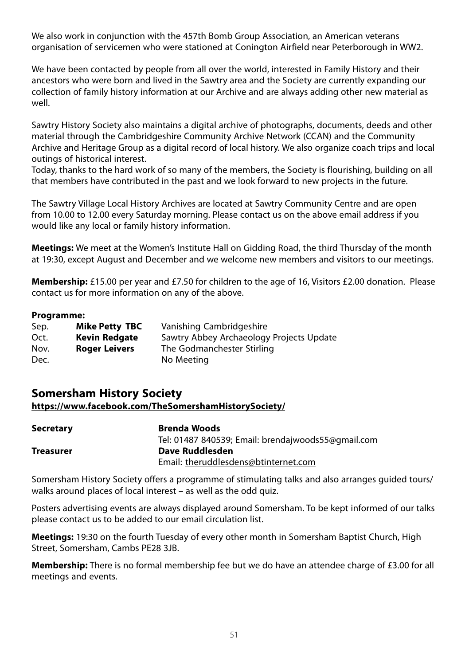We also work in conjunction with the 457th Bomb Group Association, an American veterans organisation of servicemen who were stationed at Conington Airfield near Peterborough in WW2.

We have been contacted by people from all over the world, interested in Family History and their ancestors who were born and lived in the Sawtry area and the Society are currently expanding our collection of family history information at our Archive and are always adding other new material as well.

Sawtry History Society also maintains a digital archive of photographs, documents, deeds and other material through the Cambridgeshire Community Archive Network (CCAN) and the Community Archive and Heritage Group as a digital record of local history. We also organize coach trips and local outings of historical interest.

Today, thanks to the hard work of so many of the members, the Society is flourishing, building on all that members have contributed in the past and we look forward to new projects in the future.

The Sawtry Village Local History Archives are located at Sawtry Community Centre and are open from 10.00 to 12.00 every Saturday morning. Please contact us on the above email address if you would like any local or family history information.

**Meetings:** We meet at the Women's Institute Hall on Gidding Road, the third Thursday of the month at 19:30, except August and December and we welcome new members and visitors to our meetings.

**Membership:** £15.00 per year and £7.50 for children to the age of 16, Visitors £2.00 donation. Please contact us for more information on any of the above.

#### **Programme:**

| Sep. | <b>Mike Petty TBC</b> | Vanishing Cambridgeshire                 |
|------|-----------------------|------------------------------------------|
| Oct. | <b>Kevin Redgate</b>  | Sawtry Abbey Archaeology Projects Update |
| Nov. | Roger Leivers         | The Godmanchester Stirling               |
| Dec. |                       | No Meeting                               |

# **Somersham History Society**

#### **https://www.facebook.com/TheSomershamHistorySociety/**

| Secretary | <b>Brenda Woods</b>                                |  |
|-----------|----------------------------------------------------|--|
|           | Tel: 01487 840539; Email: brendajwoods55@gmail.com |  |
| Treasurer | Dave Ruddlesden                                    |  |
|           | Email: theruddlesdens@btinternet.com               |  |

Somersham History Society offers a programme of stimulating talks and also arranges guided tours/ walks around places of local interest – as well as the odd quiz.

Posters advertising events are always displayed around Somersham. To be kept informed of our talks please contact us to be added to our email circulation list.

**Meetings:** 19:30 on the fourth Tuesday of every other month in Somersham Baptist Church, High Street, Somersham, Cambs PE28 3JB.

**Membership:** There is no formal membership fee but we do have an attendee charge of £3.00 for all meetings and events.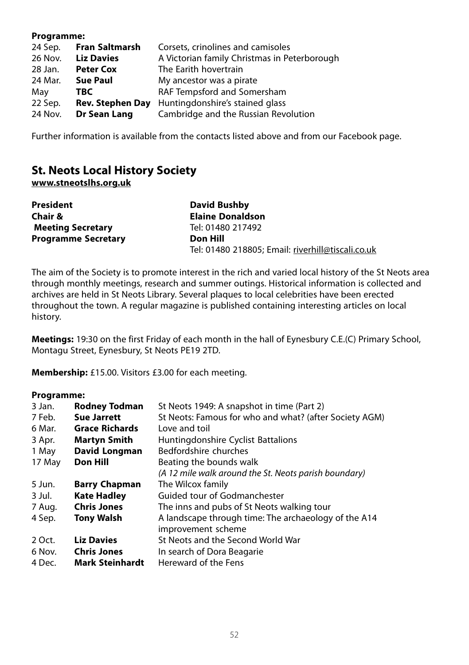#### **Programme:**

| 24 Sep. | Fran Saltmarsh          | Corsets, crinolines and camisoles            |
|---------|-------------------------|----------------------------------------------|
| 26 Nov. | <b>Liz Davies</b>       | A Victorian family Christmas in Peterborough |
| 28 Jan. | <b>Peter Cox</b>        | The Earith hovertrain                        |
| 24 Mar. | <b>Sue Paul</b>         | My ancestor was a pirate                     |
| May     | TBC.                    | RAF Tempsford and Somersham                  |
| 22 Sep. | <b>Rev. Stephen Day</b> | Huntingdonshire's stained glass              |
| 24 Nov. | Dr Sean Lang            | Cambridge and the Russian Revolution         |

Further information is available from the contacts listed above and from our Facebook page.

# **St. Neots Local History Society**

**www.stneotslhs.org.uk**

| President                  | David Bushby                                      |
|----------------------------|---------------------------------------------------|
| Chair &                    | <b>Elaine Donaldson</b>                           |
| <b>Meeting Secretary</b>   | Tel: 01480 217492                                 |
| <b>Programme Secretary</b> | Don Hill                                          |
|                            | Tel: 01480 218805; Email: riverhill@tiscali.co.uk |

The aim of the Society is to promote interest in the rich and varied local history of the St Neots area through monthly meetings, research and summer outings. Historical information is collected and archives are held in St Neots Library. Several plaques to local celebrities have been erected throughout the town. A regular magazine is published containing interesting articles on local history.

**Meetings:** 19:30 on the first Friday of each month in the hall of Eynesbury C.E.(C) Primary School, Montagu Street, Eynesbury, St Neots PE19 2TD.

**Membership:** £15.00. Visitors £3.00 for each meeting.

## **Programme:**

| 3 Jan. | <b>Rodney Todman</b>   | St Neots 1949: A snapshot in time (Part 2)             |
|--------|------------------------|--------------------------------------------------------|
| 7 Feb. | <b>Sue Jarrett</b>     | St Neots: Famous for who and what? (after Society AGM) |
| 6 Mar. | <b>Grace Richards</b>  | Love and toil                                          |
| 3 Apr. | <b>Martyn Smith</b>    | Huntingdonshire Cyclist Battalions                     |
| 1 May  | David Longman          | Bedfordshire churches                                  |
| 17 May | <b>Don Hill</b>        | Beating the bounds walk                                |
|        |                        | (A 12 mile walk around the St. Neots parish boundary)  |
| 5 Jun. | <b>Barry Chapman</b>   | The Wilcox family                                      |
| 3 Jul. | <b>Kate Hadley</b>     | Guided tour of Godmanchester                           |
| 7 Aug. | <b>Chris Jones</b>     | The inns and pubs of St Neots walking tour             |
| 4 Sep. | <b>Tony Walsh</b>      | A landscape through time: The archaeology of the A14   |
|        |                        | improvement scheme                                     |
| 2 Oct. | <b>Liz Davies</b>      | St Neots and the Second World War                      |
| 6 Nov. | <b>Chris Jones</b>     | In search of Dora Beagarie                             |
| 4 Dec. | <b>Mark Steinhardt</b> | Hereward of the Fens                                   |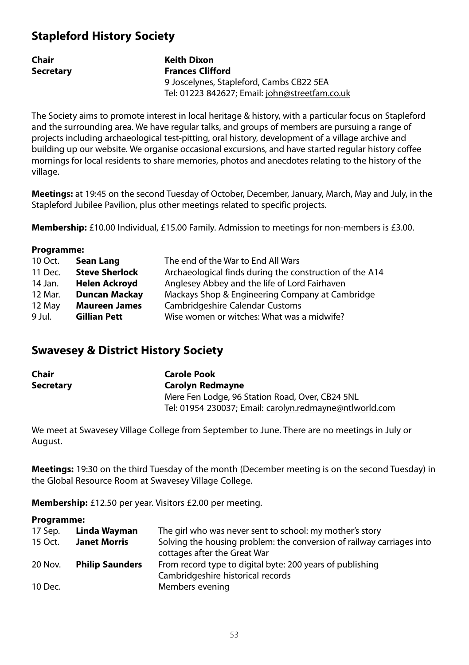# **Stapleford History Society**

| Chair            | Keith Dixon                                    |
|------------------|------------------------------------------------|
| <b>Secretary</b> | <b>Frances Clifford</b>                        |
|                  | 9 Joscelynes, Stapleford, Cambs CB22 5EA       |
|                  | Tel: 01223 842627; Email: john@streetfam.co.uk |

The Society aims to promote interest in local heritage & history, with a particular focus on Stapleford and the surrounding area. We have regular talks, and groups of members are pursuing a range of projects including archaeological test-pitting, oral history, development of a village archive and building up our website. We organise occasional excursions, and have started regular history coffee mornings for local residents to share memories, photos and anecdotes relating to the history of the village.

**Meetings:** at 19:45 on the second Tuesday of October, December, January, March, May and July, in the Stapleford Jubilee Pavilion, plus other meetings related to specific projects.

**Membership:** £10.00 Individual, £15.00 Family. Admission to meetings for non-members is £3.00.

| Programme: |                       |                                                         |
|------------|-----------------------|---------------------------------------------------------|
| 10 Oct.    | Sean Lang             | The end of the War to End All Wars                      |
| 11 Dec.    | <b>Steve Sherlock</b> | Archaeological finds during the construction of the A14 |
| 14 Jan.    | Helen Ackroyd         | Anglesey Abbey and the life of Lord Fairhaven           |
| 12 Mar.    | <b>Duncan Mackay</b>  | Mackays Shop & Engineering Company at Cambridge         |
| 12 May     | <b>Maureen James</b>  | Cambridgeshire Calendar Customs                         |
| 9 Jul.     | <b>Gillian Pett</b>   | Wise women or witches: What was a midwife?              |
|            |                       |                                                         |

# **Swavesey & District History Society**

| Chair     | <b>Carole Pook</b>                                      |  |
|-----------|---------------------------------------------------------|--|
| Secretary | Carolyn Redmayne                                        |  |
|           | Mere Fen Lodge, 96 Station Road, Over, CB24 5NL         |  |
|           | Tel: 01954 230037; Email: carolyn.redmayne@ntlworld.com |  |

We meet at Swavesey Village College from September to June. There are no meetings in July or August.

**Meetings:** 19:30 on the third Tuesday of the month (December meeting is on the second Tuesday) in the Global Resource Room at Swavesey Village College.

**Membership:** £12.50 per year. Visitors £2.00 per meeting.

## **Programme:**

**Programme:**

| 17 Sep. | Linda Wayman           | The girl who was never sent to school: my mother's story                                              |
|---------|------------------------|-------------------------------------------------------------------------------------------------------|
| 15 Oct. | <b>Janet Morris</b>    | Solving the housing problem: the conversion of railway carriages into<br>cottages after the Great War |
| 20 Nov. | <b>Philip Saunders</b> | From record type to digital byte: 200 years of publishing<br>Cambridgeshire historical records        |
| 10 Dec. |                        | Members evening                                                                                       |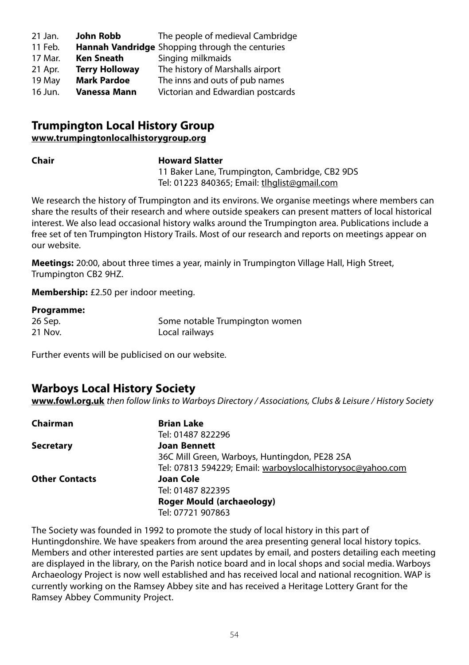| 21 Jan. | John Robb             | The people of medieval Cambridge                       |
|---------|-----------------------|--------------------------------------------------------|
| 11 Feb. |                       | <b>Hannah Vandridge</b> Shopping through the centuries |
| 17 Mar. | <b>Ken Sneath</b>     | Singing milkmaids                                      |
| 21 Apr. | <b>Terry Holloway</b> | The history of Marshalls airport                       |
| 19 May  | <b>Mark Pardoe</b>    | The inns and outs of pub names                         |
| 16 Jun. | Vanessa Mann          | Victorian and Edwardian postcards                      |

## **Trumpington Local History Group www.trumpingtonlocalhistorygroup.org**

#### **Chair Howard Slatter**

11 Baker Lane, Trumpington, Cambridge, CB2 9DS Tel: 01223 840365; Email: tlhglist@gmail.com

We research the history of Trumpington and its environs. We organise meetings where members can share the results of their research and where outside speakers can present matters of local historical interest. We also lead occasional history walks around the Trumpington area. Publications include a free set of ten Trumpington History Trails. Most of our research and reports on meetings appear on our website.

**Meetings:** 20:00, about three times a year, mainly in Trumpington Village Hall, High Street, Trumpington CB2 9HZ.

**Membership:** £2.50 per indoor meeting.

#### **Programme:**

| 26 Sep. | Some notable Trumpington women |
|---------|--------------------------------|
| 21 Nov. | Local railways                 |

Further events will be publicised on our website.

# **Warboys Local History Society**

**www.fowl.org.uk** then follow links to Warboys Directory / Associations, Clubs & Leisure / History Society

| Chairman              | <b>Brian Lake</b>                                          |
|-----------------------|------------------------------------------------------------|
|                       | Tel: 01487 822296                                          |
| <b>Secretary</b>      | <b>Joan Bennett</b>                                        |
|                       | 36C Mill Green, Warboys, Huntingdon, PE28 2SA              |
|                       | Tel: 07813 594229; Email: warboyslocalhistorysoc@yahoo.com |
| <b>Other Contacts</b> | Joan Cole                                                  |
|                       | Tel: 01487 822395                                          |
|                       | Roger Mould (archaeology)                                  |
|                       | Tel: 07721 907863                                          |

The Society was founded in 1992 to promote the study of local history in this part of Huntingdonshire. We have speakers from around the area presenting general local history topics. Members and other interested parties are sent updates by email, and posters detailing each meeting are displayed in the library, on the Parish notice board and in local shops and social media. Warboys Archaeology Project is now well established and has received local and national recognition. WAP is currently working on the Ramsey Abbey site and has received a Heritage Lottery Grant for the Ramsey Abbey Community Project.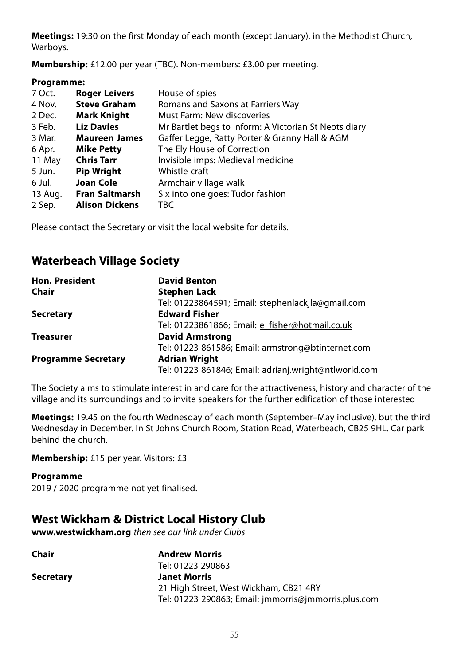**Meetings:** 19:30 on the first Monday of each month (except January), in the Methodist Church, Warboys.

**Membership:** £12.00 per year (TBC). Non-members: £3.00 per meeting.

## **Programme:**

| <b>Roger Leivers</b>  | House of spies                                        |
|-----------------------|-------------------------------------------------------|
| <b>Steve Graham</b>   | Romans and Saxons at Farriers Way                     |
| <b>Mark Knight</b>    | Must Farm: New discoveries                            |
| <b>Liz Davies</b>     | Mr Bartlet begs to inform: A Victorian St Neots diary |
| <b>Maureen James</b>  | Gaffer Legge, Ratty Porter & Granny Hall & AGM        |
| <b>Mike Petty</b>     | The Ely House of Correction                           |
| <b>Chris Tarr</b>     | Invisible imps: Medieval medicine                     |
| <b>Pip Wright</b>     | Whistle craft                                         |
| Joan Cole             | Armchair village walk                                 |
| <b>Fran Saltmarsh</b> | Six into one goes: Tudor fashion                      |
| <b>Alison Dickens</b> | TBC                                                   |
|                       |                                                       |

Please contact the Secretary or visit the local website for details.

# **Waterbeach Village Society**

| <b>Hon. President</b>      | <b>David Benton</b>                                   |
|----------------------------|-------------------------------------------------------|
| Chair                      | <b>Stephen Lack</b>                                   |
|                            | Tel: 01223864591; Email: stephenlackjla@gmail.com     |
| <b>Secretary</b>           | <b>Edward Fisher</b>                                  |
|                            | Tel: 01223861866; Email: e_fisher@hotmail.co.uk       |
| <b>Treasurer</b>           | <b>David Armstrong</b>                                |
|                            | Tel: 01223 861586; Email: armstrong@btinternet.com    |
| <b>Programme Secretary</b> | <b>Adrian Wright</b>                                  |
|                            | Tel: 01223 861846; Email: adrianj.wright@ntlworld.com |

The Society aims to stimulate interest in and care for the attractiveness, history and character of the village and its surroundings and to invite speakers for the further edification of those interested

**Meetings:** 19.45 on the fourth Wednesday of each month (September–May inclusive), but the third Wednesday in December. In St Johns Church Room, Station Road, Waterbeach, CB25 9HL. Car park behind the church.

**Membership:** £15 per year. Visitors: £3

## **Programme**

2019 / 2020 programme not yet finalised.

# **West Wickham & District Local History Club**

**www.westwickham.org** then see our link under Clubs

| Chair            | <b>Andrew Morris</b>                                 |
|------------------|------------------------------------------------------|
|                  | Tel: 01223 290863                                    |
| <b>Secretary</b> | <b>Janet Morris</b>                                  |
|                  | 21 High Street, West Wickham, CB21 4RY               |
|                  | Tel: 01223 290863; Email: jmmorris@jmmorris.plus.com |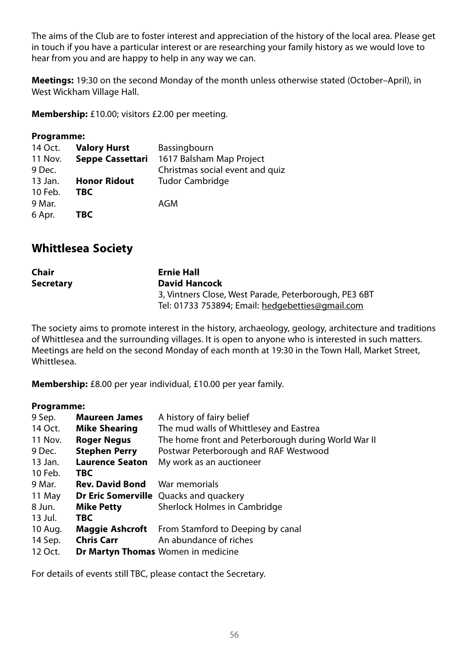The aims of the Club are to foster interest and appreciation of the history of the local area. Please get in touch if you have a particular interest or are researching your family history as we would love to hear from you and are happy to help in any way we can.

**Meetings:** 19:30 on the second Monday of the month unless otherwise stated (October–April), in West Wickham Village Hall.

**Membership:** £10.00; visitors £2.00 per meeting.

## **Programme:**

| 14 Oct. | <b>Valory Hurst</b> | Bassingbourn                    |
|---------|---------------------|---------------------------------|
| 11 Nov. | Seppe Cassettari    | 1617 Balsham Map Project        |
| 9 Dec.  |                     | Christmas social event and quiz |
| 13 Jan. | <b>Honor Ridout</b> | Tudor Cambridge                 |
| 10 Feb. | TBC                 |                                 |
| 9 Mar.  |                     | AGM                             |
| 6 Apr.  | TBC.                |                                 |

# **Whittlesea Society**

| Chair            | Ernie Hall                                            |
|------------------|-------------------------------------------------------|
| <b>Secretary</b> | David Hancock                                         |
|                  | 3, Vintners Close, West Parade, Peterborough, PE3 6BT |
|                  | Tel: 01733 753894; Email: hedgebetties@gmail.com      |

The society aims to promote interest in the history, archaeology, geology, architecture and traditions of Whittlesea and the surrounding villages. It is open to anyone who is interested in such matters. Meetings are held on the second Monday of each month at 19:30 in the Town Hall, Market Street, Whittlesea.

**Membership:** £8.00 per year individual, £10.00 per year family.

## **Programme:**

| <b>Maureen James</b>   | A history of fairy belief                                |
|------------------------|----------------------------------------------------------|
| <b>Mike Shearing</b>   | The mud walls of Whittlesey and Eastrea                  |
| <b>Roger Negus</b>     | The home front and Peterborough during World War II      |
| <b>Stephen Perry</b>   | Postwar Peterborough and RAF Westwood                    |
| <b>Laurence Seaton</b> | My work as an auctioneer                                 |
| <b>TBC</b>             |                                                          |
| <b>Rev. David Bond</b> | War memorials                                            |
|                        | <b>Dr Eric Somerville</b> Quacks and quackery            |
| <b>Mike Petty</b>      | Sherlock Holmes in Cambridge                             |
| <b>TBC</b>             |                                                          |
|                        | <b>Maggie Ashcroft</b> From Stamford to Deeping by canal |
| <b>Chris Carr</b>      | An abundance of riches                                   |
|                        | <b>Dr Martyn Thomas</b> Women in medicine                |
|                        |                                                          |

For details of events still TBC, please contact the Secretary.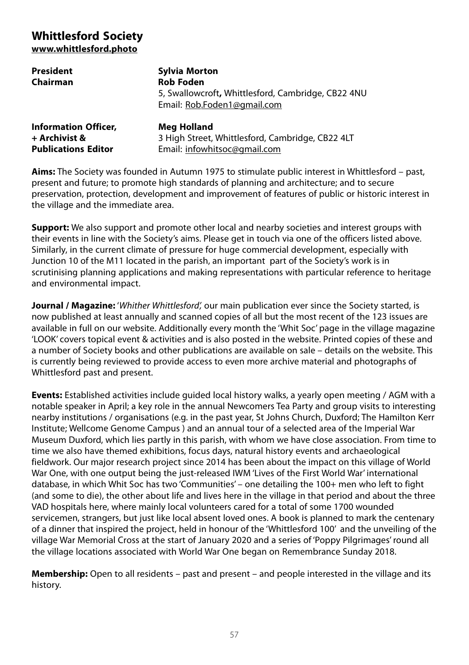# **Whittlesford Society www.whittlesford.photo**

| President                   | Sylvia Morton                                                                     |
|-----------------------------|-----------------------------------------------------------------------------------|
| Chairman                    | <b>Rob Foden</b>                                                                  |
|                             | 5, Swallowcroft, Whittlesford, Cambridge, CB22 4NU<br>Email: Rob.Foden1@gmail.com |
| <b>Information Officer,</b> | Meg Holland                                                                       |
| + Archivist &               | 3 High Street, Whittlesford, Cambridge, CB22 4LT                                  |
| <b>Publications Editor</b>  | Email: infowhitsoc@gmail.com                                                      |

**Aims:** The Society was founded in Autumn 1975 to stimulate public interest in Whittlesford – past, present and future; to promote high standards of planning and architecture; and to secure preservation, protection, development and improvement of features of public or historic interest in the village and the immediate area.

**Support:** We also support and promote other local and nearby societies and interest groups with their events in line with the Society's aims. Please get in touch via one of the officers listed above. Similarly, in the current climate of pressure for huge commercial development, especially with Junction 10 of the M11 located in the parish, an important part of the Society's work is in scrutinising planning applications and making representations with particular reference to heritage and environmental impact.

**Journal / Magazine:** 'Whither Whittlesford', our main publication ever since the Society started, is now published at least annually and scanned copies of all but the most recent of the 123 issues are available in full on our website. Additionally every month the 'Whit Soc' page in the village magazine 'LOOK' covers topical event & activities and is also posted in the website. Printed copies of these and a number of Society books and other publications are available on sale – details on the website. This is currently being reviewed to provide access to even more archive material and photographs of Whittlesford past and present.

**Events:** Established activities include guided local history walks, a yearly open meeting / AGM with a notable speaker in April; a key role in the annual Newcomers Tea Party and group visits to interesting nearby institutions / organisations (e.g. in the past year, St Johns Church, Duxford; The Hamilton Kerr Institute; Wellcome Genome Campus ) and an annual tour of a selected area of the Imperial War Museum Duxford, which lies partly in this parish, with whom we have close association. From time to time we also have themed exhibitions, focus days, natural history events and archaeological fieldwork. Our major research project since 2014 has been about the impact on this village of World War One, with one output being the just-released IWM 'Lives of the First World War' international database, in which Whit Soc has two 'Communities' – one detailing the 100+ men who left to fight (and some to die), the other about life and lives here in the village in that period and about the three VAD hospitals here, where mainly local volunteers cared for a total of some 1700 wounded servicemen, strangers, but just like local absent loved ones. A book is planned to mark the centenary of a dinner that inspired the project, held in honour of the 'Whittlesford 100' and the unveiling of the village War Memorial Cross at the start of January 2020 and a series of 'Poppy Pilgrimages' round all the village locations associated with World War One began on Remembrance Sunday 2018.

**Membership:** Open to all residents – past and present – and people interested in the village and its history.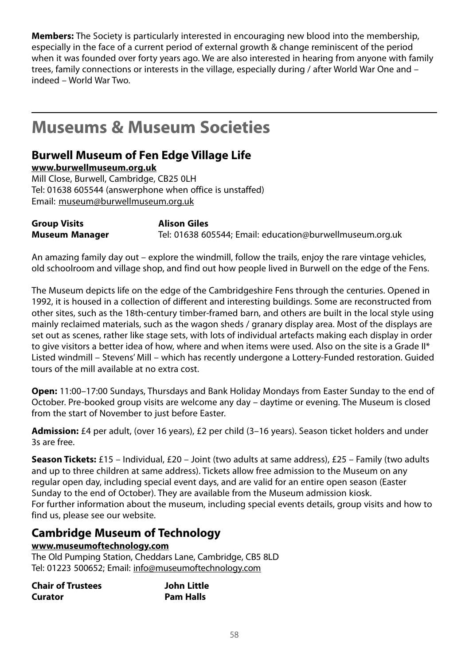**Members:** The Society is particularly interested in encouraging new blood into the membership, especially in the face of a current period of external growth & change reminiscent of the period when it was founded over forty years ago. We are also interested in hearing from anyone with family trees, family connections or interests in the village, especially during / after World War One and – indeed – World War Two.

# **Museums & Museum Societies**

# **Burwell Museum of Fen Edge Village Life**

**www.burwellmuseum.org.uk**

Mill Close, Burwell, Cambridge, CB25 0LH Tel: 01638 605544 (answerphone when office is unstaffed) Email: museum@burwellmuseum.org.uk

**Group Visits Alison Giles Museum Manager** Tel: 01638 605544; Email: education@burwellmuseum.org.uk

An amazing family day out – explore the windmill, follow the trails, enjoy the rare vintage vehicles, old schoolroom and village shop, and find out how people lived in Burwell on the edge of the Fens.

The Museum depicts life on the edge of the Cambridgeshire Fens through the centuries. Opened in 1992, it is housed in a collection of different and interesting buildings. Some are reconstructed from other sites, such as the 18th-century timber-framed barn, and others are built in the local style using mainly reclaimed materials, such as the wagon sheds / granary display area. Most of the displays are set out as scenes, rather like stage sets, with lots of individual artefacts making each display in order to give visitors a better idea of how, where and when items were used. Also on the site is a Grade II\* Listed windmill – Stevens' Mill – which has recently undergone a Lottery-Funded restoration. Guided tours of the mill available at no extra cost.

**Open:** 11:00–17:00 Sundays, Thursdays and Bank Holiday Mondays from Easter Sunday to the end of October. Pre-booked group visits are welcome any day – daytime or evening. The Museum is closed from the start of November to just before Easter.

**Admission:** £4 per adult, (over 16 years), £2 per child (3–16 years). Season ticket holders and under 3s are free.

**Season Tickets:** £15 – Individual, £20 – Joint (two adults at same address), £25 – Family (two adults and up to three children at same address). Tickets allow free admission to the Museum on any regular open day, including special event days, and are valid for an entire open season (Easter Sunday to the end of October). They are available from the Museum admission kiosk. For further information about the museum, including special events details, group visits and how to find us, please see our website.

# **Cambridge Museum of Technology**

## **www.museumoftechnology.com**

The Old Pumping Station, Cheddars Lane, Cambridge, CB5 8LD Tel: 01223 500652; Email: info@museumoftechnology.com

| <b>Chair of Trustees</b> | John Little      |
|--------------------------|------------------|
| Curator                  | <b>Pam Halls</b> |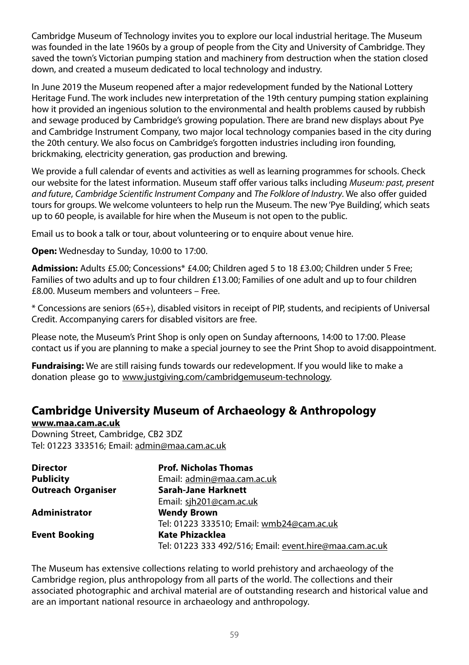Cambridge Museum of Technology invites you to explore our local industrial heritage. The Museum was founded in the late 1960s by a group of people from the City and University of Cambridge. They saved the town's Victorian pumping station and machinery from destruction when the station closed down, and created a museum dedicated to local technology and industry.

In June 2019 the Museum reopened after a major redevelopment funded by the National Lottery Heritage Fund. The work includes new interpretation of the 19th century pumping station explaining how it provided an ingenious solution to the environmental and health problems caused by rubbish and sewage produced by Cambridge's growing population. There are brand new displays about Pye and Cambridge Instrument Company, two major local technology companies based in the city during the 20th century. We also focus on Cambridge's forgotten industries including iron founding, brickmaking, electricity generation, gas production and brewing.

We provide a full calendar of events and activities as well as learning programmes for schools. Check our website for the latest information. Museum staff offer various talks including Museum: past, present and future, Cambridge Scientific Instrument Company and The Folklore of Industry. We also offer guided tours for groups. We welcome volunteers to help run the Museum. The new 'Pye Building', which seats up to 60 people, is available for hire when the Museum is not open to the public.

Email us to book a talk or tour, about volunteering or to enquire about venue hire.

**Open:** Wednesday to Sunday, 10:00 to 17:00.

**Admission:** Adults £5.00; Concessions\* £4.00; Children aged 5 to 18 £3.00; Children under 5 Free; Families of two adults and up to four children £13.00; Families of one adult and up to four children £8.00. Museum members and volunteers – Free.

\* Concessions are seniors (65+), disabled visitors in receipt of PIP, students, and recipients of Universal Credit. Accompanying carers for disabled visitors are free.

Please note, the Museum's Print Shop is only open on Sunday afternoons, 14:00 to 17:00. Please contact us if you are planning to make a special journey to see the Print Shop to avoid disappointment.

**Fundraising:** We are still raising funds towards our redevelopment. If you would like to make a donation please go to www.justgiving.com/cambridgemuseum-technology.

# **Cambridge University Museum of Archaeology & Anthropology**

**www.maa.cam.ac.uk** Downing Street, Cambridge, CB2 3DZ Tel: 01223 333516; Email: admin@maa.cam.ac.uk

| <b>Director</b>           | <b>Prof. Nicholas Thomas</b>                            |
|---------------------------|---------------------------------------------------------|
| <b>Publicity</b>          | Email: admin@maa.cam.ac.uk                              |
| <b>Outreach Organiser</b> | <b>Sarah-Jane Harknett</b>                              |
|                           | Email: sih201@cam.ac.uk                                 |
| <b>Administrator</b>      | <b>Wendy Brown</b>                                      |
|                           | Tel: 01223 333510; Email: wmb24@cam.ac.uk               |
| <b>Event Booking</b>      | Kate Phizacklea                                         |
|                           | Tel: 01223 333 492/516; Email: event.hire@maa.cam.ac.uk |

The Museum has extensive collections relating to world prehistory and archaeology of the Cambridge region, plus anthropology from all parts of the world. The collections and their associated photographic and archival material are of outstanding research and historical value and are an important national resource in archaeology and anthropology.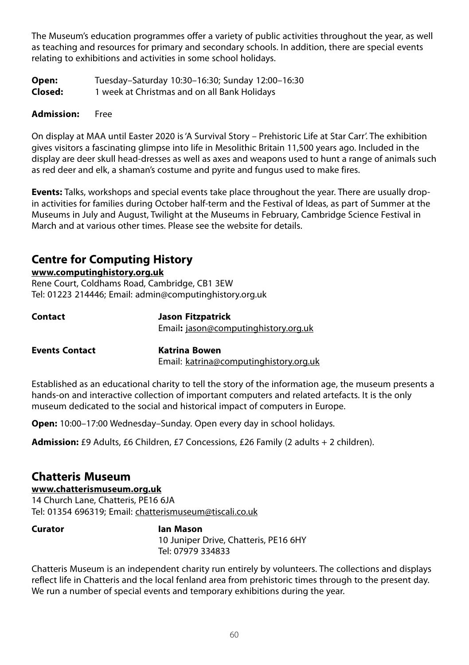The Museum's education programmes offer a variety of public activities throughout the year, as well as teaching and resources for primary and secondary schools. In addition, there are special events relating to exhibitions and activities in some school holidays.

| Open:   | Tuesday-Saturday 10:30-16:30; Sunday 12:00-16:30 |
|---------|--------------------------------------------------|
| Closed: | 1 week at Christmas and on all Bank Holidays     |

## **Admission:** Free

On display at MAA until Easter 2020 is 'A Survival Story – Prehistoric Life at Star Carr'. The exhibition gives visitors a fascinating glimpse into life in Mesolithic Britain 11,500 years ago. Included in the display are deer skull head-dresses as well as axes and weapons used to hunt a range of animals such as red deer and elk, a shaman's costume and pyrite and fungus used to make fires.

**Events:** Talks, workshops and special events take place throughout the year. There are usually dropin activities for families during October half-term and the Festival of Ideas, as part of Summer at the Museums in July and August, Twilight at the Museums in February, Cambridge Science Festival in March and at various other times. Please see the website for details.

# **Centre for Computing History**

## **www.computinghistory.org.uk**

Rene Court, Coldhams Road, Cambridge, CB1 3EW Tel: 01223 214446; Email: admin@computinghistory.org.uk

| Contact               | Jason Fitzpatrick                      |  |
|-----------------------|----------------------------------------|--|
|                       | Email: jason@computinghistory.org.uk   |  |
| <b>Events Contact</b> | Katrina Bowen                          |  |
|                       | Email: katrina@computinghistory.org.uk |  |

Established as an educational charity to tell the story of the information age, the museum presents a hands-on and interactive collection of important computers and related artefacts. It is the only museum dedicated to the social and historical impact of computers in Europe.

**Open:** 10:00–17:00 Wednesday–Sunday. Open every day in school holidays.

**Admission:** £9 Adults, £6 Children, £7 Concessions, £26 Family (2 adults + 2 children).

# **Chatteris Museum**

**www.chatterismuseum.org.uk** 14 Church Lane, Chatteris, PE16 6JA Tel: 01354 696319; Email: chatterismuseum@tiscali.co.uk

## **Curator Ian Mason**

10 Juniper Drive, Chatteris, PE16 6HY Tel: 07979 334833

Chatteris Museum is an independent charity run entirely by volunteers. The collections and displays reflect life in Chatteris and the local fenland area from prehistoric times through to the present day. We run a number of special events and temporary exhibitions during the year.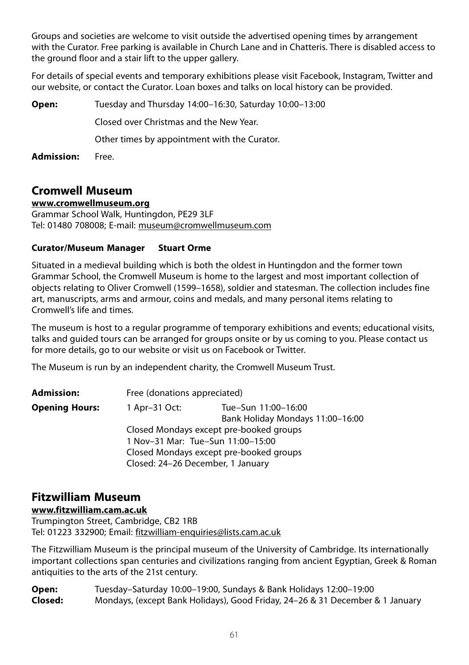Groups and societies are welcome to visit outside the advertised opening times by arrangement with the Curator. Free parking is available in Church Lane and in Chatteris. There is disabled access to the ground floor and a stair lift to the upper gallery.

For details of special events and temporary exhibitions please visit Facebook, Instagram, Twitter and our website, or contact the Curator. Loan boxes and talks on local history can be provided.

| Open:      | Tuesday and Thursday 14:00-16:30, Saturday 10:00-13:00 |
|------------|--------------------------------------------------------|
|            | Closed over Christmas and the New Year.                |
|            | Other times by appointment with the Curator.           |
| Admission: | Free.                                                  |

# **Cromwell Museum**

## **www.cromwellmuseum.org**

Grammar School Walk, Huntingdon, PE29 3LF Tel: 01480 708008; E-mail: museum@cromwellmuseum.com

## **Curator/Museum Manager Stuart Orme**

Situated in a medieval building which is both the oldest in Huntingdon and the former town Grammar School, the Cromwell Museum is home to the largest and most important collection of objects relating to Oliver Cromwell (1599–1658), soldier and statesman. The collection includes fine art, manuscripts, arms and armour, coins and medals, and many personal items relating to Cromwell's life and times.

The museum is host to a regular programme of temporary exhibitions and events; educational visits, talks and guided tours can be arranged for groups onsite or by us coming to you. Please contact us for more details, go to our website or visit us on Facebook or Twitter.

The Museum is run by an independent charity, the Cromwell Museum Trust.

| <b>Admission:</b>     | Free (donations appreciated)      |                                         |
|-----------------------|-----------------------------------|-----------------------------------------|
| <b>Opening Hours:</b> | 1 Apr-31 Oct:                     | Tue-Sun 11:00-16:00                     |
|                       |                                   | Bank Holiday Mondays 11:00-16:00        |
|                       |                                   | Closed Mondays except pre-booked groups |
|                       |                                   | 1 Nov-31 Mar: Tue-Sun 11:00-15:00       |
|                       |                                   | Closed Mondays except pre-booked groups |
|                       | Closed: 24-26 December, 1 January |                                         |

# **Fitzwilliam Museum**

**www.fitzwilliam.cam.ac.uk**

Trumpington Street, Cambridge, CB2 1RB Tel: 01223 332900; Email: fitzwilliam-enquiries@lists.cam.ac.uk

The Fitzwilliam Museum is the principal museum of the University of Cambridge. Its internationally important collections span centuries and civilizations ranging from ancient Egyptian, Greek & Roman antiquities to the arts of the 21st century.

**Open:** Tuesday–Saturday 10:00–19:00, Sundays & Bank Holidays 12:00–19:00 **Closed:** Mondays, (except Bank Holidays), Good Friday, 24–26 & 31 December & 1 January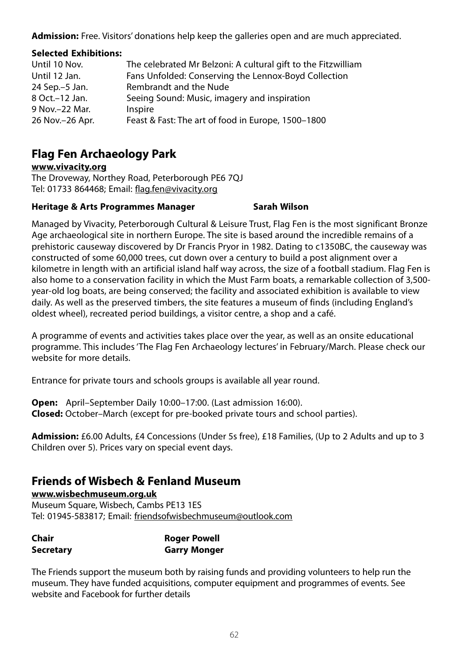**Admission:** Free. Visitors' donations help keep the galleries open and are much appreciated.

## **Selected Exhibitions:**

| Until 10 Nov.    | The celebrated Mr Belzoni: A cultural gift to the Fitzwilliam |
|------------------|---------------------------------------------------------------|
| Until 12 Jan.    | Fans Unfolded: Conserving the Lennox-Boyd Collection          |
| 24 Sep. - 5 Jan. | Rembrandt and the Nude                                        |
| 8 Oct.-12 Jan.   | Seeing Sound: Music, imagery and inspiration                  |
| 9 Nov. - 22 Mar. | Inspire                                                       |
| 26 Nov.-26 Apr.  | Feast & Fast: The art of food in Europe, 1500–1800            |
|                  |                                                               |

# **Flag Fen Archaeology Park**

**www.vivacity.org**

The Droveway, Northey Road, Peterborough PE6 7QJ Tel: 01733 864468; Email: flag.fen@vivacity.org

## **Heritage & Arts Programmes Manager Sarah Wilson**

Managed by Vivacity, Peterborough Cultural & Leisure Trust, Flag Fen is the most significant Bronze Age archaeological site in northern Europe. The site is based around the incredible remains of a prehistoric causeway discovered by Dr Francis Pryor in 1982. Dating to c1350BC, the causeway was constructed of some 60,000 trees, cut down over a century to build a post alignment over a kilometre in length with an artificial island half way across, the size of a football stadium. Flag Fen is also home to a conservation facility in which the Must Farm boats, a remarkable collection of 3,500 year-old log boats, are being conserved; the facility and associated exhibition is available to view daily. As well as the preserved timbers, the site features a museum of finds (including England's oldest wheel), recreated period buildings, a visitor centre, a shop and a café.

A programme of events and activities takes place over the year, as well as an onsite educational programme. This includes 'The Flag Fen Archaeology lectures' in February/March. Please check our website for more details.

Entrance for private tours and schools groups is available all year round.

**Open:** April–September Daily 10:00–17:00. (Last admission 16:00). **Closed:** October–March (except for pre-booked private tours and school parties).

**Admission:** £6.00 Adults, £4 Concessions (Under 5s free), £18 Families, (Up to 2 Adults and up to 3 Children over 5). Prices vary on special event days.

# **Friends of Wisbech & Fenland Museum**

## **www.wisbechmuseum.org.uk**

Museum Square, Wisbech, Cambs PE13 1ES Tel: 01945-583817; Email: friendsofwisbechmuseum@outlook.com

| Chair            | <b>Roger Powell</b> |
|------------------|---------------------|
| <b>Secretary</b> | <b>Garry Monger</b> |

The Friends support the museum both by raising funds and providing volunteers to help run the museum. They have funded acquisitions, computer equipment and programmes of events. See website and Facebook for further details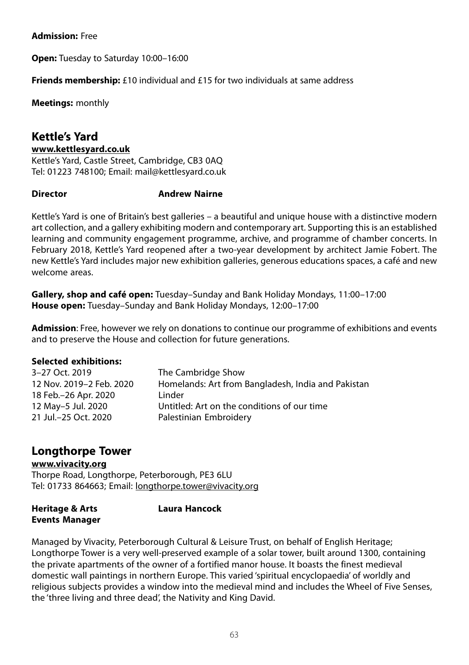## **Admission:** Free

**Open:** Tuesday to Saturday 10:00–16:00

**Friends membership:** £10 individual and £15 for two individuals at same address

**Meetings:** monthly

# **Kettle's Yard**

#### **www.kettlesyard.co.uk**

Kettle's Yard, Castle Street, Cambridge, CB3 0AQ Tel: 01223 748100; Email: mail@kettlesyard.co.uk

## **Director Andrew Nairne**

Kettle's Yard is one of Britain's best galleries – a beautiful and unique house with a distinctive modern art collection, and a gallery exhibiting modern and contemporary art. Supporting this is an established learning and community engagement programme, archive, and programme of chamber concerts. In February 2018, Kettle's Yard reopened after a two-year development by architect Jamie Fobert. The new Kettle's Yard includes major new exhibition galleries, generous educations spaces, a café and new welcome areas.

**Gallery, shop and café open:** Tuesday–Sunday and Bank Holiday Mondays, 11:00–17:00 **House open:** Tuesday–Sunday and Bank Holiday Mondays, 12:00–17:00

**Admission**: Free, however we rely on donations to continue our programme of exhibitions and events and to preserve the House and collection for future generations.

## **Selected exhibitions:**

| 3-27 Oct. 2019<br>12 Nov. 2019-2 Feb. 2020<br>18 Feb.-26 Apr. 2020<br>12 May-5 Jul. 2020<br>21 Jul. - 25 Oct. 2020 | The Cambridge Show<br>Homelands: Art from Bangladesh, India and Pakistan<br>Linder<br>Untitled: Art on the conditions of our time<br>Palestinian Embroidery |
|--------------------------------------------------------------------------------------------------------------------|-------------------------------------------------------------------------------------------------------------------------------------------------------------|
|                                                                                                                    |                                                                                                                                                             |
|                                                                                                                    |                                                                                                                                                             |

# **Longthorpe Tower**

## **www.vivacity.org**

Thorpe Road, Longthorpe, Peterborough, PE3 6LU Tel: 01733 864663; Email: longthorpe.tower@vivacity.org

| <b>Heritage &amp; Arts</b> | <b>Laura Hancock</b> |
|----------------------------|----------------------|
| <b>Events Manager</b>      |                      |

Managed by Vivacity, Peterborough Cultural & Leisure Trust, on behalf of English Heritage; Longthorpe Tower is a very well-preserved example of a solar tower, built around 1300, containing the private apartments of the owner of a fortified manor house. It boasts the finest medieval domestic wall paintings in northern Europe. This varied 'spiritual encyclopaedia' of worldly and religious subjects provides a window into the medieval mind and includes the Wheel of Five Senses, the 'three living and three dead', the Nativity and King David.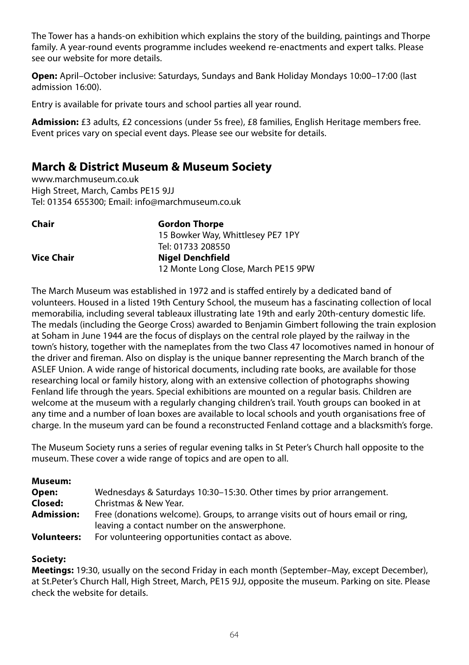The Tower has a hands-on exhibition which explains the story of the building, paintings and Thorpe family. A year-round events programme includes weekend re-enactments and expert talks. Please see our website for more details.

**Open:** April–October inclusive: Saturdays, Sundays and Bank Holiday Mondays 10:00–17:00 (last admission 16:00).

Entry is available for private tours and school parties all year round.

**Admission:** £3 adults, £2 concessions (under 5s free), £8 families, English Heritage members free. Event prices vary on special event days. Please see our website for details.

# **March & District Museum & Museum Society**

www.marchmuseum.co.uk High Street, March, Cambs PE15 9JJ Tel: 01354 655300; Email: info@marchmuseum.co.uk

| <b>Gordon Thorpe</b>                |
|-------------------------------------|
| 15 Bowker Way, Whittlesey PE7 1PY   |
| Tel: 01733 208550                   |
| <b>Nigel Denchfield</b>             |
| 12 Monte Long Close, March PE15 9PW |
|                                     |

The March Museum was established in 1972 and is staffed entirely by a dedicated band of volunteers. Housed in a listed 19th Century School, the museum has a fascinating collection of local memorabilia, including several tableaux illustrating late 19th and early 20th-century domestic life. The medals (including the George Cross) awarded to Benjamin Gimbert following the train explosion at Soham in June 1944 are the focus of displays on the central role played by the railway in the town's history, together with the nameplates from the two Class 47 locomotives named in honour of the driver and fireman. Also on display is the unique banner representing the March branch of the ASLEF Union. A wide range of historical documents, including rate books, are available for those researching local or family history, along with an extensive collection of photographs showing Fenland life through the years. Special exhibitions are mounted on a regular basis. Children are welcome at the museum with a regularly changing children's trail. Youth groups can booked in at any time and a number of loan boxes are available to local schools and youth organisations free of charge. In the museum yard can be found a reconstructed Fenland cottage and a blacksmith's forge.

The Museum Society runs a series of regular evening talks in St Peter's Church hall opposite to the museum. These cover a wide range of topics and are open to all.

#### **Museum:**

| Open:              | Wednesdays & Saturdays 10:30–15:30. Other times by prior arrangement.           |
|--------------------|---------------------------------------------------------------------------------|
| Closed:            | Christmas & New Year.                                                           |
| <b>Admission:</b>  | Free (donations welcome). Groups, to arrange visits out of hours email or ring, |
|                    | leaving a contact number on the answerphone.                                    |
| <b>Volunteers:</b> | For volunteering opportunities contact as above.                                |

## **Society:**

**Meetings:** 19:30, usually on the second Friday in each month (September–May, except December), at St.Peter's Church Hall, High Street, March, PE15 9JJ, opposite the museum. Parking on site. Please check the website for details.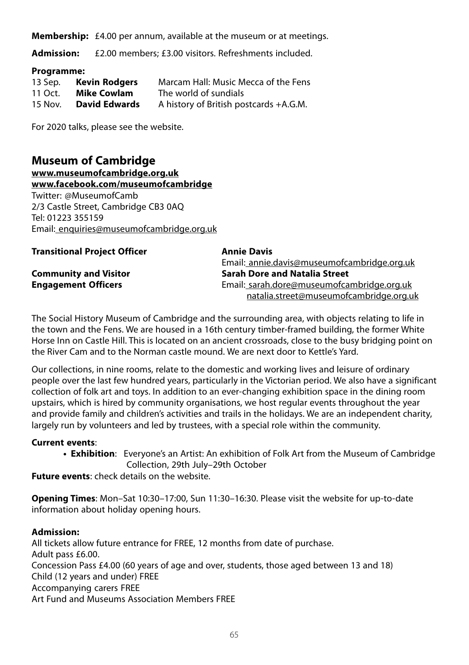**Membership:** £4.00 per annum, available at the museum or at meetings.

**Admission:** £2.00 members; £3.00 visitors. Refreshments included.

#### **Programme:**

| 13 Sep. | Kevin Rodgers        | Marcam Hall: Music Mecca of the Fens   |
|---------|----------------------|----------------------------------------|
| 11 Oct. | Mike Cowlam          | The world of sundials                  |
| 15 Nov. | <b>David Edwards</b> | A history of British postcards +A.G.M. |

For 2020 talks, please see the website.

# **Museum of Cambridge**

**www.museumofcambridge.org.uk**

**www.facebook.com/museumofcambridge** Twitter: @MuseumofCamb

2/3 Castle Street, Cambridge CB3 0AQ Tel: 01223 355159 Email: enquiries@museumofcambridge.org.uk

| <b>Transitional Project Officer</b> | <b>Annie Davis</b>                          |
|-------------------------------------|---------------------------------------------|
|                                     | Email: annie.davis@museumofcambridge.org.uk |
| <b>Community and Visitor</b>        | <b>Sarah Dore and Natalia Street</b>        |
| <b>Engagement Officers</b>          | Email: sarah.dore@museumofcambridge.org.uk  |
|                                     | natalia.street@museumofcambridge.org.uk     |

The Social History Museum of Cambridge and the surrounding area, with objects relating to life in the town and the Fens. We are housed in a 16th century timber-framed building, the former White Horse Inn on Castle Hill. This is located on an ancient crossroads, close to the busy bridging point on the River Cam and to the Norman castle mound. We are next door to Kettle's Yard.

Our collections, in nine rooms, relate to the domestic and working lives and leisure of ordinary people over the last few hundred years, particularly in the Victorian period. We also have a significant collection of folk art and toys. In addition to an ever-changing exhibition space in the dining room upstairs, which is hired by community organisations, we host regular events throughout the year and provide family and children's activities and trails in the holidays. We are an independent charity, largely run by volunteers and led by trustees, with a special role within the community.

## **Current events**:

**• Exhibition**: Everyone's an Artist: An exhibition of Folk Art from the Museum of Cambridge Collection, 29th July–29th October

**Future events**: check details on the website.

**Opening Times**: Mon–Sat 10:30–17:00, Sun 11:30–16:30. Please visit the website for up-to-date information about holiday opening hours.

## **Admission:**

All tickets allow future entrance for FREE, 12 months from date of purchase. Adult pass £6.00. Concession Pass £4.00 (60 years of age and over, students, those aged between 13 and 18) Child (12 years and under) FREE Accompanying carers FREE Art Fund and Museums Association Members FREE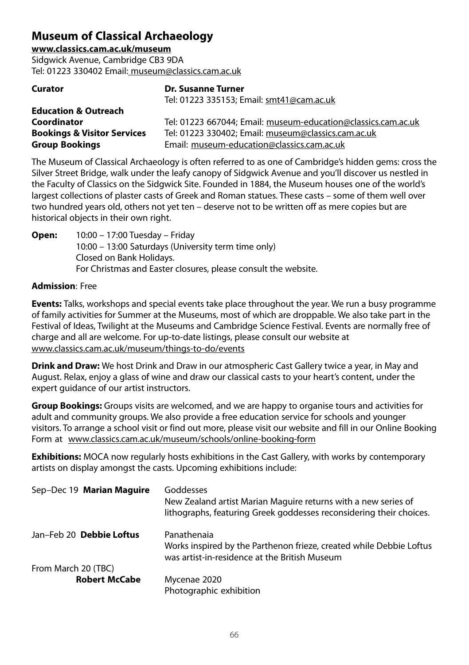# **Museum of Classical Archaeology**

**www.classics.cam.ac.uk/museum** Sidgwick Avenue, Cambridge CB3 9DA Tel: 01223 330402 Email: museum@classics.cam.ac.uk

| <b>Curator</b>                         | <b>Dr. Susanne Turner</b>                                     |
|----------------------------------------|---------------------------------------------------------------|
|                                        | Tel: 01223 335153; Email: smt41@cam.ac.uk                     |
| <b>Education &amp; Outreach</b>        |                                                               |
| Coordinator                            | Tel: 01223 667044: Email: museum-education@classics.cam.ac.uk |
| <b>Bookings &amp; Visitor Services</b> | Tel: 01223 330402; Email: museum@classics.cam.ac.uk           |
| <b>Group Bookings</b>                  | Email: museum-education@classics.cam.ac.uk                    |

The Museum of Classical Archaeology is often referred to as one of Cambridge's hidden gems: cross the Silver Street Bridge, walk under the leafy canopy of Sidgwick Avenue and you'll discover us nestled in the Faculty of Classics on the Sidgwick Site. Founded in 1884, the Museum houses one of the world's largest collections of plaster casts of Greek and Roman statues. These casts – some of them well over two hundred years old, others not yet ten – deserve not to be written off as mere copies but are historical objects in their own right.

**Open:** 10:00 – 17:00 Tuesday – Friday 10:00 – 13:00 Saturdays (University term time only) Closed on Bank Holidays. For Christmas and Easter closures, please consult the website.

## **Admission**: Free

**Events:** Talks, workshops and special events take place throughout the year. We run a busy programme of family activities for Summer at the Museums, most of which are droppable. We also take part in the Festival of Ideas, Twilight at the Museums and Cambridge Science Festival. Events are normally free of charge and all are welcome. For up-to-date listings, please consult our website at www.classics.cam.ac.uk/museum/things-to-do/events

**Drink and Draw:** We host Drink and Draw in our atmospheric Cast Gallery twice a year, in May and August. Relax, enjoy a glass of wine and draw our classical casts to your heart's content, under the expert guidance of our artist instructors.

**Group Bookings:** Groups visits are welcomed, and we are happy to organise tours and activities for adult and community groups. We also provide a free education service for schools and younger visitors. To arrange a school visit or find out more, please visit our website and fill in our Online Booking Form at www.classics.cam.ac.uk/museum/schools/online-booking-form

**Exhibitions:** MOCA now regularly hosts exhibitions in the Cast Gallery, with works by contemporary artists on display amongst the casts. Upcoming exhibitions include:

| Sep-Dec 19 Marian Maguire | Goddesses<br>New Zealand artist Marian Maguire returns with a new series of<br>lithographs, featuring Greek goddesses reconsidering their choices. |
|---------------------------|----------------------------------------------------------------------------------------------------------------------------------------------------|
| Jan-Feb 20 Debbie Loftus  | Panathenaia<br>Works inspired by the Parthenon frieze, created while Debbie Loftus<br>was artist-in-residence at the British Museum                |
| From March 20 (TBC)       |                                                                                                                                                    |
| <b>Robert McCabe</b>      | Mycenae 2020                                                                                                                                       |
|                           | Photographic exhibition                                                                                                                            |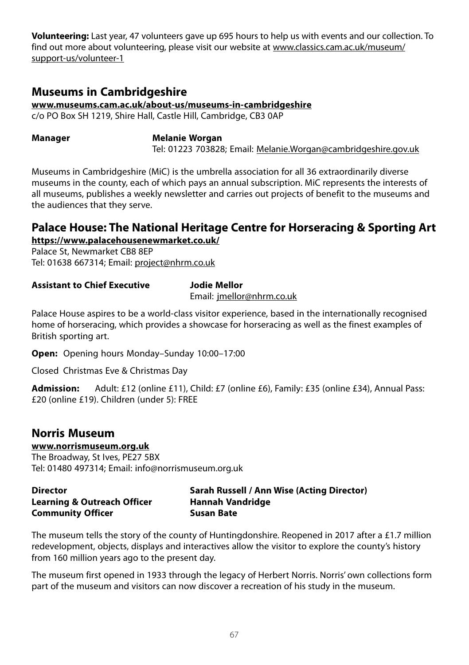**Volunteering:** Last year, 47 volunteers gave up 695 hours to help us with events and our collection. To find out more about volunteering, please visit our website at www.classics.cam.ac.uk/museum/ support-us/volunteer-1

# **Museums in Cambridgeshire**

**www.museums.cam.ac.uk/about-us/museums-in-cambridgeshire**

c/o PO Box SH 1219, Shire Hall, Castle Hill, Cambridge, CB3 0AP

**Manager Melanie Worgan** Tel: 01223 703828; Email: Melanie.Worgan@cambridgeshire.gov.uk

Museums in Cambridgeshire (MiC) is the umbrella association for all 36 extraordinarily diverse museums in the county, each of which pays an annual subscription. MiC represents the interests of all museums, publishes a weekly newsletter and carries out projects of benefit to the museums and the audiences that they serve.

# **Palace House: The National Heritage Centre for Horseracing & Sporting Art https://www.palacehousenewmarket.co.uk/**

Palace St, Newmarket CB8 8EP Tel: 01638 667314; Email: project@nhrm.co.uk

## **Assistant to Chief Executive Jodie Mellor**

Email: jmellor@nhrm.co.uk

Palace House aspires to be a world-class visitor experience, based in the internationally recognised home of horseracing, which provides a showcase for horseracing as well as the finest examples of British sporting art.

**Open:** Opening hours Monday–Sunday 10:00–17:00

Closed Christmas Eve & Christmas Day

**Admission:** Adult: £12 (online £11), Child: £7 (online £6), Family: £35 (online £34), Annual Pass: £20 (online £19). Children (under 5): FREE

# **Norris Museum**

**www.norrismuseum.org.uk** The Broadway, St Ives, PE27 5BX

Tel: 01480 497314; Email: info@norrismuseum.org.uk

| <b>Director</b>                        | Sarah Russell / Ann Wise (Acting Director) |
|----------------------------------------|--------------------------------------------|
| <b>Learning &amp; Outreach Officer</b> | Hannah Vandridge                           |
| <b>Community Officer</b>               | Susan Bate                                 |

The museum tells the story of the county of Huntingdonshire. Reopened in 2017 after a £1.7 million redevelopment, objects, displays and interactives allow the visitor to explore the county's history from 160 million years ago to the present day.

The museum first opened in 1933 through the legacy of Herbert Norris. Norris' own collections form part of the museum and visitors can now discover a recreation of his study in the museum.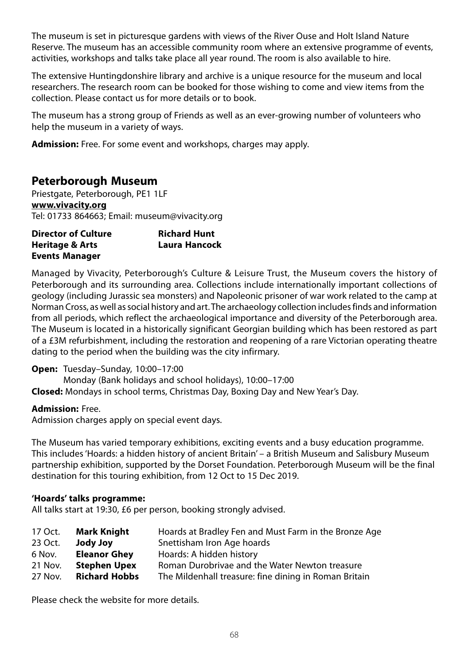The museum is set in picturesque gardens with views of the River Ouse and Holt Island Nature Reserve. The museum has an accessible community room where an extensive programme of events, activities, workshops and talks take place all year round. The room is also available to hire.

The extensive Huntingdonshire library and archive is a unique resource for the museum and local researchers. The research room can be booked for those wishing to come and view items from the collection. Please contact us for more details or to book.

The museum has a strong group of Friends as well as an ever-growing number of volunteers who help the museum in a variety of ways.

**Admission:** Free. For some event and workshops, charges may apply.

# **Peterborough Museum**

Priestgate, Peterborough, PE1 1LF **www.vivacity.org** Tel: 01733 864663; Email: museum@vivacity.org

| <b>Director of Culture</b> | <b>Richard Hunt</b> |
|----------------------------|---------------------|
| <b>Heritage &amp; Arts</b> | Laura Hancock       |
| <b>Events Manager</b>      |                     |

Managed by Vivacity, Peterborough's Culture & Leisure Trust, the Museum covers the history of Peterborough and its surrounding area. Collections include internationally important collections of geology (including Jurassic sea monsters) and Napoleonic prisoner of war work related to the camp at Norman Cross, as well as social history and art. The archaeology collection includes finds and information from all periods, which reflect the archaeological importance and diversity of the Peterborough area. The Museum is located in a historically significant Georgian building which has been restored as part of a £3M refurbishment, including the restoration and reopening of a rare Victorian operating theatre dating to the period when the building was the city infirmary.

## **Open:** Tuesday–Sunday, 10:00–17:00

Monday (Bank holidays and school holidays), 10:00–17:00 **Closed:** Mondays in school terms, Christmas Day, Boxing Day and New Year's Day.

## **Admission:** Free.

Admission charges apply on special event days.

The Museum has varied temporary exhibitions, exciting events and a busy education programme. This includes 'Hoards: a hidden history of ancient Britain' – a British Museum and Salisbury Museum partnership exhibition, supported by the Dorset Foundation. Peterborough Museum will be the final destination for this touring exhibition, from 12 Oct to 15 Dec 2019.

## **'Hoards' talks programme:**

All talks start at 19:30, £6 per person, booking strongly advised.

| 17 Oct. | <b>Mark Knight</b>   | Hoards at Bradley Fen and Must Farm in the Bronze Age |
|---------|----------------------|-------------------------------------------------------|
| 23 Oct. | <b>vol</b> vbol      | Snettisham Iron Age hoards                            |
| 6 Nov.  | <b>Eleanor Ghey</b>  | Hoards: A hidden history                              |
| 21 Nov. | <b>Stephen Upex</b>  | Roman Durobrivae and the Water Newton treasure        |
| 27 Nov. | <b>Richard Hobbs</b> | The Mildenhall treasure: fine dining in Roman Britain |

Please check the website for more details.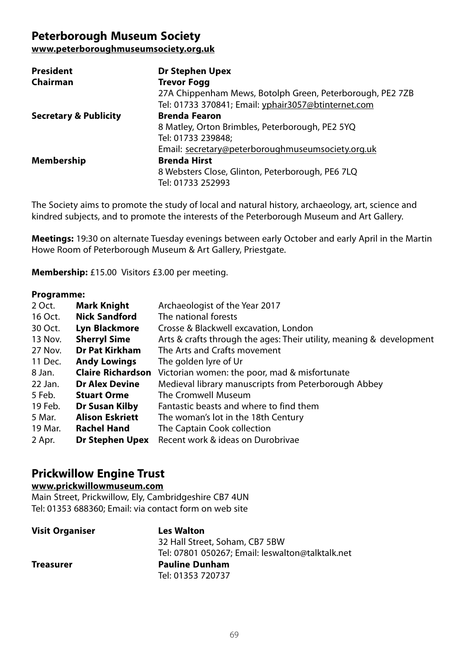# **Peterborough Museum Society**

**www.peterboroughmuseumsociety.org.uk**

| President                        | Dr Stephen Upex                                           |
|----------------------------------|-----------------------------------------------------------|
| Chairman                         | <b>Trevor Fogg</b>                                        |
|                                  | 27A Chippenham Mews, Botolph Green, Peterborough, PE2 7ZB |
|                                  | Tel: 01733 370841; Email: yphair3057@btinternet.com       |
| <b>Secretary &amp; Publicity</b> | <b>Brenda Fearon</b>                                      |
|                                  | 8 Matley, Orton Brimbles, Peterborough, PE2 5YQ           |
|                                  | Tel: 01733 239848;                                        |
|                                  | Email: secretary@peterboroughmuseumsociety.org.uk         |
| Membership                       | <b>Brenda Hirst</b>                                       |
|                                  | 8 Websters Close, Glinton, Peterborough, PE6 7LQ          |
|                                  | Tel: 01733 252993                                         |

The Society aims to promote the study of local and natural history, archaeology, art, science and kindred subjects, and to promote the interests of the Peterborough Museum and Art Gallery.

**Meetings:** 19:30 on alternate Tuesday evenings between early October and early April in the Martin Howe Room of Peterborough Museum & Art Gallery, Priestgate.

**Membership:** £15.00 Visitors £3.00 per meeting.

#### **Programme:**

| <b>Mark Knight</b>       | Archaeologist of the Year 2017                                       |
|--------------------------|----------------------------------------------------------------------|
| <b>Nick Sandford</b>     | The national forests                                                 |
| Lyn Blackmore            | Crosse & Blackwell excavation, London                                |
| <b>Sherryl Sime</b>      | Arts & crafts through the ages: Their utility, meaning & development |
| Dr Pat Kirkham           | The Arts and Crafts movement                                         |
| <b>Andy Lowings</b>      | The golden lyre of Ur                                                |
| <b>Claire Richardson</b> | Victorian women: the poor, mad & misfortunate                        |
| <b>Dr Alex Devine</b>    | Medieval library manuscripts from Peterborough Abbey                 |
| <b>Stuart Orme</b>       | The Cromwell Museum                                                  |
| Dr Susan Kilby           | Fantastic beasts and where to find them                              |
| <b>Alison Eskriett</b>   | The woman's lot in the 18th Century                                  |
| <b>Rachel Hand</b>       | The Captain Cook collection                                          |
| Dr Stephen Upex          | Recent work & ideas on Durobrivae                                    |
|                          |                                                                      |

# **Prickwillow Engine Trust**

## **www.prickwillowmuseum.com**

Main Street, Prickwillow, Ely, Cambridgeshire CB7 4UN Tel: 01353 688360; Email: via contact form on web site

| <b>Visit Organiser</b> | <b>Les Walton</b>                                |
|------------------------|--------------------------------------------------|
|                        | 32 Hall Street, Soham, CB7 5BW                   |
|                        | Tel: 07801 050267; Email: leswalton@talktalk.net |
| Treasurer              | <b>Pauline Dunham</b>                            |
|                        | Tel: 01353 720737                                |
|                        |                                                  |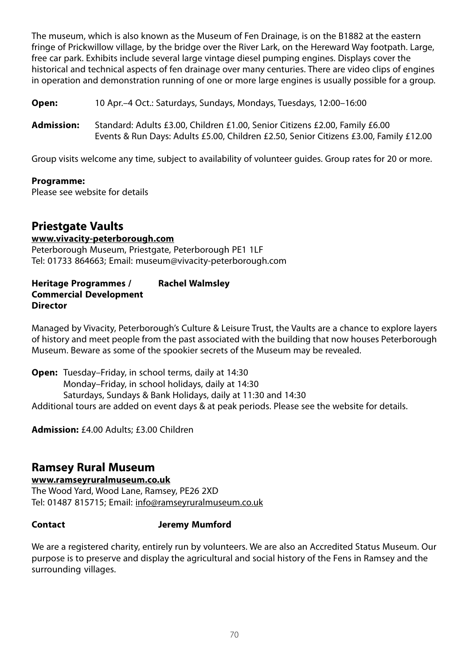The museum, which is also known as the Museum of Fen Drainage, is on the B1882 at the eastern fringe of Prickwillow village, by the bridge over the River Lark, on the Hereward Way footpath. Large, free car park. Exhibits include several large vintage diesel pumping engines. Displays cover the historical and technical aspects of fen drainage over many centuries. There are video clips of engines in operation and demonstration running of one or more large engines is usually possible for a group.

**Open:** 10 Apr.–4 Oct.: Saturdays, Sundays, Mondays, Tuesdays, 12:00–16:00

**Admission:** Standard: Adults £3.00, Children £1.00, Senior Citizens £2.00, Family £6.00 Events & Run Days: Adults £5.00, Children £2.50, Senior Citizens £3.00, Family £12.00

Group visits welcome any time, subject to availability of volunteer guides. Group rates for 20 or more.

#### **Programme:**

Please see website for details

# **Priestgate Vaults**

**www.vivacity-peterborough.com** Peterborough Museum, Priestgate, Peterborough PE1 1LF Tel: 01733 864663; Email: museum@vivacity-peterborough.com

#### **Heritage Programmes / Rachel Walmsley Commercial Development Director**

Managed by Vivacity, Peterborough's Culture & Leisure Trust, the Vaults are a chance to explore layers of history and meet people from the past associated with the building that now houses Peterborough Museum. Beware as some of the spookier secrets of the Museum may be revealed.

**Open:** Tuesday–Friday, in school terms, daily at 14:30 Monday–Friday, in school holidays, daily at 14:30 Saturdays, Sundays & Bank Holidays, daily at 11:30 and 14:30 Additional tours are added on event days & at peak periods. Please see the website for details.

**Admission:** £4.00 Adults; £3.00 Children

# **Ramsey Rural Museum**

## **www.ramseyruralmuseum.co.uk**

The Wood Yard, Wood Lane, Ramsey, PE26 2XD Tel: 01487 815715; Email: info@ramseyruralmuseum.co.uk

## **Contact Jeremy Mumford**

We are a registered charity, entirely run by volunteers. We are also an Accredited Status Museum. Our purpose is to preserve and display the agricultural and social history of the Fens in Ramsey and the surrounding villages.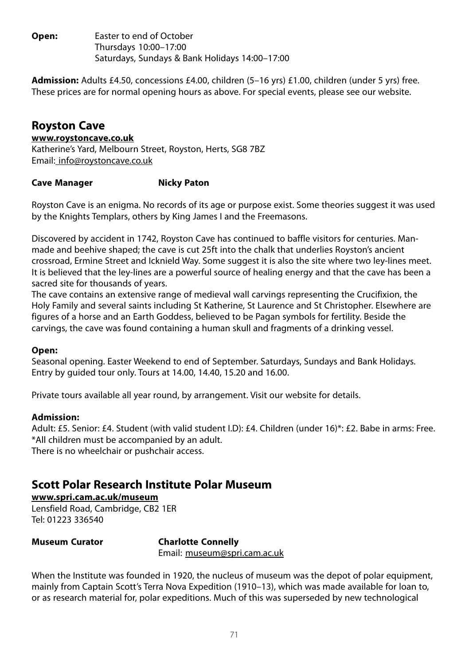**Open:** Easter to end of October Thursdays 10:00–17:00 Saturdays, Sundays & Bank Holidays 14:00–17:00

**Admission:** Adults £4.50, concessions £4.00, children (5–16 yrs) £1.00, children (under 5 yrs) free. These prices are for normal opening hours as above. For special events, please see our website.

# **Royston Cave**

**www.roystoncave.co.uk** Katherine's Yard, Melbourn Street, Royston, Herts, SG8 7BZ Email: info@roystoncave.co.uk

## **Cave Manager Micky Paton**

Royston Cave is an enigma. No records of its age or purpose exist. Some theories suggest it was used by the Knights Templars, others by King James I and the Freemasons.

Discovered by accident in 1742, Royston Cave has continued to baffle visitors for centuries. Manmade and beehive shaped; the cave is cut 25ft into the chalk that underlies Royston's ancient crossroad, Ermine Street and Icknield Way. Some suggest it is also the site where two ley-lines meet. It is believed that the ley-lines are a powerful source of healing energy and that the cave has been a sacred site for thousands of years.

The cave contains an extensive range of medieval wall carvings representing the Crucifixion, the Holy Family and several saints including St Katherine, St Laurence and St Christopher. Elsewhere are figures of a horse and an Earth Goddess, believed to be Pagan symbols for fertility. Beside the carvings, the cave was found containing a human skull and fragments of a drinking vessel.

## **Open:**

Seasonal opening. Easter Weekend to end of September. Saturdays, Sundays and Bank Holidays. Entry by guided tour only. Tours at 14.00, 14.40, 15.20 and 16.00.

Private tours available all year round, by arrangement. Visit our website for details.

## **Admission:**

Adult: £5. Senior: £4. Student (with valid student I.D): £4. Children (under 16)\*: £2. Babe in arms: Free. \*All children must be accompanied by an adult. There is no wheelchair or pushchair access.

# **Scott Polar Research Institute Polar Museum**

**www.spri.cam.ac.uk/museum** Lensfield Road, Cambridge, CB2 1ER Tel: 01223 336540

**Museum Curator Charlotte Connelly** Email: museum@spri.cam.ac.uk

When the Institute was founded in 1920, the nucleus of museum was the depot of polar equipment, mainly from Captain Scott's Terra Nova Expedition (1910–13), which was made available for loan to, or as research material for, polar expeditions. Much of this was superseded by new technological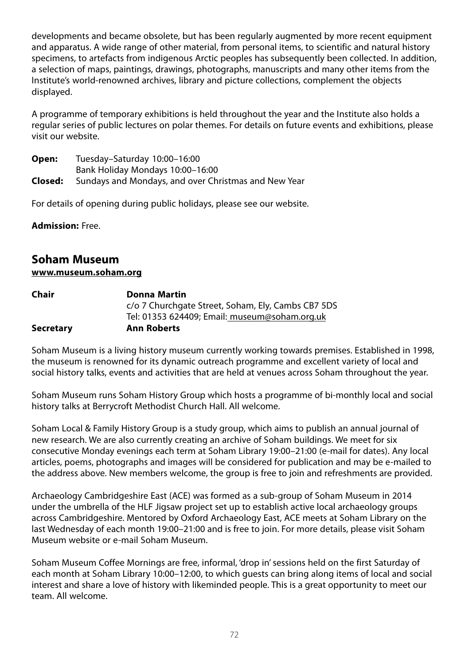developments and became obsolete, but has been regularly augmented by more recent equipment and apparatus. A wide range of other material, from personal items, to scientific and natural history specimens, to artefacts from indigenous Arctic peoples has subsequently been collected. In addition, a selection of maps, paintings, drawings, photographs, manuscripts and many other items from the Institute's world-renowned archives, library and picture collections, complement the objects displayed.

A programme of temporary exhibitions is held throughout the year and the Institute also holds a regular series of public lectures on polar themes. For details on future events and exhibitions, please visit our website.

| Open:   | Tuesday-Saturday 10:00-16:00                         |  |
|---------|------------------------------------------------------|--|
|         | Bank Holiday Mondays 10:00-16:00                     |  |
| Closed: | Sundays and Mondays, and over Christmas and New Year |  |

For details of opening during public holidays, please see our website.

**Admission:** Free.

# **Soham Museum**

## **www.museum.soham.org**

| Chair            | Donna Martin                                       |
|------------------|----------------------------------------------------|
|                  | c/o 7 Churchgate Street, Soham, Ely, Cambs CB7 5DS |
|                  | Tel: 01353 624409; Email: museum@soham.org.uk      |
| <b>Secretary</b> | <b>Ann Roberts</b>                                 |

Soham Museum is a living history museum currently working towards premises. Established in 1998, the museum is renowned for its dynamic outreach programme and excellent variety of local and social history talks, events and activities that are held at venues across Soham throughout the year.

Soham Museum runs Soham History Group which hosts a programme of bi-monthly local and social history talks at Berrycroft Methodist Church Hall. All welcome.

Soham Local & Family History Group is a study group, which aims to publish an annual journal of new research. We are also currently creating an archive of Soham buildings. We meet for six consecutive Monday evenings each term at Soham Library 19:00–21:00 (e-mail for dates). Any local articles, poems, photographs and images will be considered for publication and may be e-mailed to the address above. New members welcome, the group is free to join and refreshments are provided.

Archaeology Cambridgeshire East (ACE) was formed as a sub-group of Soham Museum in 2014 under the umbrella of the HLF Jigsaw project set up to establish active local archaeology groups across Cambridgeshire. Mentored by Oxford Archaeology East, ACE meets at Soham Library on the last Wednesday of each month 19:00–21:00 and is free to join. For more details, please visit Soham Museum website or e-mail Soham Museum.

Soham Museum Coffee Mornings are free, informal, 'drop in' sessions held on the first Saturday of each month at Soham Library 10:00–12:00, to which guests can bring along items of local and social interest and share a love of history with likeminded people. This is a great opportunity to meet our team. All welcome.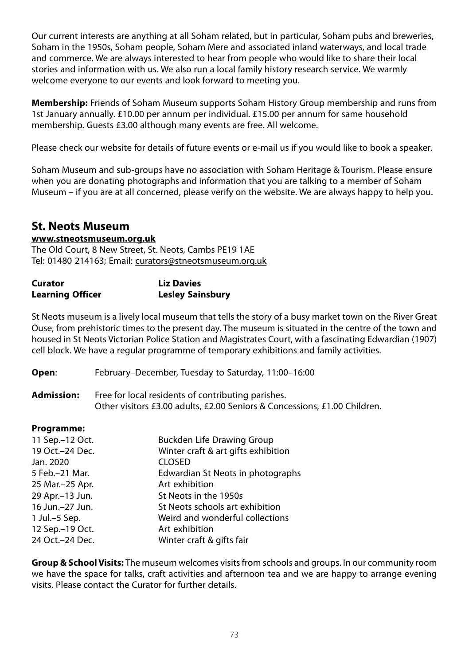Our current interests are anything at all Soham related, but in particular, Soham pubs and breweries, Soham in the 1950s, Soham people, Soham Mere and associated inland waterways, and local trade and commerce. We are always interested to hear from people who would like to share their local stories and information with us. We also run a local family history research service. We warmly welcome everyone to our events and look forward to meeting you.

**Membership:** Friends of Soham Museum supports Soham History Group membership and runs from 1st January annually. £10.00 per annum per individual. £15.00 per annum for same household membership. Guests £3.00 although many events are free. All welcome.

Please check our website for details of future events or e-mail us if you would like to book a speaker.

Soham Museum and sub-groups have no association with Soham Heritage & Tourism. Please ensure when you are donating photographs and information that you are talking to a member of Soham Museum – if you are at all concerned, please verify on the website. We are always happy to help you.

## **St. Neots Museum**

### **www.stneotsmuseum.org.uk**

The Old Court, 8 New Street, St. Neots, Cambs PE19 1AE Tel: 01480 214163; Email: curators@stneotsmuseum.org.uk

| Curator                 | <b>Liz Davies</b>       |
|-------------------------|-------------------------|
| <b>Learning Officer</b> | <b>Lesley Sainsbury</b> |

St Neots museum is a lively local museum that tells the story of a busy market town on the River Great Ouse, from prehistoric times to the present day. The museum is situated in the centre of the town and housed in St Neots Victorian Police Station and Magistrates Court, with a fascinating Edwardian (1907) cell block. We have a regular programme of temporary exhibitions and family activities.

**Open**: February–December, Tuesday to Saturday, 11:00–16:00

**Admission:** Free for local residents of contributing parishes. Other visitors £3.00 adults, £2.00 Seniors & Concessions, £1.00 Children.

### **Programme:**

| 11 Sep.-12 Oct.  | <b>Buckden Life Drawing Group</b>   |
|------------------|-------------------------------------|
| 19 Oct.-24 Dec.  | Winter craft & art gifts exhibition |
| Jan. 2020        | <b>CLOSED</b>                       |
| 5 Feb. - 21 Mar. | Edwardian St Neots in photographs   |
| 25 Mar.-25 Apr.  | Art exhibition                      |
| 29 Apr.-13 Jun.  | St Neots in the 1950s               |
| 16 Jun.-27 Jun.  | St Neots schools art exhibition     |
| 1 Jul.-5 Sep.    | Weird and wonderful collections     |
| 12 Sep.-19 Oct.  | Art exhibition                      |
| 24 Oct.-24 Dec.  | Winter craft & gifts fair           |

**Group & School Visits:** The museum welcomes visits from schools and groups. In our community room we have the space for talks, craft activities and afternoon tea and we are happy to arrange evening visits. Please contact the Curator for further details.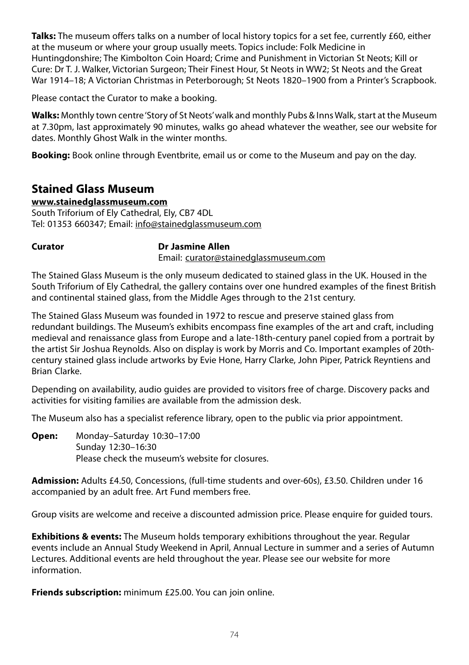**Talks:** The museum offers talks on a number of local history topics for a set fee, currently £60, either at the museum or where your group usually meets. Topics include: Folk Medicine in Huntingdonshire; The Kimbolton Coin Hoard; Crime and Punishment in Victorian St Neots; Kill or Cure: Dr T. J. Walker, Victorian Surgeon; Their Finest Hour, St Neots in WW2; St Neots and the Great War 1914–18; A Victorian Christmas in Peterborough; St Neots 1820–1900 from a Printer's Scrapbook.

Please contact the Curator to make a booking.

**Walks:** Monthly town centre 'Story of St Neots' walk and monthly Pubs & Inns Walk, start at the Museum at 7.30pm, last approximately 90 minutes, walks go ahead whatever the weather, see our website for dates. Monthly Ghost Walk in the winter months.

**Booking:** Book online through Eventbrite, email us or come to the Museum and pay on the day.

## **Stained Glass Museum**

## **www.stainedglassmuseum.com**

South Triforium of Ely Cathedral, Ely, CB7 4DL Tel: 01353 660347; Email: info@stainedglassmuseum.com

## **Curator Dr Jasmine Allen**

Email: curator@stainedglassmuseum.com

The Stained Glass Museum is the only museum dedicated to stained glass in the UK. Housed in the South Triforium of Ely Cathedral, the gallery contains over one hundred examples of the finest British and continental stained glass, from the Middle Ages through to the 21st century.

The Stained Glass Museum was founded in 1972 to rescue and preserve stained glass from redundant buildings. The Museum's exhibits encompass fine examples of the art and craft, including medieval and renaissance glass from Europe and a late-18th-century panel copied from a portrait by the artist Sir Joshua Reynolds. Also on display is work by Morris and Co. Important examples of 20thcentury stained glass include artworks by Evie Hone, Harry Clarke, John Piper, Patrick Reyntiens and Brian Clarke.

Depending on availability, audio guides are provided to visitors free of charge. Discovery packs and activities for visiting families are available from the admission desk.

The Museum also has a specialist reference library, open to the public via prior appointment.

**Open:** Monday–Saturday 10:30–17:00 Sunday 12:30–16:30 Please check the museum's website for closures.

**Admission:** Adults £4.50, Concessions, (full-time students and over-60s), £3.50. Children under 16 accompanied by an adult free. Art Fund members free.

Group visits are welcome and receive a discounted admission price. Please enquire for guided tours.

**Exhibitions & events:** The Museum holds temporary exhibitions throughout the year. Regular events include an Annual Study Weekend in April, Annual Lecture in summer and a series of Autumn Lectures. Additional events are held throughout the year. Please see our website for more information.

**Friends subscription:** minimum £25.00. You can join online.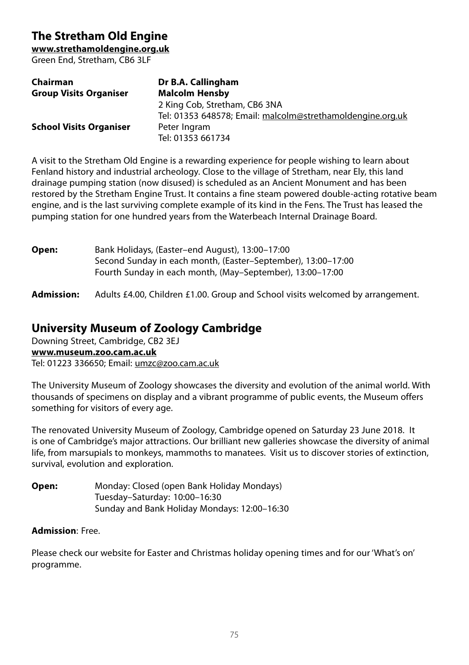# **The Stretham Old Engine**

**www.strethamoldengine.org.uk**

Green End, Stretham, CB6 3LF

| Chairman                       | Dr B.A. Callingham                                         |
|--------------------------------|------------------------------------------------------------|
| <b>Group Visits Organiser</b>  | <b>Malcolm Hensby</b>                                      |
|                                | 2 King Cob, Stretham, CB6 3NA                              |
|                                | Tel: 01353 648578; Email: malcolm@strethamoldengine.org.uk |
| <b>School Visits Organiser</b> | Peter Ingram                                               |
|                                | Tel: 01353 661734                                          |

A visit to the Stretham Old Engine is a rewarding experience for people wishing to learn about Fenland history and industrial archeology. Close to the village of Stretham, near Ely, this land drainage pumping station (now disused) is scheduled as an Ancient Monument and has been restored by the Stretham Engine Trust. It contains a fine steam powered double-acting rotative beam engine, and is the last surviving complete example of its kind in the Fens. The Trust has leased the pumping station for one hundred years from the Waterbeach Internal Drainage Board.

| Open: | Bank Holidays, (Easter-end August), 13:00-17:00              |
|-------|--------------------------------------------------------------|
|       | Second Sunday in each month, (Easter–September), 13:00–17:00 |
|       | Fourth Sunday in each month, (May-September), 13:00-17:00    |

**Admission:** Adults £4.00, Children £1.00. Group and School visits welcomed by arrangement.

# **University Museum of Zoology Cambridge**

Downing Street, Cambridge, CB2 3EJ **www.museum.zoo.cam.ac.uk** Tel: 01223 336650; Email: umzc@zoo.cam.ac.uk

The University Museum of Zoology showcases the diversity and evolution of the animal world. With thousands of specimens on display and a vibrant programme of public events, the Museum offers something for visitors of every age.

The renovated University Museum of Zoology, Cambridge opened on Saturday 23 June 2018. It is one of Cambridge's major attractions. Our brilliant new galleries showcase the diversity of animal life, from marsupials to monkeys, mammoths to manatees. Visit us to discover stories of extinction, survival, evolution and exploration.

**Open:** Monday: Closed (open Bank Holiday Mondays) Tuesday–Saturday: 10:00–16:30 Sunday and Bank Holiday Mondays: 12:00–16:30

## **Admission**: Free.

Please check our website for Easter and Christmas holiday opening times and for our 'What's on' programme.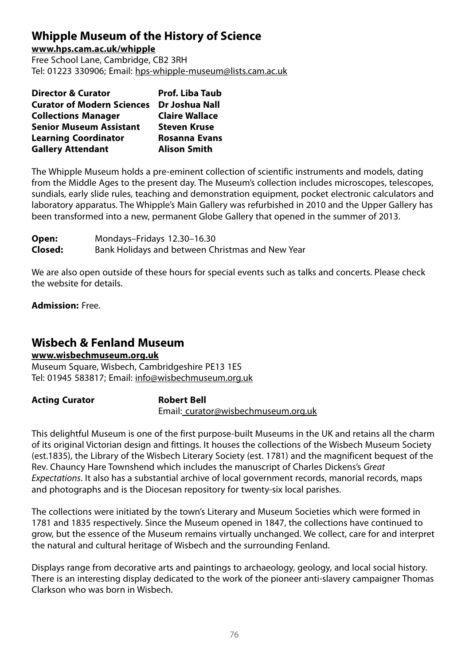# **Whipple Museum of the History of Science**

**www.hps.cam.ac.uk/whipple**

Free School Lane, Cambridge, CB2 3RH Tel: 01223 330906; Email: hps-whipple-museum@lists.cam.ac.uk

| <b>Director &amp; Curator</b>     | <b>Prof. Liba Taub</b> |
|-----------------------------------|------------------------|
| <b>Curator of Modern Sciences</b> | Dr Joshua Nall         |
| <b>Collections Manager</b>        | <b>Claire Wallace</b>  |
| <b>Senior Museum Assistant</b>    | <b>Steven Kruse</b>    |
| <b>Learning Coordinator</b>       | <b>Rosanna Evans</b>   |
| <b>Gallery Attendant</b>          | <b>Alison Smith</b>    |

The Whipple Museum holds a pre-eminent collection of scientific instruments and models, dating from the Middle Ages to the present day. The Museum's collection includes microscopes, telescopes, sundials, early slide rules, teaching and demonstration equipment, pocket electronic calculators and laboratory apparatus. The Whipple's Main Gallery was refurbished in 2010 and the Upper Gallery has been transformed into a new, permanent Globe Gallery that opened in the summer of 2013.

| Open:   | Mondays-Fridays 12.30-16.30                      |
|---------|--------------------------------------------------|
| Closed: | Bank Holidays and between Christmas and New Year |

We are also open outside of these hours for special events such as talks and concerts. Please check the website for details.

**Admission:** Free.

## **Wisbech & Fenland Museum**

## **www.wisbechmuseum.org.uk**

Museum Square, Wisbech, Cambridgeshire PE13 1ES Tel: 01945 583817; Email: info@wisbechmuseum.org.uk

Acting Curator **Robert Bell** 

Email: curator@wisbechmuseum.org.uk

This delightful Museum is one of the first purpose-built Museums in the UK and retains all the charm of its original Victorian design and fittings. It houses the collections of the Wisbech Museum Society (est.1835), the Library of the Wisbech Literary Society (est. 1781) and the magnificent bequest of the Rev. Chauncy Hare Townshend which includes the manuscript of Charles Dickens's Great Expectations. It also has a substantial archive of local government records, manorial records, maps and photographs and is the Diocesan repository for twenty-six local parishes.

The collections were initiated by the town's Literary and Museum Societies which were formed in 1781 and 1835 respectively. Since the Museum opened in 1847, the collections have continued to grow, but the essence of the Museum remains virtually unchanged. We collect, care for and interpret the natural and cultural heritage of Wisbech and the surrounding Fenland.

Displays range from decorative arts and paintings to archaeology, geology, and local social history. There is an interesting display dedicated to the work of the pioneer anti-slavery campaigner Thomas Clarkson who was born in Wisbech.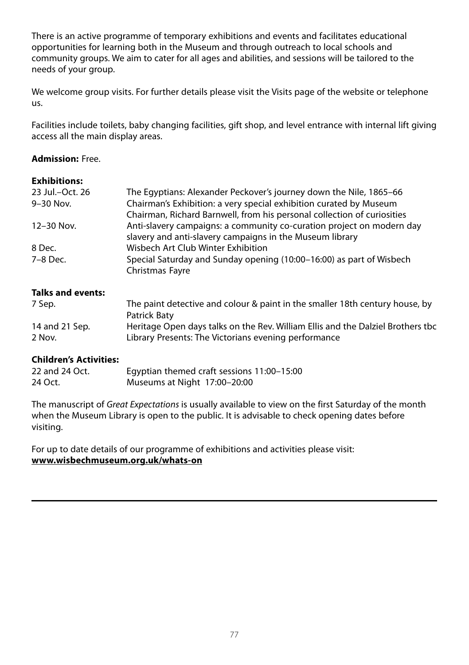There is an active programme of temporary exhibitions and events and facilitates educational opportunities for learning both in the Museum and through outreach to local schools and community groups. We aim to cater for all ages and abilities, and sessions will be tailored to the needs of your group.

We welcome group visits. For further details please visit the Visits page of the website or telephone us.

Facilities include toilets, baby changing facilities, gift shop, and level entrance with internal lift giving access all the main display areas.

## **Admission:** Free.

| <b>Exhibitions:</b>                                                                                 |                                                                                                                                               |
|-----------------------------------------------------------------------------------------------------|-----------------------------------------------------------------------------------------------------------------------------------------------|
| 23 Jul.-Oct. 26                                                                                     | The Eqyptians: Alexander Peckover's journey down the Nile, 1865–66                                                                            |
| 9-30 Nov.                                                                                           | Chairman's Exhibition: a very special exhibition curated by Museum<br>Chairman, Richard Barnwell, from his personal collection of curiosities |
| 12-30 Nov.                                                                                          | Anti-slavery campaigns: a community co-curation project on modern day<br>slavery and anti-slavery campaigns in the Museum library             |
| 8 Dec.                                                                                              | Wisbech Art Club Winter Exhibition                                                                                                            |
| Special Saturday and Sunday opening (10:00–16:00) as part of Wisbech<br>7-8 Dec.<br>Christmas Fayre |                                                                                                                                               |
| <b>Talks and events:</b>                                                                            |                                                                                                                                               |
| 7 Sep.                                                                                              | The paint detective and colour & paint in the smaller 18th century house, by                                                                  |

| / Sep.         | The paint detective and colour & paint in the smaller 18th century house, by    |
|----------------|---------------------------------------------------------------------------------|
|                | Patrick Baty                                                                    |
| 14 and 21 Sep. | Heritage Open days talks on the Rev. William Ellis and the Dalziel Brothers tbc |
| 2 Nov.         | Library Presents: The Victorians evening performance                            |

## **Children's Activities:**

| 22 and 24 Oct. | Egyptian themed craft sessions 11:00-15:00 |
|----------------|--------------------------------------------|
| 24 Oct.        | Museums at Night 17:00-20:00               |

The manuscript of Great Expectations is usually available to view on the first Saturday of the month when the Museum Library is open to the public. It is advisable to check opening dates before visiting.

For up to date details of our programme of exhibitions and activities please visit: **www.wisbechmuseum.org.uk/whats-on**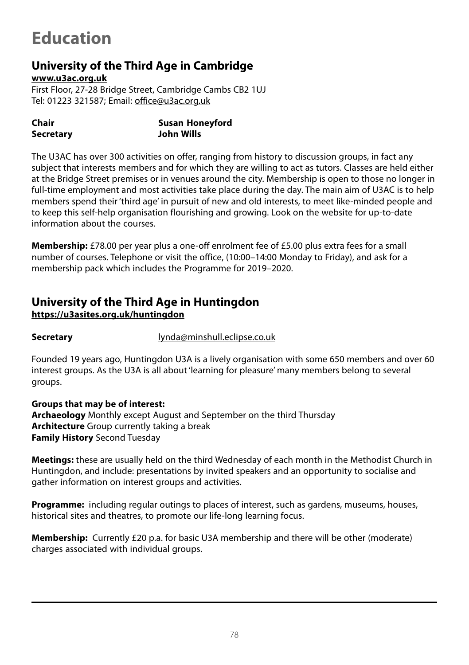# **Education**

# **University of the Third Age in Cambridge**

**www.u3ac.org.uk**

First Floor, 27-28 Bridge Street, Cambridge Cambs CB2 1UJ Tel: 01223 321587; Email: office@u3ac.org.uk

| Chair            | Susan Honeyford |
|------------------|-----------------|
| <b>Secretary</b> | John Wills      |

The U3AC has over 300 activities on offer, ranging from history to discussion groups, in fact any subject that interests members and for which they are willing to act as tutors. Classes are held either at the Bridge Street premises or in venues around the city. Membership is open to those no longer in full-time employment and most activities take place during the day. The main aim of U3AC is to help members spend their 'third age' in pursuit of new and old interests, to meet like-minded people and to keep this self-help organisation flourishing and growing. Look on the website for up-to-date information about the courses.

**Membership:** £78.00 per year plus a one-off enrolment fee of £5.00 plus extra fees for a small number of courses. Telephone or visit the office, (10:00–14:00 Monday to Friday), and ask for a membership pack which includes the Programme for 2019–2020.

## **University of the Third Age in Huntingdon https://u3asites.org.uk/huntingdon**

**Secretary** lynda@minshull.eclipse.co.uk

Founded 19 years ago, Huntingdon U3A is a lively organisation with some 650 members and over 60 interest groups. As the U3A is all about 'learning for pleasure' many members belong to several groups.

**Groups that may be of interest: Archaeology** Monthly except August and September on the third Thursday **Architecture** Group currently taking a break **Family History** Second Tuesday

**Meetings:** these are usually held on the third Wednesday of each month in the Methodist Church in Huntingdon, and include: presentations by invited speakers and an opportunity to socialise and gather information on interest groups and activities.

**Programme:** including regular outings to places of interest, such as gardens, museums, houses, historical sites and theatres, to promote our life-long learning focus.

**Membership:** Currently £20 p.a. for basic U3A membership and there will be other (moderate) charges associated with individual groups.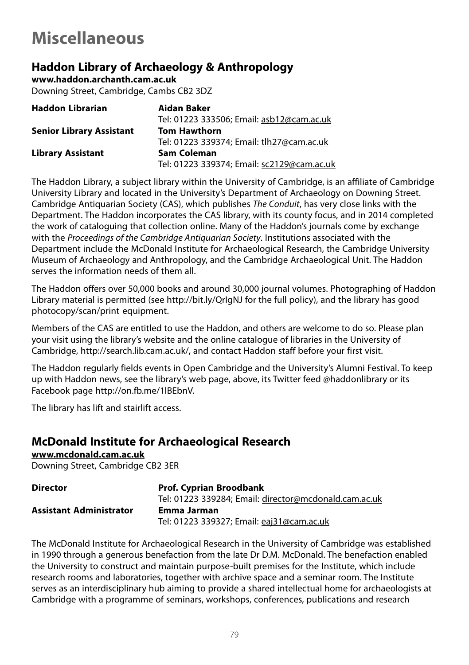# **Miscellaneous**

# **Haddon Library of Archaeology & Anthropology**

**www.haddon.archanth.cam.ac.uk**

Downing Street, Cambridge, Cambs CB2 3DZ

| <b>Haddon Librarian</b>         | Aidan Baker                                |
|---------------------------------|--------------------------------------------|
|                                 | Tel: 01223 333506; Email: asb12@cam.ac.uk  |
| <b>Senior Library Assistant</b> | <b>Tom Hawthorn</b>                        |
|                                 | Tel: 01223 339374; Email: tlh27@cam.ac.uk  |
| <b>Library Assistant</b>        | <b>Sam Coleman</b>                         |
|                                 | Tel: 01223 339374; Email: sc2129@cam.ac.uk |

The Haddon Library, a subject library within the University of Cambridge, is an affiliate of Cambridge University Library and located in the University's Department of Archaeology on Downing Street. Cambridge Antiquarian Society (CAS), which publishes The Conduit, has very close links with the Department. The Haddon incorporates the CAS library, with its county focus, and in 2014 completed the work of cataloguing that collection online. Many of the Haddon's journals come by exchange with the Proceedings of the Cambridge Antiquarian Society. Institutions associated with the Department include the McDonald Institute for Archaeological Research, the Cambridge University Museum of Archaeology and Anthropology, and the Cambridge Archaeological Unit. The Haddon serves the information needs of them all.

The Haddon offers over 50,000 books and around 30,000 journal volumes. Photographing of Haddon Library material is permitted (see http://bit.ly/QrIgNJ for the full policy), and the library has good photocopy/scan/print equipment.

Members of the CAS are entitled to use the Haddon, and others are welcome to do so. Please plan your visit using the library's website and the online catalogue of libraries in the University of Cambridge, http://search.lib.cam.ac.uk/, and contact Haddon staff before your first visit.

The Haddon regularly fields events in Open Cambridge and the University's Alumni Festival. To keep up with Haddon news, see the library's web page, above, its Twitter feed @haddonlibrary or its Facebook page http://on.fb.me/1lBEbnV.

The library has lift and stairlift access.

# **McDonald Institute for Archaeological Research**

**www.mcdonald.cam.ac.uk** Downing Street, Cambridge CB2 3ER

| <b>Director</b>                | <b>Prof. Cyprian Broodbank</b>                        |
|--------------------------------|-------------------------------------------------------|
|                                | Tel: 01223 339284: Email: director@mcdonald.cam.ac.uk |
| <b>Assistant Administrator</b> | Emma Jarman                                           |
|                                | Tel: 01223 339327; Email: eaj31@cam.ac.uk             |

The McDonald Institute for Archaeological Research in the University of Cambridge was established in 1990 through a generous benefaction from the late Dr D.M. McDonald. The benefaction enabled the University to construct and maintain purpose-built premises for the Institute, which include research rooms and laboratories, together with archive space and a seminar room. The Institute serves as an interdisciplinary hub aiming to provide a shared intellectual home for archaeologists at Cambridge with a programme of seminars, workshops, conferences, publications and research